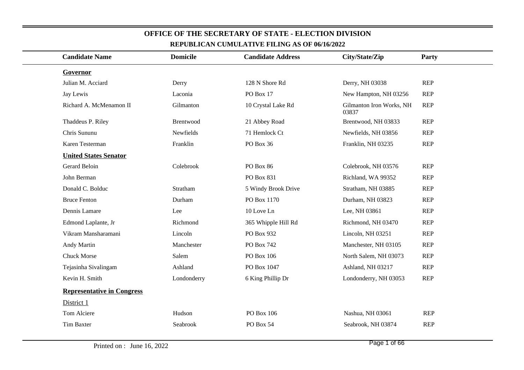|                                   |                 | <u>NET UDLICAN CUMULATIVE FILING AS OF 00/10/2022</u> |                                   |            |  |
|-----------------------------------|-----------------|-------------------------------------------------------|-----------------------------------|------------|--|
| <b>Candidate Name</b>             | <b>Domicile</b> | <b>Candidate Address</b>                              | City/State/Zip                    | Party      |  |
| Governor                          |                 |                                                       |                                   |            |  |
| Julian M. Acciard                 | Derry           | 128 N Shore Rd                                        | Derry, NH 03038                   | <b>REP</b> |  |
| Jay Lewis                         | Laconia         | PO Box 17                                             | New Hampton, NH 03256             | <b>REP</b> |  |
| Richard A. McMenamon II           | Gilmanton       | 10 Crystal Lake Rd                                    | Gilmanton Iron Works, NH<br>03837 | <b>REP</b> |  |
| Thaddeus P. Riley                 | Brentwood       | 21 Abbey Road                                         | Brentwood, NH 03833               | <b>REP</b> |  |
| Chris Sununu                      | Newfields       | 71 Hemlock Ct                                         | Newfields, NH 03856               | <b>REP</b> |  |
| Karen Testerman                   | Franklin        | PO Box 36                                             | Franklin, NH 03235                | <b>REP</b> |  |
| <b>United States Senator</b>      |                 |                                                       |                                   |            |  |
| Gerard Beloin                     | Colebrook       | PO Box 86                                             | Colebrook, NH 03576               | <b>REP</b> |  |
| John Berman                       |                 | PO Box 831                                            | Richland, WA 99352                | <b>REP</b> |  |
| Donald C. Bolduc                  | Stratham        | 5 Windy Brook Drive                                   | Stratham, NH 03885                | <b>REP</b> |  |
| <b>Bruce Fenton</b>               | Durham          | PO Box 1170                                           | Durham, NH 03823                  | <b>REP</b> |  |
| Dennis Lamare                     | Lee             | 10 Love Ln                                            | Lee, NH 03861                     | <b>REP</b> |  |
| Edmond Laplante, Jr               | Richmond        | 365 Whipple Hill Rd                                   | Richmond, NH 03470                | <b>REP</b> |  |
| Vikram Mansharamani               | Lincoln         | PO Box 932                                            | Lincoln, NH 03251                 | <b>REP</b> |  |
| Andy Martin                       | Manchester      | PO Box 742                                            | Manchester, NH 03105              | <b>REP</b> |  |
| <b>Chuck Morse</b>                | Salem           | PO Box 106                                            | North Salem, NH 03073             | <b>REP</b> |  |
| Tejasinha Sivalingam              | Ashland         | PO Box 1047                                           | Ashland, NH 03217                 | <b>REP</b> |  |
| Kevin H. Smith                    | Londonderry     | 6 King Phillip Dr                                     | Londonderry, NH 03053             | <b>REP</b> |  |
| <b>Representative in Congress</b> |                 |                                                       |                                   |            |  |
| District 1                        |                 |                                                       |                                   |            |  |
| Tom Alciere                       | Hudson          | PO Box 106                                            | Nashua, NH 03061                  | <b>REP</b> |  |
| <b>Tim Baxter</b>                 | Seabrook        | PO Box 54                                             | Seabrook, NH 03874                | <b>REP</b> |  |
|                                   |                 |                                                       |                                   |            |  |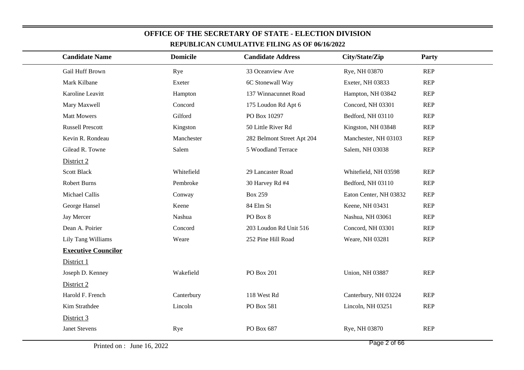|                            |                 | кеі оренда сомонаті у етінің ар оғ фуну 2022 |                        |            |
|----------------------------|-----------------|----------------------------------------------|------------------------|------------|
| <b>Candidate Name</b>      | <b>Domicile</b> | <b>Candidate Address</b>                     | City/State/Zip         | Party      |
| Gail Huff Brown            | Rye             | 33 Oceanview Ave                             | Rye, NH 03870          | <b>REP</b> |
| Mark Kilbane               | Exeter          | 6C Stonewall Way                             | Exeter, NH 03833       | <b>REP</b> |
| Karoline Leavitt           | Hampton         | 137 Winnacunnet Road                         | Hampton, NH 03842      | <b>REP</b> |
| Mary Maxwell               | Concord         | 175 Loudon Rd Apt 6                          | Concord, NH 03301      | <b>REP</b> |
| <b>Matt Mowers</b>         | Gilford         | PO Box 10297                                 | Bedford, NH 03110      | <b>REP</b> |
| <b>Russell Prescott</b>    | Kingston        | 50 Little River Rd                           | Kingston, NH 03848     | REP        |
| Kevin R. Rondeau           | Manchester      | 282 Belmont Street Apt 204                   | Manchester, NH 03103   | <b>REP</b> |
| Gilead R. Towne            | Salem           | 5 Woodland Terrace                           | Salem, NH 03038        | <b>REP</b> |
| District 2                 |                 |                                              |                        |            |
| <b>Scott Black</b>         | Whitefield      | 29 Lancaster Road                            | Whitefield, NH 03598   | <b>REP</b> |
| <b>Robert Burns</b>        | Pembroke        | 30 Harvey Rd #4                              | Bedford, NH 03110      | <b>REP</b> |
| Michael Callis             | Conway          | <b>Box 259</b>                               | Eaton Center, NH 03832 | REP        |
| George Hansel              | Keene           | 84 Elm St                                    | Keene, NH 03431        | REP        |
| Jay Mercer                 | Nashua          | PO Box 8                                     | Nashua, NH 03061       | <b>REP</b> |
| Dean A. Poirier            | Concord         | 203 Loudon Rd Unit 516                       | Concord, NH 03301      | <b>REP</b> |
| Lily Tang Williams         | Weare           | 252 Pine Hill Road                           | Weare, NH 03281        | REP        |
| <b>Executive Councilor</b> |                 |                                              |                        |            |
| District 1                 |                 |                                              |                        |            |
| Joseph D. Kenney           | Wakefield       | <b>PO Box 201</b>                            | <b>Union, NH 03887</b> | REP        |
| District 2                 |                 |                                              |                        |            |
| Harold F. French           | Canterbury      | 118 West Rd                                  | Canterbury, NH 03224   | <b>REP</b> |
| Kim Strathdee              | Lincoln         | PO Box 581                                   | Lincoln, NH 03251      | <b>REP</b> |
| District 3                 |                 |                                              |                        |            |
| <b>Janet Stevens</b>       | Rye             | PO Box 687                                   | Rye, NH 03870          | REP        |
|                            |                 |                                              |                        |            |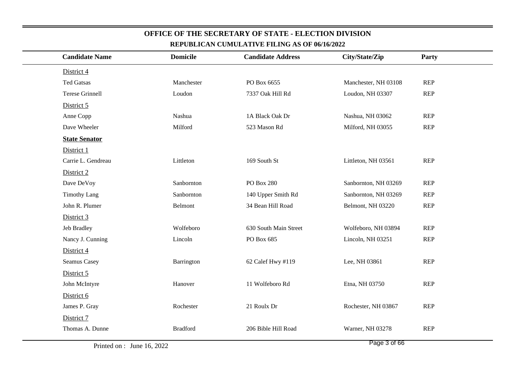| <b>Candidate Name</b>  | <b>Domicile</b> | <b>Candidate Address</b> | City/State/Zip       | Party      |
|------------------------|-----------------|--------------------------|----------------------|------------|
| District 4             |                 |                          |                      |            |
| <b>Ted Gatsas</b>      | Manchester      | PO Box 6655              | Manchester, NH 03108 | <b>REP</b> |
| <b>Terese Grinnell</b> | Loudon          | 7337 Oak Hill Rd         | Loudon, NH 03307     | <b>REP</b> |
| District 5             |                 |                          |                      |            |
| Anne Copp              | Nashua          | 1A Black Oak Dr          | Nashua, NH 03062     | <b>REP</b> |
| Dave Wheeler           | Milford         | 523 Mason Rd             | Milford, NH 03055    | <b>REP</b> |
| <b>State Senator</b>   |                 |                          |                      |            |
| District 1             |                 |                          |                      |            |
| Carrie L. Gendreau     | Littleton       | 169 South St             | Littleton, NH 03561  | <b>REP</b> |
| District 2             |                 |                          |                      |            |
| Dave DeVoy             | Sanbornton      | PO Box 280               | Sanbornton, NH 03269 | <b>REP</b> |
| <b>Timothy Lang</b>    | Sanbornton      | 140 Upper Smith Rd       | Sanbornton, NH 03269 | <b>REP</b> |
| John R. Plumer         | Belmont         | 34 Bean Hill Road        | Belmont, NH 03220    | <b>REP</b> |
| District 3             |                 |                          |                      |            |
| Jeb Bradley            | Wolfeboro       | 630 South Main Street    | Wolfeboro, NH 03894  | <b>REP</b> |
| Nancy J. Cunning       | Lincoln         | PO Box 685               | Lincoln, NH 03251    | <b>REP</b> |
| District 4             |                 |                          |                      |            |
| Seamus Casey           | Barrington      | 62 Calef Hwy #119        | Lee, NH 03861        | <b>REP</b> |
| District 5             |                 |                          |                      |            |
| John McIntyre          | Hanover         | 11 Wolfeboro Rd          | Etna, NH 03750       | <b>REP</b> |
| District 6             |                 |                          |                      |            |
| James P. Gray          | Rochester       | 21 Roulx Dr              | Rochester, NH 03867  | <b>REP</b> |
| District 7             |                 |                          |                      |            |
| Thomas A. Dunne        | <b>Bradford</b> | 206 Bible Hill Road      | Warner, NH 03278     | <b>REP</b> |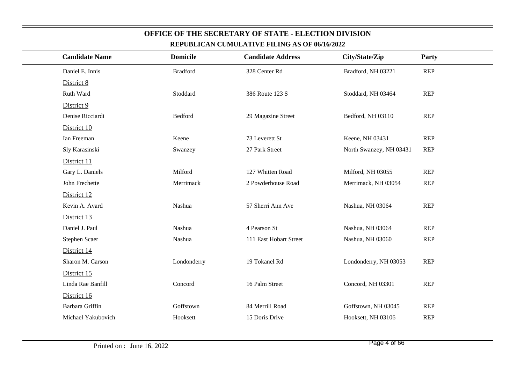| <b>Candidate Name</b> | <b>Domicile</b> | <b>Candidate Address</b> | City/State/Zip          | Party      |
|-----------------------|-----------------|--------------------------|-------------------------|------------|
| Daniel E. Innis       | <b>Bradford</b> | 328 Center Rd            | Bradford, NH 03221      | <b>REP</b> |
| District 8            |                 |                          |                         |            |
| Ruth Ward             | Stoddard        | 386 Route 123 S          | Stoddard, NH 03464      | <b>REP</b> |
| District 9            |                 |                          |                         |            |
| Denise Ricciardi      | Bedford         | 29 Magazine Street       | Bedford, NH 03110       | <b>REP</b> |
| District 10           |                 |                          |                         |            |
| Ian Freeman           | Keene           | 73 Leverett St           | Keene, NH 03431         | <b>REP</b> |
| Sly Karasinski        | Swanzey         | 27 Park Street           | North Swanzey, NH 03431 | <b>REP</b> |
| District 11           |                 |                          |                         |            |
| Gary L. Daniels       | Milford         | 127 Whitten Road         | Milford, NH 03055       | <b>REP</b> |
| John Frechette        | Merrimack       | 2 Powderhouse Road       | Merrimack, NH 03054     | <b>REP</b> |
| District 12           |                 |                          |                         |            |
| Kevin A. Avard        | Nashua          | 57 Sherri Ann Ave        | Nashua, NH 03064        | <b>REP</b> |
| District 13           |                 |                          |                         |            |
| Daniel J. Paul        | Nashua          | 4 Pearson St             | Nashua, NH 03064        | <b>REP</b> |
| Stephen Scaer         | Nashua          | 111 East Hobart Street   | Nashua, NH 03060        | <b>REP</b> |
| District 14           |                 |                          |                         |            |
| Sharon M. Carson      | Londonderry     | 19 Tokanel Rd            | Londonderry, NH 03053   | <b>REP</b> |
| District 15           |                 |                          |                         |            |
| Linda Rae Banfill     | Concord         | 16 Palm Street           | Concord, NH 03301       | <b>REP</b> |
| District 16           |                 |                          |                         |            |
| Barbara Griffin       | Goffstown       | 84 Merrill Road          | Goffstown, NH 03045     | <b>REP</b> |
| Michael Yakubovich    | Hooksett        | 15 Doris Drive           | Hooksett, NH 03106      | <b>REP</b> |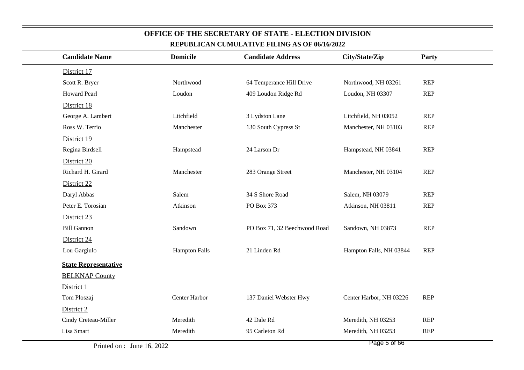| <b>Candidate Name</b>       | <b>Domicile</b>      | <b>Candidate Address</b>     | City/State/Zip          | Party      |
|-----------------------------|----------------------|------------------------------|-------------------------|------------|
| District 17                 |                      |                              |                         |            |
| Scott R. Bryer              | Northwood            | 64 Temperance Hill Drive     | Northwood, NH 03261     | <b>REP</b> |
| <b>Howard Pearl</b>         | Loudon               | 409 Loudon Ridge Rd          | Loudon, NH 03307        | <b>REP</b> |
| District 18                 |                      |                              |                         |            |
| George A. Lambert           | Litchfield           | 3 Lydston Lane               | Litchfield, NH 03052    | <b>REP</b> |
| Ross W. Terrio              | Manchester           | 130 South Cypress St         | Manchester, NH 03103    | <b>REP</b> |
| District 19                 |                      |                              |                         |            |
| Regina Birdsell             | Hampstead            | 24 Larson Dr                 | Hampstead, NH 03841     | <b>REP</b> |
| District 20                 |                      |                              |                         |            |
| Richard H. Girard           | Manchester           | 283 Orange Street            | Manchester, NH 03104    | <b>REP</b> |
| District 22                 |                      |                              |                         |            |
| Daryl Abbas                 | Salem                | 34 S Shore Road              | Salem, NH 03079         | <b>REP</b> |
| Peter E. Torosian           | Atkinson             | PO Box 373                   | Atkinson, NH 03811      | <b>REP</b> |
| District 23                 |                      |                              |                         |            |
| <b>Bill Gannon</b>          | Sandown              | PO Box 71, 32 Beechwood Road | Sandown, NH 03873       | <b>REP</b> |
| District 24                 |                      |                              |                         |            |
| Lou Gargiulo                | <b>Hampton Falls</b> | 21 Linden Rd                 | Hampton Falls, NH 03844 | <b>REP</b> |
| <b>State Representative</b> |                      |                              |                         |            |
| <b>BELKNAP County</b>       |                      |                              |                         |            |
| District 1                  |                      |                              |                         |            |
| Tom Ploszaj                 | Center Harbor        | 137 Daniel Webster Hwy       | Center Harbor, NH 03226 | <b>REP</b> |
| District 2                  |                      |                              |                         |            |
| Cindy Creteau-Miller        | Meredith             | 42 Dale Rd                   | Meredith, NH 03253      | <b>REP</b> |
| Lisa Smart                  | Meredith             | 95 Carleton Rd               | Meredith, NH 03253      | <b>REP</b> |

Printed on : June 16, 2022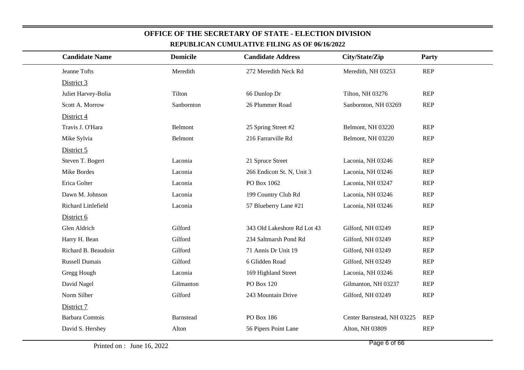| <b>Candidate Name</b>  | <b>Domicile</b>  | <b>Candidate Address</b>    | City/State/Zip             | Party      |
|------------------------|------------------|-----------------------------|----------------------------|------------|
| Jeanne Tofts           | Meredith         | 272 Meredith Neck Rd        | Meredith, NH 03253         | <b>REP</b> |
| District 3             |                  |                             |                            |            |
| Juliet Harvey-Bolia    | Tilton           | 66 Dunlop Dr                | Tilton, NH 03276           | <b>REP</b> |
| Scott A. Morrow        | Sanbornton       | 26 Plummer Road             | Sanbornton, NH 03269       | <b>REP</b> |
| District 4             |                  |                             |                            |            |
| Travis J. O'Hara       | Belmont          | 25 Spring Street #2         | Belmont, NH 03220          | <b>REP</b> |
| Mike Sylvia            | Belmont          | 216 Farrarville Rd          | Belmont, NH 03220          | <b>REP</b> |
| District 5             |                  |                             |                            |            |
| Steven T. Bogert       | Laconia          | 21 Spruce Street            | Laconia, NH 03246          | <b>REP</b> |
| Mike Bordes            | Laconia          | 266 Endicott St. N, Unit 3  | Laconia, NH 03246          | <b>REP</b> |
| Erica Golter           | Laconia          | PO Box 1062                 | Laconia, NH 03247          | <b>REP</b> |
| Dawn M. Johnson        | Laconia          | 199 Country Club Rd         | Laconia, NH 03246          | <b>REP</b> |
| Richard Littlefield    | Laconia          | 57 Blueberry Lane #21       | Laconia, NH 03246          | <b>REP</b> |
| District 6             |                  |                             |                            |            |
| Glen Aldrich           | Gilford          | 343 Old Lakeshore Rd Lot 43 | Gilford, NH 03249          | <b>REP</b> |
| Harry H. Bean          | Gilford          | 234 Saltmarsh Pond Rd       | Gilford, NH 03249          | <b>REP</b> |
| Richard B. Beaudoin    | Gilford          | 71 Annis Dr Unit 19         | Gilford, NH 03249          | <b>REP</b> |
| <b>Russell Dumais</b>  | Gilford          | 6 Glidden Road              | Gilford, NH 03249          | <b>REP</b> |
| Gregg Hough            | Laconia          | 169 Highland Street         | Laconia, NH 03246          | <b>REP</b> |
| David Nagel            | Gilmanton        | PO Box 120                  | Gilmanton, NH 03237        | <b>REP</b> |
| Norm Silber            | Gilford          | 243 Mountain Drive          | Gilford, NH 03249          | <b>REP</b> |
| District 7             |                  |                             |                            |            |
| <b>Barbara Comtois</b> | <b>Barnstead</b> | PO Box 186                  | Center Barnstead, NH 03225 | <b>REP</b> |
| David S. Hershey       | Alton            | 56 Pipers Point Lane        | Alton, NH 03809            | <b>REP</b> |
|                        |                  |                             |                            |            |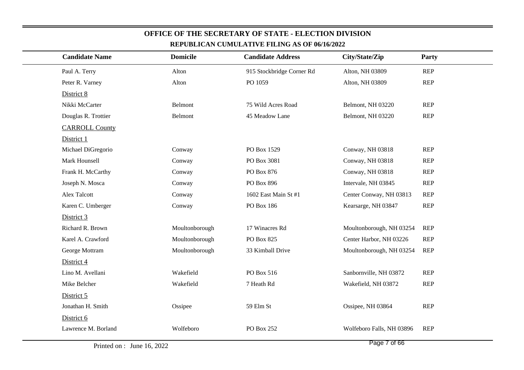| REPUBLICAN CUMULATIVE FILING AS OF 00/10/2022 |                 |                           |                           |            |  |  |  |  |
|-----------------------------------------------|-----------------|---------------------------|---------------------------|------------|--|--|--|--|
| <b>Candidate Name</b>                         | <b>Domicile</b> | <b>Candidate Address</b>  | City/State/Zip            | Party      |  |  |  |  |
| Paul A. Terry                                 | Alton           | 915 Stockbridge Corner Rd | Alton, NH 03809           | <b>REP</b> |  |  |  |  |
| Peter R. Varney                               | Alton           | PO 1059                   | Alton, NH 03809           | <b>REP</b> |  |  |  |  |
| District 8                                    |                 |                           |                           |            |  |  |  |  |
| Nikki McCarter                                | Belmont         | 75 Wild Acres Road        | Belmont, NH 03220         | <b>REP</b> |  |  |  |  |
| Douglas R. Trottier                           | Belmont         | 45 Meadow Lane            | Belmont, NH 03220         | <b>REP</b> |  |  |  |  |
| <b>CARROLL County</b>                         |                 |                           |                           |            |  |  |  |  |
| District 1                                    |                 |                           |                           |            |  |  |  |  |
| Michael DiGregorio                            | Conway          | PO Box 1529               | Conway, NH 03818          | <b>REP</b> |  |  |  |  |
| Mark Hounsell                                 | Conway          | PO Box 3081               | Conway, NH 03818          | <b>REP</b> |  |  |  |  |
| Frank H. McCarthy                             | Conway          | PO Box 876                | Conway, NH 03818          | <b>REP</b> |  |  |  |  |
| Joseph N. Mosca                               | Conway          | PO Box 896                | Intervale, NH 03845       | <b>REP</b> |  |  |  |  |
| <b>Alex Talcott</b>                           | Conway          | 1602 East Main St #1      | Center Conway, NH 03813   | <b>REP</b> |  |  |  |  |
| Karen C. Umberger                             | Conway          | PO Box 186                | Kearsarge, NH 03847       | <b>REP</b> |  |  |  |  |
| District 3                                    |                 |                           |                           |            |  |  |  |  |
| Richard R. Brown                              | Moultonborough  | 17 Winacres Rd            | Moultonborough, NH 03254  | <b>REP</b> |  |  |  |  |
| Karel A. Crawford                             | Moultonborough  | PO Box 825                | Center Harbor, NH 03226   | <b>REP</b> |  |  |  |  |
| George Mottram                                | Moultonborough  | 33 Kimball Drive          | Moultonborough, NH 03254  | <b>REP</b> |  |  |  |  |
| District 4                                    |                 |                           |                           |            |  |  |  |  |
| Lino M. Avellani                              | Wakefield       | PO Box 516                | Sanbornville, NH 03872    | <b>REP</b> |  |  |  |  |
| Mike Belcher                                  | Wakefield       | 7 Heath Rd                | Wakefield, NH 03872       | <b>REP</b> |  |  |  |  |
| District 5                                    |                 |                           |                           |            |  |  |  |  |
| Jonathan H. Smith                             | Ossipee         | 59 Elm St                 | Ossipee, NH 03864         | <b>REP</b> |  |  |  |  |
| District 6                                    |                 |                           |                           |            |  |  |  |  |
| Lawrence M. Borland                           | Wolfeboro       | PO Box 252                | Wolfeboro Falls, NH 03896 | <b>REP</b> |  |  |  |  |
|                                               |                 |                           |                           |            |  |  |  |  |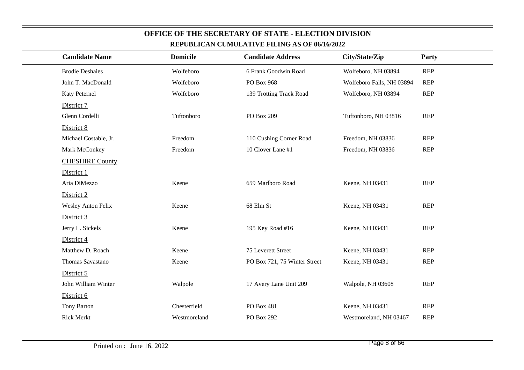| REPUBLICAN CUMULATIVE FILING AS OF 06/16/2022 |                 |                              |                           |              |  |  |  |  |
|-----------------------------------------------|-----------------|------------------------------|---------------------------|--------------|--|--|--|--|
| <b>Candidate Name</b>                         | <b>Domicile</b> | <b>Candidate Address</b>     | City/State/Zip            | <b>Party</b> |  |  |  |  |
| <b>Brodie Deshaies</b>                        | Wolfeboro       | 6 Frank Goodwin Road         | Wolfeboro, NH 03894       | <b>REP</b>   |  |  |  |  |
| John T. MacDonald                             | Wolfeboro       | PO Box 968                   | Wolfeboro Falls, NH 03894 | <b>REP</b>   |  |  |  |  |
| Katy Peternel                                 | Wolfeboro       | 139 Trotting Track Road      | Wolfeboro, NH 03894       | <b>REP</b>   |  |  |  |  |
| District 7                                    |                 |                              |                           |              |  |  |  |  |
| Glenn Cordelli                                | Tuftonboro      | PO Box 209                   | Tuftonboro, NH 03816      | <b>REP</b>   |  |  |  |  |
| District 8                                    |                 |                              |                           |              |  |  |  |  |
| Michael Costable, Jr.                         | Freedom         | 110 Cushing Corner Road      | Freedom, NH 03836         | <b>REP</b>   |  |  |  |  |
| Mark McConkey                                 | Freedom         | 10 Clover Lane #1            | Freedom, NH 03836         | <b>REP</b>   |  |  |  |  |
| <b>CHESHIRE County</b>                        |                 |                              |                           |              |  |  |  |  |
| District 1                                    |                 |                              |                           |              |  |  |  |  |
| Aria DiMezzo                                  | Keene           | 659 Marlboro Road            | Keene, NH 03431           | <b>REP</b>   |  |  |  |  |
| District 2                                    |                 |                              |                           |              |  |  |  |  |
| <b>Wesley Anton Felix</b>                     | Keene           | 68 Elm St                    | Keene, NH 03431           | <b>REP</b>   |  |  |  |  |
| District 3                                    |                 |                              |                           |              |  |  |  |  |
| Jerry L. Sickels                              | Keene           | 195 Key Road #16             | Keene, NH 03431           | <b>REP</b>   |  |  |  |  |
| District 4                                    |                 |                              |                           |              |  |  |  |  |
| Matthew D. Roach                              | Keene           | 75 Leverett Street           | Keene, NH 03431           | <b>REP</b>   |  |  |  |  |
| Thomas Savastano                              | Keene           | PO Box 721, 75 Winter Street | Keene, NH 03431           | <b>REP</b>   |  |  |  |  |
| District 5                                    |                 |                              |                           |              |  |  |  |  |
| John William Winter                           | Walpole         | 17 Avery Lane Unit 209       | Walpole, NH 03608         | <b>REP</b>   |  |  |  |  |
| District 6                                    |                 |                              |                           |              |  |  |  |  |
| Tony Barton                                   | Chesterfield    | PO Box 481                   | Keene, NH 03431           | <b>REP</b>   |  |  |  |  |
| <b>Rick Merkt</b>                             | Westmoreland    | PO Box 292                   | Westmoreland, NH 03467    | <b>REP</b>   |  |  |  |  |
|                                               |                 |                              |                           |              |  |  |  |  |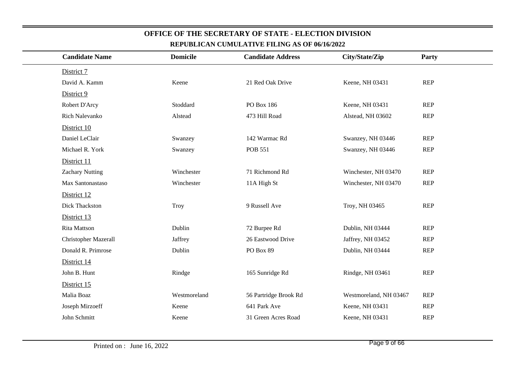| <b>Candidate Name</b>  |                                                                                                                                                                                      | City/State/Zip           | Party      |
|------------------------|--------------------------------------------------------------------------------------------------------------------------------------------------------------------------------------|--------------------------|------------|
|                        |                                                                                                                                                                                      |                          |            |
| David A. Kamm          | 21 Red Oak Drive                                                                                                                                                                     | Keene, NH 03431          | <b>REP</b> |
|                        |                                                                                                                                                                                      |                          |            |
|                        | PO Box 186                                                                                                                                                                           | Keene, NH 03431          | <b>REP</b> |
| Rich Nalevanko         | 473 Hill Road                                                                                                                                                                        | Alstead, NH 03602        | <b>REP</b> |
|                        |                                                                                                                                                                                      |                          |            |
| Daniel LeClair         | 142 Warmac Rd                                                                                                                                                                        | Swanzey, NH 03446        | <b>REP</b> |
| Michael R. York        | <b>POB 551</b>                                                                                                                                                                       | Swanzey, NH 03446        | <b>REP</b> |
|                        |                                                                                                                                                                                      |                          |            |
| <b>Zachary Nutting</b> | 71 Richmond Rd                                                                                                                                                                       | Winchester, NH 03470     | <b>REP</b> |
| Max Santonastaso       | 11A High St                                                                                                                                                                          | Winchester, NH 03470     | <b>REP</b> |
|                        |                                                                                                                                                                                      |                          |            |
| Dick Thackston         | 9 Russell Ave                                                                                                                                                                        | Troy, NH 03465           | <b>REP</b> |
|                        |                                                                                                                                                                                      |                          |            |
|                        | 72 Burpee Rd                                                                                                                                                                         | Dublin, NH 03444         | <b>REP</b> |
| Christopher Mazerall   | 26 Eastwood Drive                                                                                                                                                                    | Jaffrey, NH 03452        | <b>REP</b> |
| Donald R. Primrose     | PO Box 89                                                                                                                                                                            | Dublin, NH 03444         | <b>REP</b> |
|                        |                                                                                                                                                                                      |                          |            |
|                        | 165 Sunridge Rd                                                                                                                                                                      | Rindge, NH 03461         | <b>REP</b> |
|                        |                                                                                                                                                                                      |                          |            |
|                        | 56 Partridge Brook Rd                                                                                                                                                                | Westmoreland, NH 03467   | <b>REP</b> |
| Joseph Mirzoeff        | 641 Park Ave                                                                                                                                                                         | Keene, NH 03431          | <b>REP</b> |
|                        | 31 Green Acres Road                                                                                                                                                                  | Keene, NH 03431          | <b>REP</b> |
|                        | <b>Domicile</b><br>Keene<br>Stoddard<br>Alstead<br>Swanzey<br>Swanzey<br>Winchester<br>Winchester<br>Troy<br>Dublin<br>Jaffrey<br>Dublin<br>Rindge<br>Westmoreland<br>Keene<br>Keene | <b>Candidate Address</b> |            |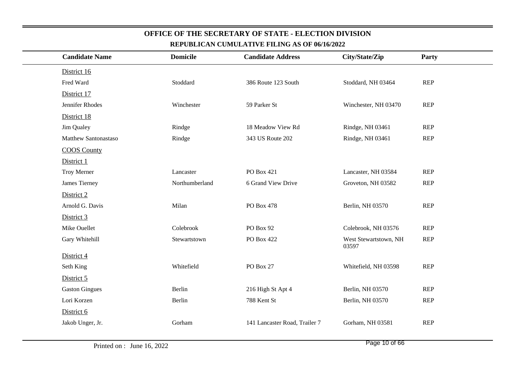| <b>Candidate Name</b> | <b>Domicile</b> | <b>Candidate Address</b>      | City/State/Zip                 | Party      |
|-----------------------|-----------------|-------------------------------|--------------------------------|------------|
| District 16           |                 |                               |                                |            |
| Fred Ward             | Stoddard        | 386 Route 123 South           | Stoddard, NH 03464             | <b>REP</b> |
| District 17           |                 |                               |                                |            |
| Jennifer Rhodes       | Winchester      | 59 Parker St                  | Winchester, NH 03470           | <b>REP</b> |
| District 18           |                 |                               |                                |            |
| Jim Qualey            | Rindge          | 18 Meadow View Rd             | Rindge, NH 03461               | <b>REP</b> |
| Matthew Santonastaso  | Rindge          | 343 US Route 202              | Rindge, NH 03461               | <b>REP</b> |
| <b>COOS</b> County    |                 |                               |                                |            |
| District 1            |                 |                               |                                |            |
| Troy Merner           | Lancaster       | PO Box 421                    | Lancaster, NH 03584            | <b>REP</b> |
| James Tierney         | Northumberland  | 6 Grand View Drive            | Groveton, NH 03582             | <b>REP</b> |
| District 2            |                 |                               |                                |            |
| Arnold G. Davis       | Milan           | PO Box 478                    | Berlin, NH 03570               | <b>REP</b> |
| District 3            |                 |                               |                                |            |
| Mike Ouellet          | Colebrook       | PO Box 92                     | Colebrook, NH 03576            | <b>REP</b> |
| Gary Whitehill        | Stewartstown    | PO Box 422                    | West Stewartstown, NH<br>03597 | <b>REP</b> |
| District 4            |                 |                               |                                |            |
| Seth King             | Whitefield      | PO Box 27                     | Whitefield, NH 03598           | <b>REP</b> |
| District 5            |                 |                               |                                |            |
| <b>Gaston Gingues</b> | Berlin          | 216 High St Apt 4             | Berlin, NH 03570               | <b>REP</b> |
| Lori Korzen           | Berlin          | 788 Kent St                   | Berlin, NH 03570               | <b>REP</b> |
| District 6            |                 |                               |                                |            |
| Jakob Unger, Jr.      | Gorham          | 141 Lancaster Road, Trailer 7 | Gorham, NH 03581               | <b>REP</b> |
|                       |                 |                               |                                |            |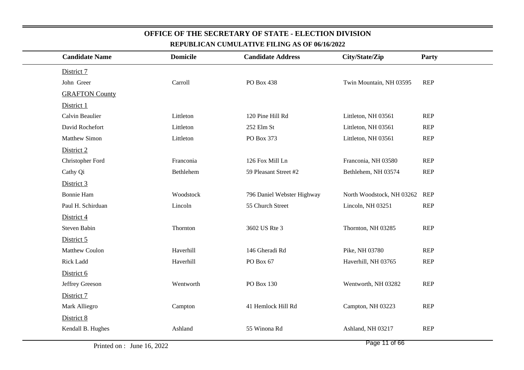| <u>KEFUDLIUAN UUMULATIVE FILING AS OF 00/10/2022</u> |                 |                            |                           |            |  |  |  |
|------------------------------------------------------|-----------------|----------------------------|---------------------------|------------|--|--|--|
| <b>Candidate Name</b>                                | <b>Domicile</b> | <b>Candidate Address</b>   | City/State/Zip            | Party      |  |  |  |
| District 7                                           |                 |                            |                           |            |  |  |  |
| John Greer                                           | Carroll         | PO Box 438                 | Twin Mountain, NH 03595   | <b>REP</b> |  |  |  |
| <b>GRAFTON County</b>                                |                 |                            |                           |            |  |  |  |
| District 1                                           |                 |                            |                           |            |  |  |  |
| Calvin Beaulier                                      | Littleton       | 120 Pine Hill Rd           | Littleton, NH 03561       | <b>REP</b> |  |  |  |
| David Rochefort                                      | Littleton       | 252 Elm St                 | Littleton, NH 03561       | <b>REP</b> |  |  |  |
| <b>Matthew Simon</b>                                 | Littleton       | PO Box 373                 | Littleton, NH 03561       | <b>REP</b> |  |  |  |
| District 2                                           |                 |                            |                           |            |  |  |  |
| Christopher Ford                                     | Franconia       | 126 Fox Mill Ln            | Franconia, NH 03580       | <b>REP</b> |  |  |  |
| Cathy Qi                                             | Bethlehem       | 59 Pleasant Street #2      | Bethlehem, NH 03574       | <b>REP</b> |  |  |  |
| District 3                                           |                 |                            |                           |            |  |  |  |
| <b>Bonnie Ham</b>                                    | Woodstock       | 796 Daniel Webster Highway | North Woodstock, NH 03262 | REP        |  |  |  |
| Paul H. Schirduan                                    | Lincoln         | 55 Church Street           | Lincoln, NH 03251         | <b>REP</b> |  |  |  |
| District 4                                           |                 |                            |                           |            |  |  |  |
| Steven Babin                                         | Thornton        | 3602 US Rte 3              | Thornton, NH 03285        | <b>REP</b> |  |  |  |
| District 5                                           |                 |                            |                           |            |  |  |  |
| <b>Matthew Coulon</b>                                | Haverhill       | 146 Gheradi Rd             | Pike, NH 03780            | <b>REP</b> |  |  |  |
| Rick Ladd                                            | Haverhill       | PO Box 67                  | Haverhill, NH 03765       | <b>REP</b> |  |  |  |
| District 6                                           |                 |                            |                           |            |  |  |  |
| Jeffrey Greeson                                      | Wentworth       | PO Box 130                 | Wentworth, NH 03282       | <b>REP</b> |  |  |  |
| District 7                                           |                 |                            |                           |            |  |  |  |
| Mark Alliegro                                        | Campton         | 41 Hemlock Hill Rd         | Campton, NH 03223         | <b>REP</b> |  |  |  |
| District 8                                           |                 |                            |                           |            |  |  |  |
| Kendall B. Hughes                                    | Ashland         | 55 Winona Rd               | Ashland, NH 03217         | <b>REP</b> |  |  |  |
|                                                      |                 |                            |                           |            |  |  |  |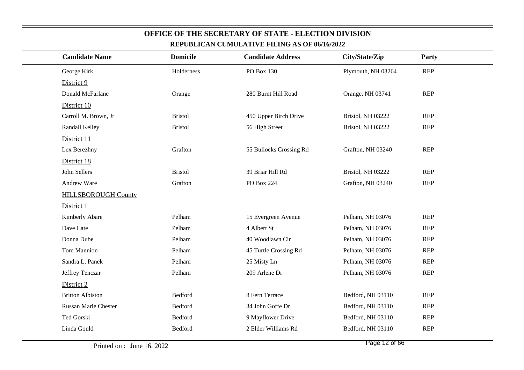| <b>Candidate Name</b>      | <b>Domicile</b> | <b>Candidate Address</b> | City/State/Zip     | Party      |  |
|----------------------------|-----------------|--------------------------|--------------------|------------|--|
| George Kirk                | Holderness      | PO Box 130               | Plymouth, NH 03264 | <b>REP</b> |  |
| District 9                 |                 |                          |                    |            |  |
| Donald McFarlane           | Orange          | 280 Burnt Hill Road      | Orange, NH 03741   | <b>REP</b> |  |
| District 10                |                 |                          |                    |            |  |
| Carroll M. Brown, Jr       | <b>Bristol</b>  | 450 Upper Birch Drive    | Bristol, NH 03222  | <b>REP</b> |  |
| Randall Kelley             | <b>Bristol</b>  | 56 High Street           | Bristol, NH 03222  | <b>REP</b> |  |
| District 11                |                 |                          |                    |            |  |
| Lex Berezhny               | Grafton         | 55 Bullocks Crossing Rd  | Grafton, NH 03240  | <b>REP</b> |  |
| District 18                |                 |                          |                    |            |  |
| John Sellers               | <b>Bristol</b>  | 39 Briar Hill Rd         | Bristol, NH 03222  | <b>REP</b> |  |
| Andrew Ware                | Grafton         | PO Box 224               | Grafton, NH 03240  | <b>REP</b> |  |
| <b>HILLSBOROUGH County</b> |                 |                          |                    |            |  |
| District 1                 |                 |                          |                    |            |  |
| Kimberly Abare             | Pelham          | 15 Evergreen Avenue      | Pelham, NH 03076   | <b>REP</b> |  |
| Dave Cate                  | Pelham          | 4 Albert St              | Pelham, NH 03076   | <b>REP</b> |  |
| Donna Dube                 | Pelham          | 40 Woodlawn Cir          | Pelham, NH 03076   | <b>REP</b> |  |
| <b>Tom Mannion</b>         | Pelham          | 45 Turtle Crossing Rd    | Pelham, NH 03076   | <b>REP</b> |  |
| Sandra L. Panek            | Pelham          | 25 Misty Ln              | Pelham, NH 03076   | <b>REP</b> |  |
| Jeffrey Tenczar            | Pelham          | 209 Arlene Dr            | Pelham, NH 03076   | <b>REP</b> |  |
| District 2                 |                 |                          |                    |            |  |
| <b>Britton Albiston</b>    | Bedford         | 8 Fern Terrace           | Bedford, NH 03110  | <b>REP</b> |  |
| Russan Marie Chester       | Bedford         | 34 John Goffe Dr         | Bedford, NH 03110  | <b>REP</b> |  |
| Ted Gorski                 | Bedford         | 9 Mayflower Drive        | Bedford, NH 03110  | <b>REP</b> |  |
| Linda Gould                | Bedford         | 2 Elder Williams Rd      | Bedford, NH 03110  | <b>REP</b> |  |
|                            |                 |                          |                    |            |  |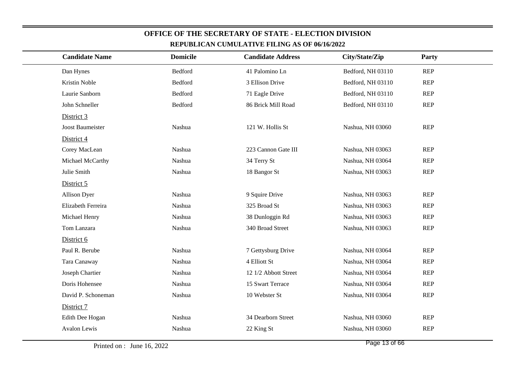| <u>KEFUDLIUAN UUMULATIVE FILING AS OF 90/10/2022</u> |                 |                          |                   |            |  |  |
|------------------------------------------------------|-----------------|--------------------------|-------------------|------------|--|--|
| <b>Candidate Name</b>                                | <b>Domicile</b> | <b>Candidate Address</b> | City/State/Zip    | Party      |  |  |
| Dan Hynes                                            | <b>Bedford</b>  | 41 Palomino Ln           | Bedford, NH 03110 | <b>REP</b> |  |  |
| Kristin Noble                                        | Bedford         | 3 Ellison Drive          | Bedford, NH 03110 | <b>REP</b> |  |  |
| Laurie Sanborn                                       | Bedford         | 71 Eagle Drive           | Bedford, NH 03110 | <b>REP</b> |  |  |
| John Schneller                                       | <b>Bedford</b>  | 86 Brick Mill Road       | Bedford, NH 03110 | <b>REP</b> |  |  |
| District 3                                           |                 |                          |                   |            |  |  |
| Joost Baumeister                                     | Nashua          | 121 W. Hollis St         | Nashua, NH 03060  | <b>REP</b> |  |  |
| District 4                                           |                 |                          |                   |            |  |  |
| Corey MacLean                                        | Nashua          | 223 Cannon Gate III      | Nashua, NH 03063  | <b>REP</b> |  |  |
| Michael McCarthy                                     | Nashua          | 34 Terry St              | Nashua, NH 03064  | <b>REP</b> |  |  |
| Julie Smith                                          | Nashua          | 18 Bangor St             | Nashua, NH 03063  | <b>REP</b> |  |  |
| District 5                                           |                 |                          |                   |            |  |  |
| <b>Allison Dyer</b>                                  | Nashua          | 9 Squire Drive           | Nashua, NH 03063  | <b>REP</b> |  |  |
| Elizabeth Ferreira                                   | Nashua          | 325 Broad St             | Nashua, NH 03063  | <b>REP</b> |  |  |
| Michael Henry                                        | Nashua          | 38 Dunloggin Rd          | Nashua, NH 03063  | <b>REP</b> |  |  |
| Tom Lanzara                                          | Nashua          | 340 Broad Street         | Nashua, NH 03063  | <b>REP</b> |  |  |
| District 6                                           |                 |                          |                   |            |  |  |
| Paul R. Berube                                       | Nashua          | 7 Gettysburg Drive       | Nashua, NH 03064  | <b>REP</b> |  |  |
| Tara Canaway                                         | Nashua          | 4 Elliott St             | Nashua, NH 03064  | <b>REP</b> |  |  |
| Joseph Chartier                                      | Nashua          | 12 1/2 Abbott Street     | Nashua, NH 03064  | <b>REP</b> |  |  |
| Doris Hohensee                                       | Nashua          | 15 Swart Terrace         | Nashua, NH 03064  | <b>REP</b> |  |  |
| David P. Schoneman                                   | Nashua          | 10 Webster St            | Nashua, NH 03064  | <b>REP</b> |  |  |
| District 7                                           |                 |                          |                   |            |  |  |
| Edith Dee Hogan                                      | Nashua          | 34 Dearborn Street       | Nashua, NH 03060  | <b>REP</b> |  |  |
| Avalon Lewis                                         | Nashua          | 22 King St               | Nashua, NH 03060  | <b>REP</b> |  |  |
|                                                      |                 |                          |                   |            |  |  |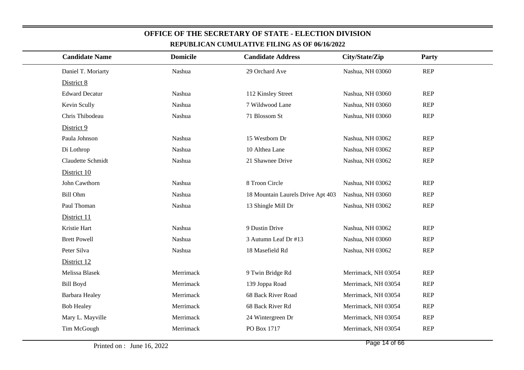| <b>Candidate Name</b> | <b>Domicile</b> | <b>Candidate Address</b>          | City/State/Zip      | Party      |
|-----------------------|-----------------|-----------------------------------|---------------------|------------|
|                       |                 |                                   |                     |            |
| Daniel T. Moriarty    | Nashua          | 29 Orchard Ave                    | Nashua, NH 03060    | <b>REP</b> |
| District 8            |                 |                                   |                     |            |
| <b>Edward Decatur</b> | Nashua          | 112 Kinsley Street                | Nashua, NH 03060    | <b>REP</b> |
| Kevin Scully          | Nashua          | 7 Wildwood Lane                   | Nashua, NH 03060    | <b>REP</b> |
| Chris Thibodeau       | Nashua          | 71 Blossom St                     | Nashua, NH 03060    | <b>REP</b> |
| District 9            |                 |                                   |                     |            |
| Paula Johnson         | Nashua          | 15 Westborn Dr                    | Nashua, NH 03062    | <b>REP</b> |
| Di Lothrop            | Nashua          | 10 Althea Lane                    | Nashua, NH 03062    | <b>REP</b> |
| Claudette Schmidt     | Nashua          | 21 Shawnee Drive                  | Nashua, NH 03062    | <b>REP</b> |
| District 10           |                 |                                   |                     |            |
| John Cawthorn         | Nashua          | 8 Troon Circle                    | Nashua, NH 03062    | <b>REP</b> |
| <b>Bill Ohm</b>       | Nashua          | 18 Mountain Laurels Drive Apt 403 | Nashua, NH 03060    | <b>REP</b> |
| Paul Thoman           | Nashua          | 13 Shingle Mill Dr                | Nashua, NH 03062    | <b>REP</b> |
| District 11           |                 |                                   |                     |            |
| Kristie Hart          | Nashua          | 9 Dustin Drive                    | Nashua, NH 03062    | <b>REP</b> |
| <b>Brett Powell</b>   | Nashua          | 3 Autumn Leaf Dr #13              | Nashua, NH 03060    | <b>REP</b> |
| Peter Silva           | Nashua          | 18 Masefield Rd                   | Nashua, NH 03062    | <b>REP</b> |
| District 12           |                 |                                   |                     |            |
| Melissa Blasek        | Merrimack       | 9 Twin Bridge Rd                  | Merrimack, NH 03054 | <b>REP</b> |
| <b>Bill Boyd</b>      | Merrimack       | 139 Joppa Road                    | Merrimack, NH 03054 | <b>REP</b> |
| Barbara Healey        | Merrimack       | 68 Back River Road                | Merrimack, NH 03054 | <b>REP</b> |
| <b>Bob Healey</b>     | Merrimack       | 68 Back River Rd                  | Merrimack, NH 03054 | <b>REP</b> |
| Mary L. Mayville      | Merrimack       | 24 Wintergreen Dr                 | Merrimack, NH 03054 | <b>REP</b> |
| Tim McGough           | Merrimack       | PO Box 1717                       | Merrimack, NH 03054 | <b>REP</b> |
|                       |                 |                                   |                     |            |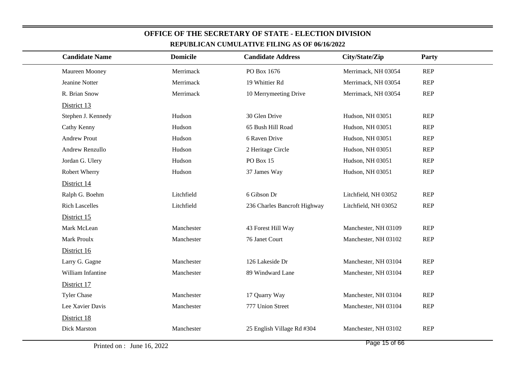| <b>Candidate Name</b> | <b>Domicile</b> | <b>Candidate Address</b>     | City/State/Zip       | Party      |
|-----------------------|-----------------|------------------------------|----------------------|------------|
| Maureen Mooney        | Merrimack       | PO Box 1676                  | Merrimack, NH 03054  | <b>REP</b> |
| Jeanine Notter        | Merrimack       | 19 Whittier Rd               | Merrimack, NH 03054  | <b>REP</b> |
| R. Brian Snow         | Merrimack       | 10 Merrymeeting Drive        | Merrimack, NH 03054  | <b>REP</b> |
| District 13           |                 |                              |                      |            |
| Stephen J. Kennedy    | Hudson          | 30 Glen Drive                | Hudson, NH 03051     | <b>REP</b> |
| Cathy Kenny           | Hudson          | 65 Bush Hill Road            | Hudson, NH 03051     | <b>REP</b> |
| <b>Andrew Prout</b>   | Hudson          | 6 Raven Drive                | Hudson, NH 03051     | <b>REP</b> |
| Andrew Renzullo       | Hudson          | 2 Heritage Circle            | Hudson, NH 03051     | <b>REP</b> |
| Jordan G. Ulery       | Hudson          | PO Box 15                    | Hudson, NH 03051     | <b>REP</b> |
| Robert Wherry         | Hudson          | 37 James Way                 | Hudson, NH 03051     | <b>REP</b> |
| District 14           |                 |                              |                      |            |
| Ralph G. Boehm        | Litchfield      | 6 Gibson Dr                  | Litchfield, NH 03052 | <b>REP</b> |
| <b>Rich Lascelles</b> | Litchfield      | 236 Charles Bancroft Highway | Litchfield, NH 03052 | <b>REP</b> |
| District 15           |                 |                              |                      |            |
| Mark McLean           | Manchester      | 43 Forest Hill Way           | Manchester, NH 03109 | <b>REP</b> |
| Mark Proulx           | Manchester      | 76 Janet Court               | Manchester, NH 03102 | <b>REP</b> |
| District 16           |                 |                              |                      |            |
| Larry G. Gagne        | Manchester      | 126 Lakeside Dr              | Manchester, NH 03104 | <b>REP</b> |
| William Infantine     | Manchester      | 89 Windward Lane             | Manchester, NH 03104 | <b>REP</b> |
| District 17           |                 |                              |                      |            |
| <b>Tyler Chase</b>    | Manchester      | 17 Quarry Way                | Manchester, NH 03104 | <b>REP</b> |
| Lee Xavier Davis      | Manchester      | 777 Union Street             | Manchester, NH 03104 | <b>REP</b> |
| District 18           |                 |                              |                      |            |
| Dick Marston          | Manchester      | 25 English Village Rd #304   | Manchester, NH 03102 | <b>REP</b> |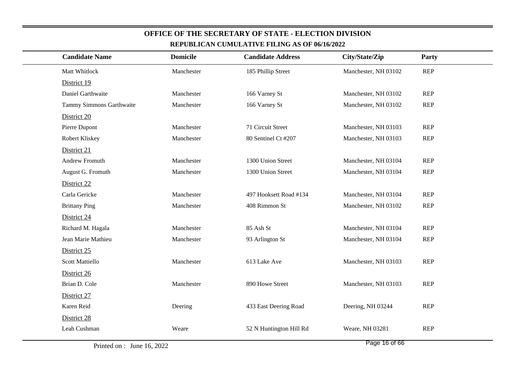| <b>Candidate Name</b>    | <b>Domicile</b> | <b>Candidate Address</b> | City/State/Zip       | Party      |
|--------------------------|-----------------|--------------------------|----------------------|------------|
| Matt Whitlock            | Manchester      | 185 Phillip Street       | Manchester, NH 03102 | <b>REP</b> |
| District 19              |                 |                          |                      |            |
| Daniel Garthwaite        | Manchester      | 166 Varney St            | Manchester, NH 03102 | <b>REP</b> |
| Tammy Simmons Garthwaite | Manchester      | 166 Varney St            | Manchester, NH 03102 | <b>REP</b> |
| District 20              |                 |                          |                      |            |
| Pierre Dupont            | Manchester      | 71 Circuit Street        | Manchester, NH 03103 | <b>REP</b> |
| Robert Kliskey           | Manchester      | 80 Sentinel Ct #207      | Manchester, NH 03103 | <b>REP</b> |
| District 21              |                 |                          |                      |            |
| Andrew Fromuth           | Manchester      | 1300 Union Street        | Manchester, NH 03104 | <b>REP</b> |
| August G. Fromuth        | Manchester      | 1300 Union Street        | Manchester, NH 03104 | <b>REP</b> |
| District 22              |                 |                          |                      |            |
| Carla Gericke            | Manchester      | 497 Hooksett Road #134   | Manchester, NH 03104 | <b>REP</b> |
| <b>Brittany Ping</b>     | Manchester      | 408 Rimmon St            | Manchester, NH 03102 | <b>REP</b> |
| District 24              |                 |                          |                      |            |
| Richard M. Hagala        | Manchester      | 85 Ash St                | Manchester, NH 03104 | <b>REP</b> |
| Jean Marie Mathieu       | Manchester      | 93 Arlington St          | Manchester, NH 03104 | <b>REP</b> |
| District 25              |                 |                          |                      |            |
| <b>Scott Mattiello</b>   | Manchester      | 613 Lake Ave             | Manchester, NH 03103 | <b>REP</b> |
| District 26              |                 |                          |                      |            |
| Brian D. Cole            | Manchester      | 890 Howe Street          | Manchester, NH 03103 | <b>REP</b> |
| District 27              |                 |                          |                      |            |
| Karen Reid               | Deering         | 433 East Deering Road    | Deering, NH 03244    | <b>REP</b> |
| District 28              |                 |                          |                      |            |
| Leah Cushman             | Weare           | 52 N Huntington Hill Rd  | Weare, NH 03281      | <b>REP</b> |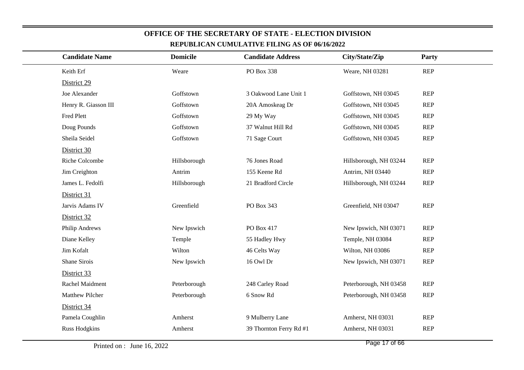| <b>Candidate Name</b> | <b>Domicile</b> | <b>Candidate Address</b> | City/State/Zip         | Party      |
|-----------------------|-----------------|--------------------------|------------------------|------------|
| Keith Erf             | Weare           | PO Box 338               | Weare, NH 03281        | <b>REP</b> |
| District 29           |                 |                          |                        |            |
| Joe Alexander         | Goffstown       | 3 Oakwood Lane Unit 1    | Goffstown, NH 03045    | <b>REP</b> |
| Henry R. Giasson III  | Goffstown       | 20A Amoskeag Dr          | Goffstown, NH 03045    | <b>REP</b> |
| Fred Plett            | Goffstown       | 29 My Way                | Goffstown, NH 03045    | <b>REP</b> |
| Doug Pounds           | Goffstown       | 37 Walnut Hill Rd        | Goffstown, NH 03045    | <b>REP</b> |
| Sheila Seidel         | Goffstown       | 71 Sage Court            | Goffstown, NH 03045    | <b>REP</b> |
| District 30           |                 |                          |                        |            |
| Riche Colcombe        | Hillsborough    | 76 Jones Road            | Hillsborough, NH 03244 | <b>REP</b> |
| Jim Creighton         | Antrim          | 155 Keene Rd             | Antrim, NH 03440       | <b>REP</b> |
| James L. Fedolfi      | Hillsborough    | 21 Bradford Circle       | Hillsborough, NH 03244 | <b>REP</b> |
| District 31           |                 |                          |                        |            |
| Jarvis Adams IV       | Greenfield      | PO Box 343               | Greenfield, NH 03047   | <b>REP</b> |
| District 32           |                 |                          |                        |            |
| Philip Andrews        | New Ipswich     | PO Box 417               | New Ipswich, NH 03071  | <b>REP</b> |
| Diane Kelley          | Temple          | 55 Hadley Hwy            | Temple, NH 03084       | <b>REP</b> |
| Jim Kofalt            | Wilton          | 46 Celts Way             | Wilton, NH 03086       | <b>REP</b> |
| Shane Sirois          | New Ipswich     | 16 Owl Dr                | New Ipswich, NH 03071  | <b>REP</b> |
| District 33           |                 |                          |                        |            |
| Rachel Maidment       | Peterborough    | 248 Carley Road          | Peterborough, NH 03458 | <b>REP</b> |
| Matthew Pilcher       | Peterborough    | 6 Snow Rd                | Peterborough, NH 03458 | <b>REP</b> |
| District 34           |                 |                          |                        |            |
| Pamela Coughlin       | Amherst         | 9 Mulberry Lane          | Amherst, NH 03031      | <b>REP</b> |
| <b>Russ Hodgkins</b>  | Amherst         | 39 Thornton Ferry Rd #1  | Amherst, NH 03031      | <b>REP</b> |
|                       |                 |                          |                        |            |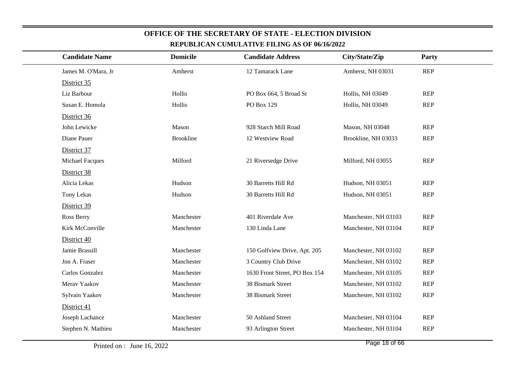| <b>Candidate Name</b>  | <b>Domicile</b>  | <b>Candidate Address</b>      | City/State/Zip          | <b>Party</b> |  |
|------------------------|------------------|-------------------------------|-------------------------|--------------|--|
| James M. O'Mara, Jr    | Amherst          | 12 Tamarack Lane              | Amherst, NH 03031       | <b>REP</b>   |  |
| District 35            |                  |                               |                         |              |  |
| Liz Barbour            | Hollis           | PO Box 664, 5 Broad St        | <b>Hollis, NH 03049</b> | <b>REP</b>   |  |
| Susan E. Homola        | Hollis           | PO Box 129                    | Hollis, NH 03049        | <b>REP</b>   |  |
| District 36            |                  |                               |                         |              |  |
| John Lewicke           | Mason            | 928 Starch Mill Road          | Mason, NH 03048         | <b>REP</b>   |  |
| Diane Pauer            | <b>Brookline</b> | 12 Westview Road              | Brookline, NH 03033     | <b>REP</b>   |  |
| District 37            |                  |                               |                         |              |  |
| <b>Michael Facques</b> | Milford          | 21 Riversedge Drive           | Milford, NH 03055       | <b>REP</b>   |  |
| District 38            |                  |                               |                         |              |  |
| Alicia Lekas           | Hudson           | 30 Barretts Hill Rd           | Hudson, NH 03051        | <b>REP</b>   |  |
| Tony Lekas             | Hudson           | 30 Barretts Hill Rd           | Hudson, NH 03051        | <b>REP</b>   |  |
| District 39            |                  |                               |                         |              |  |
| Ross Berry             | Manchester       | 401 Riverdale Ave             | Manchester, NH 03103    | <b>REP</b>   |  |
| Kirk McConville        | Manchester       | 130 Linda Lane                | Manchester, NH 03104    | <b>REP</b>   |  |
| District 40            |                  |                               |                         |              |  |
| Jamie Brassill         | Manchester       | 150 Golfview Drive, Apt. 205  | Manchester, NH 03102    | <b>REP</b>   |  |
| Jon A. Fraser          | Manchester       | 3 Country Club Drive          | Manchester, NH 03102    | <b>REP</b>   |  |
| Carlos Gonzalez        | Manchester       | 1630 Front Street, PO Box 154 | Manchester, NH 03105    | <b>REP</b>   |  |
| Merav Yaakov           | Manchester       | 38 Bismark Street             | Manchester, NH 03102    | <b>REP</b>   |  |
| Sylvain Yaakov         | Manchester       | 38 Bismark Street             | Manchester, NH 03102    | <b>REP</b>   |  |
| District 41            |                  |                               |                         |              |  |
| Joseph Lachance        | Manchester       | 50 Ashland Street             | Manchester, NH 03104    | <b>REP</b>   |  |
| Stephen N. Mathieu     | Manchester       | 93 Arlington Street           | Manchester, NH 03104    | <b>REP</b>   |  |
|                        |                  |                               |                         |              |  |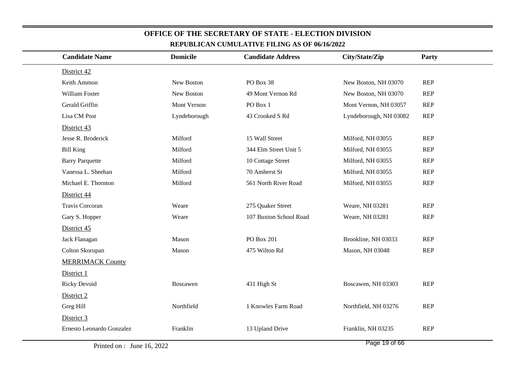| <b>Candidate Name</b>     | <b>Domicile</b> | <b>Candidate Address</b> | City/State/Zip         | Party      |
|---------------------------|-----------------|--------------------------|------------------------|------------|
| District 42               |                 |                          |                        |            |
| Keith Ammon               | New Boston      | PO Box 38                | New Boston, NH 03070   | <b>REP</b> |
| William Foster            | New Boston      | 49 Mont Vernon Rd        | New Boston, NH 03070   | <b>REP</b> |
| Gerald Griffin            | Mont Vernon     | PO Box 1                 | Mont Vernon, NH 03057  | <b>REP</b> |
| Lisa CM Post              | Lyndeborough    | 43 Crooked S Rd          | Lyndeborough, NH 03082 | <b>REP</b> |
| District 43               |                 |                          |                        |            |
| Jesse R. Broderick        | Milford         | 15 Wall Street           | Milford, NH 03055      | <b>REP</b> |
| <b>Bill King</b>          | Milford         | 344 Elm Street Unit 5    | Milford, NH 03055      | <b>REP</b> |
| <b>Barry Parquette</b>    | Milford         | 10 Cottage Street        | Milford, NH 03055      | <b>REP</b> |
| Vanessa L. Sheehan        | Milford         | 70 Amherst St            | Milford, NH 03055      | <b>REP</b> |
| Michael E. Thornton       | Milford         | 561 North River Road     | Milford, NH 03055      | <b>REP</b> |
| District 44               |                 |                          |                        |            |
| Travis Corcoran           | Weare           | 275 Quaker Street        | Weare, NH 03281        | <b>REP</b> |
| Gary S. Hopper            | Weare           | 107 Buxton School Road   | Weare, NH 03281        | <b>REP</b> |
| District 45               |                 |                          |                        |            |
| Jack Flanagan             | Mason           | <b>PO Box 201</b>        | Brookline, NH 03033    | <b>REP</b> |
| Colton Skorupan           | Mason           | 475 Wilton Rd            | Mason, NH 03048        | <b>REP</b> |
| <b>MERRIMACK County</b>   |                 |                          |                        |            |
| District 1                |                 |                          |                        |            |
| <b>Ricky Devoid</b>       | Boscawen        | 431 High St              | Boscawen, NH 03303     | <b>REP</b> |
| District 2                |                 |                          |                        |            |
| Greg Hill                 | Northfield      | 1 Knowles Farm Road      | Northfield, NH 03276   | <b>REP</b> |
| District 3                |                 |                          |                        |            |
| Ernesto Leonardo Gonzalez | Franklin        | 13 Upland Drive          | Franklin, NH 03235     | <b>REP</b> |
|                           |                 |                          | $D_{0.92}$ 10 of $66$  |            |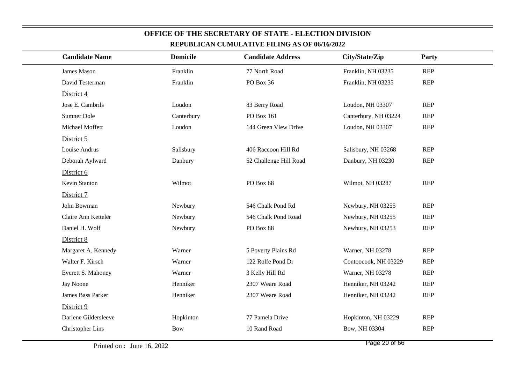| <u>KEI UDLIUAN UUMULATI VE FILING AS OF 00/10/2022</u> |                 |                          |                      |            |  |  |
|--------------------------------------------------------|-----------------|--------------------------|----------------------|------------|--|--|
| <b>Candidate Name</b>                                  | <b>Domicile</b> | <b>Candidate Address</b> | City/State/Zip       | Party      |  |  |
| James Mason                                            | Franklin        | 77 North Road            | Franklin, NH 03235   | <b>REP</b> |  |  |
| David Testerman                                        | Franklin        | PO Box 36                | Franklin, NH 03235   | <b>REP</b> |  |  |
| District 4                                             |                 |                          |                      |            |  |  |
| Jose E. Cambrils                                       | Loudon          | 83 Berry Road            | Loudon, NH 03307     | <b>REP</b> |  |  |
| Sumner Dole                                            | Canterbury      | PO Box 161               | Canterbury, NH 03224 | <b>REP</b> |  |  |
| Michael Moffett                                        | Loudon          | 144 Green View Drive     | Loudon, NH 03307     | <b>REP</b> |  |  |
| District 5                                             |                 |                          |                      |            |  |  |
| Louise Andrus                                          | Salisbury       | 406 Raccoon Hill Rd      | Salisbury, NH 03268  | <b>REP</b> |  |  |
| Deborah Aylward                                        | Danbury         | 52 Challenge Hill Road   | Danbury, NH 03230    | <b>REP</b> |  |  |
| District 6                                             |                 |                          |                      |            |  |  |
| Kevin Stanton                                          | Wilmot          | PO Box 68                | Wilmot, NH 03287     | <b>REP</b> |  |  |
| District 7                                             |                 |                          |                      |            |  |  |
| John Bowman                                            | Newbury         | 546 Chalk Pond Rd        | Newbury, NH 03255    | <b>REP</b> |  |  |
| Claire Ann Ketteler                                    | Newbury         | 546 Chalk Pond Road      | Newbury, NH 03255    | <b>REP</b> |  |  |
| Daniel H. Wolf                                         | Newbury         | PO Box 88                | Newbury, NH 03253    | <b>REP</b> |  |  |
| District 8                                             |                 |                          |                      |            |  |  |
| Margaret A. Kennedy                                    | Warner          | 5 Poverty Plains Rd      | Warner, NH 03278     | <b>REP</b> |  |  |
| Walter F. Kirsch                                       | Warner          | 122 Rolfe Pond Dr        | Contoocook, NH 03229 | <b>REP</b> |  |  |
| Everett S. Mahoney                                     | Warner          | 3 Kelly Hill Rd          | Warner, NH 03278     | <b>REP</b> |  |  |
| Jay Noone                                              | Henniker        | 2307 Weare Road          | Henniker, NH 03242   | <b>REP</b> |  |  |
| <b>James Bass Parker</b>                               | Henniker        | 2307 Weare Road          | Henniker, NH 03242   | <b>REP</b> |  |  |
| District 9                                             |                 |                          |                      |            |  |  |
| Darlene Gildersleeve                                   | Hopkinton       | 77 Pamela Drive          | Hopkinton, NH 03229  | <b>REP</b> |  |  |
| <b>Christopher Lins</b>                                | <b>Bow</b>      | 10 Rand Road             | Bow, NH 03304        | <b>REP</b> |  |  |
|                                                        |                 |                          |                      |            |  |  |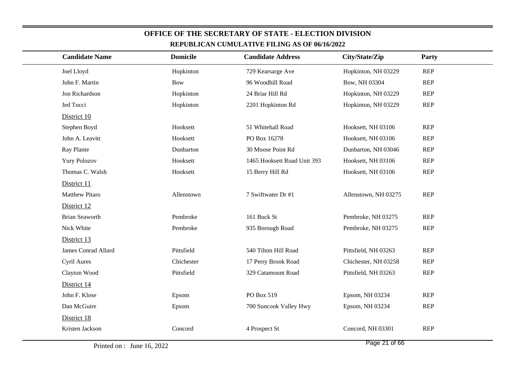| <b>Candidate Name</b> | <b>Domicile</b> | <b>Candidate Address</b>    | City/State/Zip       | Party      |  |
|-----------------------|-----------------|-----------------------------|----------------------|------------|--|
| Joel Lloyd            | Hopkinton       | 729 Kearsarge Ave           | Hopkinton, NH 03229  | <b>REP</b> |  |
| John F. Martin        | <b>Bow</b>      | 96 Woodhill Road            | Bow, NH 03304        | <b>REP</b> |  |
| Jon Richardson        | Hopkinton       | 24 Briar Hill Rd            | Hopkinton, NH 03229  | <b>REP</b> |  |
| Jed Tocci             | Hopkinton       | 2201 Hopkinton Rd           | Hopkinton, NH 03229  | <b>REP</b> |  |
| District 10           |                 |                             |                      |            |  |
| Stephen Boyd          | Hooksett        | 51 Whitehall Road           | Hooksett, NH 03106   | <b>REP</b> |  |
| John A. Leavitt       | Hooksett        | PO Box 16278                | Hooksett, NH 03106   | <b>REP</b> |  |
| Ray Plante            | Dunbarton       | 30 Moose Point Rd           | Dunbarton, NH 03046  | <b>REP</b> |  |
| <b>Yury Polozov</b>   | Hooksett        | 1465 Hooksett Road Unit 393 | Hooksett, NH 03106   | <b>REP</b> |  |
| Thomas C. Walsh       | Hooksett        | 15 Berry Hill Rd            | Hooksett, NH 03106   | <b>REP</b> |  |
| District 11           |                 |                             |                      |            |  |
| <b>Matthew Pitaro</b> | Allenstown      | 7 Swiftwater Dr #1          | Allenstown, NH 03275 | <b>REP</b> |  |
| District 12           |                 |                             |                      |            |  |
| <b>Brian Seaworth</b> | Pembroke        | 161 Buck St                 | Pembroke, NH 03275   | <b>REP</b> |  |
| Nick White            | Pembroke        | 935 Borough Road            | Pembroke, NH 03275   | <b>REP</b> |  |
| District 13           |                 |                             |                      |            |  |
| James Conrad Allard   | Pittsfield      | 540 Tilton Hill Road        | Pittsfield, NH 03263 | <b>REP</b> |  |
| Cyril Aures           | Chichester      | 17 Perry Brook Road         | Chichester, NH 03258 | <b>REP</b> |  |
| Clayton Wood          | Pittsfield      | 329 Catamount Road          | Pittsfield, NH 03263 | <b>REP</b> |  |
| District 14           |                 |                             |                      |            |  |
| John F. Klose         | Epsom           | PO Box 519                  | Epsom, NH 03234      | <b>REP</b> |  |
| Dan McGuire           | Epsom           | 700 Suncook Valley Hwy      | Epsom, NH 03234      | <b>REP</b> |  |
| District 18           |                 |                             |                      |            |  |
| Kristen Jackson       | Concord         | 4 Prospect St               | Concord, NH 03301    | <b>REP</b> |  |
|                       |                 |                             |                      |            |  |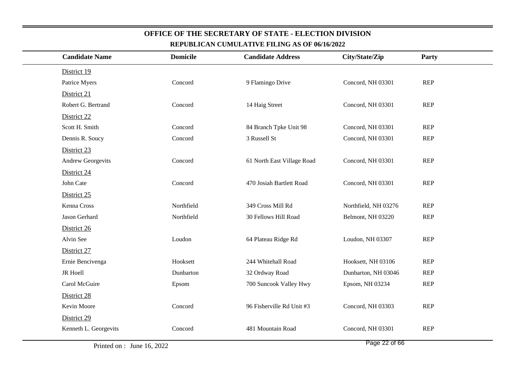| <b>Candidate Name</b>    | <b>Domicile</b> | <b>Candidate Address</b>   | City/State/Zip       | <b>Party</b> |  |
|--------------------------|-----------------|----------------------------|----------------------|--------------|--|
| District 19              |                 |                            |                      |              |  |
| Patrice Myers            | Concord         | 9 Flamingo Drive           | Concord, NH 03301    | <b>REP</b>   |  |
| District 21              |                 |                            |                      |              |  |
| Robert G. Bertrand       | Concord         | 14 Haig Street             | Concord, NH 03301    | <b>REP</b>   |  |
| District 22              |                 |                            |                      |              |  |
| Scott H. Smith           | Concord         | 84 Branch Tpke Unit 98     | Concord, NH 03301    | <b>REP</b>   |  |
| Dennis R. Soucy          | Concord         | 3 Russell St               | Concord, NH 03301    | <b>REP</b>   |  |
| District 23              |                 |                            |                      |              |  |
| <b>Andrew Georgevits</b> | Concord         | 61 North East Village Road | Concord, NH 03301    | <b>REP</b>   |  |
| District 24              |                 |                            |                      |              |  |
| John Cate                | Concord         | 470 Josiah Bartlett Road   | Concord, NH 03301    | <b>REP</b>   |  |
| District 25              |                 |                            |                      |              |  |
| Kenna Cross              | Northfield      | 349 Cross Mill Rd          | Northfield, NH 03276 | <b>REP</b>   |  |
| Jason Gerhard            | Northfield      | 30 Fellows Hill Road       | Belmont, NH 03220    | <b>REP</b>   |  |
| District 26              |                 |                            |                      |              |  |
| Alvin See                | Loudon          | 64 Plateau Ridge Rd        | Loudon, NH 03307     | <b>REP</b>   |  |
| District 27              |                 |                            |                      |              |  |
| Ernie Bencivenga         | Hooksett        | 244 Whitehall Road         | Hooksett, NH 03106   | <b>REP</b>   |  |
| JR Hoell                 | Dunbarton       | 32 Ordway Road             | Dunbarton, NH 03046  | <b>REP</b>   |  |
| Carol McGuire            | Epsom           | 700 Suncook Valley Hwy     | Epsom, NH 03234      | <b>REP</b>   |  |
| District 28              |                 |                            |                      |              |  |
| Kevin Moore              | Concord         | 96 Fisherville Rd Unit #3  | Concord, NH 03303    | <b>REP</b>   |  |
| District 29              |                 |                            |                      |              |  |
| Kenneth L. Georgevits    | Concord         | 481 Mountain Road          | Concord, NH 03301    | <b>REP</b>   |  |
|                          |                 |                            |                      |              |  |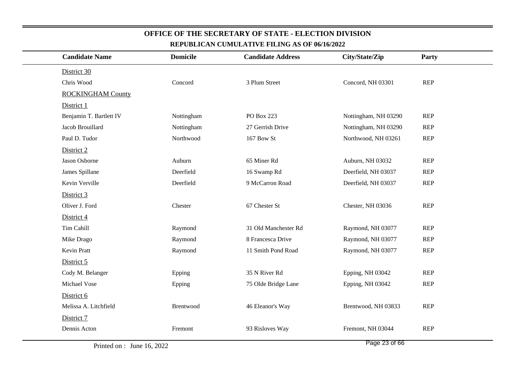| <u>KEI UDLICAN CUMULATIVE FILING AS OF WITWZWZZ</u> |                 |                          |                      |            |  |  |
|-----------------------------------------------------|-----------------|--------------------------|----------------------|------------|--|--|
| <b>Candidate Name</b>                               | <b>Domicile</b> | <b>Candidate Address</b> | City/State/Zip       | Party      |  |  |
| District 30                                         |                 |                          |                      |            |  |  |
| Chris Wood                                          | Concord         | 3 Plum Street            | Concord, NH 03301    | <b>REP</b> |  |  |
| <b>ROCKINGHAM County</b>                            |                 |                          |                      |            |  |  |
| District 1                                          |                 |                          |                      |            |  |  |
| Benjamin T. Bartlett IV                             | Nottingham      | PO Box 223               | Nottingham, NH 03290 | <b>REP</b> |  |  |
| Jacob Brouillard                                    | Nottingham      | 27 Gerrish Drive         | Nottingham, NH 03290 | <b>REP</b> |  |  |
| Paul D. Tudor                                       | Northwood       | 167 Bow St               | Northwood, NH 03261  | <b>REP</b> |  |  |
| District 2                                          |                 |                          |                      |            |  |  |
| Jason Osborne                                       | Auburn          | 65 Miner Rd              | Auburn, NH 03032     | <b>REP</b> |  |  |
| James Spillane                                      | Deerfield       | 16 Swamp Rd              | Deerfield, NH 03037  | <b>REP</b> |  |  |
| Kevin Verville                                      | Deerfield       | 9 McCarron Road          | Deerfield, NH 03037  | <b>REP</b> |  |  |
| District 3                                          |                 |                          |                      |            |  |  |
| Oliver J. Ford                                      | Chester         | 67 Chester St            | Chester, NH 03036    | <b>REP</b> |  |  |
| District 4                                          |                 |                          |                      |            |  |  |
| Tim Cahill                                          | Raymond         | 31 Old Manchester Rd     | Raymond, NH 03077    | <b>REP</b> |  |  |
| Mike Drago                                          | Raymond         | 8 Francesca Drive        | Raymond, NH 03077    | <b>REP</b> |  |  |
| Kevin Pratt                                         | Raymond         | 11 Smith Pond Road       | Raymond, NH 03077    | <b>REP</b> |  |  |
| District 5                                          |                 |                          |                      |            |  |  |
| Cody M. Belanger                                    | Epping          | 35 N River Rd            | Epping, NH 03042     | <b>REP</b> |  |  |
| Michael Vose                                        | Epping          | 75 Olde Bridge Lane      | Epping, NH 03042     | <b>REP</b> |  |  |
| District 6                                          |                 |                          |                      |            |  |  |
| Melissa A. Litchfield                               | Brentwood       | 46 Eleanor's Way         | Brentwood, NH 03833  | <b>REP</b> |  |  |
| District 7                                          |                 |                          |                      |            |  |  |
| Dennis Acton                                        | Fremont         | 93 Risloves Way          | Fremont, NH 03044    | <b>REP</b> |  |  |
|                                                     |                 |                          |                      |            |  |  |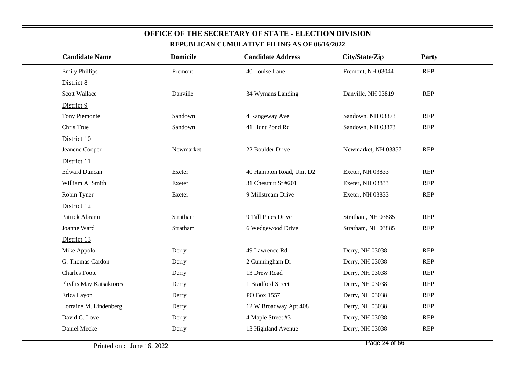| <b>Candidate Name</b>   | <b>Domicile</b> | <b>Candidate Address</b> | City/State/Zip      | Party      |
|-------------------------|-----------------|--------------------------|---------------------|------------|
| <b>Emily Phillips</b>   | Fremont         | 40 Louise Lane           | Fremont, NH 03044   | <b>REP</b> |
| District 8              |                 |                          |                     |            |
| <b>Scott Wallace</b>    | Danville        | 34 Wymans Landing        | Danville, NH 03819  | <b>REP</b> |
| District 9              |                 |                          |                     |            |
| Tony Piemonte           | Sandown         | 4 Rangeway Ave           | Sandown, NH 03873   | <b>REP</b> |
| Chris True              | Sandown         | 41 Hunt Pond Rd          | Sandown, NH 03873   | <b>REP</b> |
| District 10             |                 |                          |                     |            |
| Jeanene Cooper          | Newmarket       | 22 Boulder Drive         | Newmarket, NH 03857 | <b>REP</b> |
| District 11             |                 |                          |                     |            |
| <b>Edward Duncan</b>    | Exeter          | 40 Hampton Road, Unit D2 | Exeter, NH 03833    | <b>REP</b> |
| William A. Smith        | Exeter          | 31 Chestnut St #201      | Exeter, NH 03833    | <b>REP</b> |
| Robin Tyner             | Exeter          | 9 Millstream Drive       | Exeter, NH 03833    | <b>REP</b> |
| District 12             |                 |                          |                     |            |
| Patrick Abrami          | Stratham        | 9 Tall Pines Drive       | Stratham, NH 03885  | <b>REP</b> |
| Joanne Ward             | Stratham        | 6 Wedgewood Drive        | Stratham, NH 03885  | <b>REP</b> |
| District 13             |                 |                          |                     |            |
| Mike Appolo             | Derry           | 49 Lawrence Rd           | Derry, NH 03038     | <b>REP</b> |
| G. Thomas Cardon        | Derry           | 2 Cunningham Dr          | Derry, NH 03038     | <b>REP</b> |
| <b>Charles Foote</b>    | Derry           | 13 Drew Road             | Derry, NH 03038     | <b>REP</b> |
| Phyllis May Katsakiores | Derry           | 1 Bradford Street        | Derry, NH 03038     | <b>REP</b> |
| Erica Layon             | Derry           | PO Box 1557              | Derry, NH 03038     | <b>REP</b> |
| Lorraine M. Lindenberg  | Derry           | 12 W Broadway Apt 408    | Derry, NH 03038     | <b>REP</b> |
| David C. Love           | Derry           | 4 Maple Street #3        | Derry, NH 03038     | <b>REP</b> |
| Daniel Mecke            | Derry           | 13 Highland Avenue       | Derry, NH 03038     | <b>REP</b> |
|                         |                 |                          |                     |            |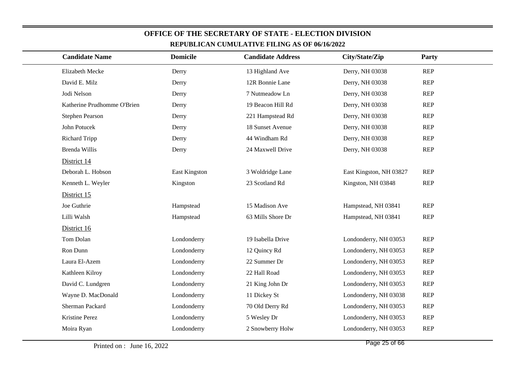|                             |                 | REPUBLICAN CUMULATIVE FILING AS OF 00/10/2022 |                         |            |
|-----------------------------|-----------------|-----------------------------------------------|-------------------------|------------|
| <b>Candidate Name</b>       | <b>Domicile</b> | <b>Candidate Address</b>                      | City/State/Zip          | Party      |
| Elizabeth Mecke             | Derry           | 13 Highland Ave                               | Derry, NH 03038         | <b>REP</b> |
| David E. Milz               | Derry           | 12R Bonnie Lane                               | Derry, NH 03038         | <b>REP</b> |
| Jodi Nelson                 | Derry           | 7 Nutmeadow Ln                                | Derry, NH 03038         | <b>REP</b> |
| Katherine Prudhomme O'Brien | Derry           | 19 Beacon Hill Rd                             | Derry, NH 03038         | <b>REP</b> |
| Stephen Pearson             | Derry           | 221 Hampstead Rd                              | Derry, NH 03038         | <b>REP</b> |
| John Potucek                | Derry           | 18 Sunset Avenue                              | Derry, NH 03038         | <b>REP</b> |
| <b>Richard Tripp</b>        | Derry           | 44 Windham Rd                                 | Derry, NH 03038         | <b>REP</b> |
| Brenda Willis               | Derry           | 24 Maxwell Drive                              | Derry, NH 03038         | <b>REP</b> |
| District 14                 |                 |                                               |                         |            |
| Deborah L. Hobson           | East Kingston   | 3 Woldridge Lane                              | East Kingston, NH 03827 | <b>REP</b> |
| Kenneth L. Weyler           | Kingston        | 23 Scotland Rd                                | Kingston, NH 03848      | <b>REP</b> |
| District 15                 |                 |                                               |                         |            |
| Joe Guthrie                 | Hampstead       | 15 Madison Ave                                | Hampstead, NH 03841     | <b>REP</b> |
| Lilli Walsh                 | Hampstead       | 63 Mills Shore Dr                             | Hampstead, NH 03841     | <b>REP</b> |
| District 16                 |                 |                                               |                         |            |
| Tom Dolan                   | Londonderry     | 19 Isabella Drive                             | Londonderry, NH 03053   | <b>REP</b> |
| Ron Dunn                    | Londonderry     | 12 Quincy Rd                                  | Londonderry, NH 03053   | <b>REP</b> |
| Laura El-Azem               | Londonderry     | 22 Summer Dr                                  | Londonderry, NH 03053   | <b>REP</b> |
| Kathleen Kilroy             | Londonderry     | 22 Hall Road                                  | Londonderry, NH 03053   | <b>REP</b> |
| David C. Lundgren           | Londonderry     | 21 King John Dr                               | Londonderry, NH 03053   | <b>REP</b> |
| Wayne D. MacDonald          | Londonderry     | 11 Dickey St                                  | Londonderry, NH 03038   | <b>REP</b> |
| Sherman Packard             | Londonderry     | 70 Old Derry Rd                               | Londonderry, NH 03053   | <b>REP</b> |
| Kristine Perez              | Londonderry     | 5 Wesley Dr                                   | Londonderry, NH 03053   | <b>REP</b> |
| Moira Ryan                  | Londonderry     | 2 Snowberry Holw                              | Londonderry, NH 03053   | <b>REP</b> |
|                             |                 |                                               |                         |            |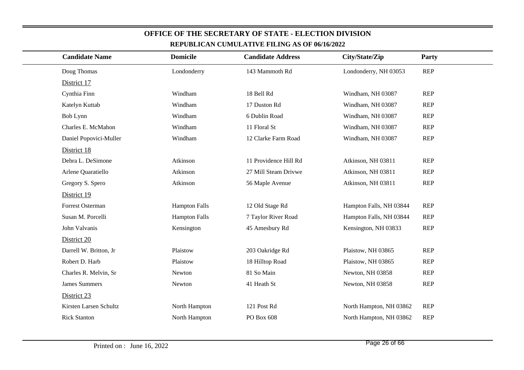| <b>Candidate Name</b>  | <b>Domicile</b>      | <b>Candidate Address</b> | City/State/Zip          | Party      |
|------------------------|----------------------|--------------------------|-------------------------|------------|
| Doug Thomas            | Londonderry          | 143 Mammoth Rd           | Londonderry, NH 03053   | <b>REP</b> |
| District 17            |                      |                          |                         |            |
| Cynthia Finn           | Windham              | 18 Bell Rd               | Windham, NH 03087       | <b>REP</b> |
| Katelyn Kuttab         | Windham              | 17 Duston Rd             | Windham, NH 03087       | <b>REP</b> |
| Bob Lynn               | Windham              | 6 Dublin Road            | Windham, NH 03087       | <b>REP</b> |
| Charles E. McMahon     | Windham              | 11 Floral St             | Windham, NH 03087       | <b>REP</b> |
| Daniel Popovici-Muller | Windham              | 12 Clarke Farm Road      | Windham, NH 03087       | <b>REP</b> |
| District 18            |                      |                          |                         |            |
| Debra L. DeSimone      | Atkinson             | 11 Providence Hill Rd    | Atkinson, NH 03811      | <b>REP</b> |
| Arlene Quaratiello     | Atkinson             | 27 Mill Steam Drivwe     | Atkinson, NH 03811      | <b>REP</b> |
| Gregory S. Spero       | Atkinson             | 56 Maple Avenue          | Atkinson, NH 03811      | <b>REP</b> |
| District 19            |                      |                          |                         |            |
| Forrest Osterman       | <b>Hampton Falls</b> | 12 Old Stage Rd          | Hampton Falls, NH 03844 | <b>REP</b> |
| Susan M. Porcelli      | <b>Hampton Falls</b> | 7 Taylor River Road      | Hampton Falls, NH 03844 | <b>REP</b> |
| John Valvanis          | Kensington           | 45 Amesbury Rd           | Kensington, NH 03833    | <b>REP</b> |
| District 20            |                      |                          |                         |            |
| Darrell W. Britton, Jr | Plaistow             | 203 Oakridge Rd          | Plaistow, NH 03865      | <b>REP</b> |
| Robert D. Harb         | Plaistow             | 18 Hilltop Road          | Plaistow, NH 03865      | <b>REP</b> |
| Charles R. Melvin, Sr  | Newton               | 81 So Main               | Newton, NH 03858        | <b>REP</b> |
| <b>James Summers</b>   | Newton               | 41 Heath St              | Newton, NH 03858        | <b>REP</b> |
| District 23            |                      |                          |                         |            |
| Kirsten Larsen Schultz | North Hampton        | 121 Post Rd              | North Hampton, NH 03862 | <b>REP</b> |
| <b>Rick Stanton</b>    | North Hampton        | PO Box 608               | North Hampton, NH 03862 | <b>REP</b> |
|                        |                      |                          |                         |            |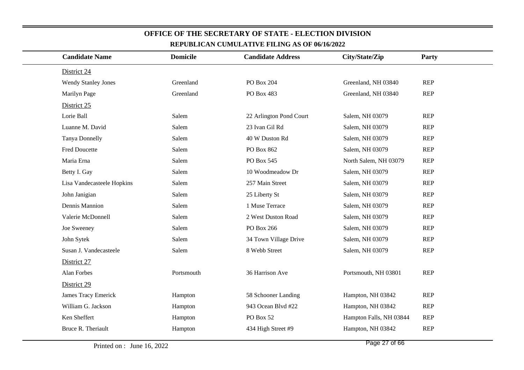| <b>Candidate Name</b>      | <b>Domicile</b> | <b>Candidate Address</b> | City/State/Zip          | Party      |  |
|----------------------------|-----------------|--------------------------|-------------------------|------------|--|
| District 24                |                 |                          |                         |            |  |
| <b>Wendy Stanley Jones</b> | Greenland       | PO Box 204               | Greenland, NH 03840     | <b>REP</b> |  |
| Marilyn Page               | Greenland       | PO Box 483               | Greenland, NH 03840     | <b>REP</b> |  |
| District 25                |                 |                          |                         |            |  |
| Lorie Ball                 | Salem           | 22 Arlington Pond Court  | Salem, NH 03079         | <b>REP</b> |  |
| Luanne M. David            | Salem           | 23 Ivan Gil Rd           | Salem, NH 03079         | <b>REP</b> |  |
| Tanya Donnelly             | Salem           | 40 W Duston Rd           | Salem, NH 03079         | <b>REP</b> |  |
| <b>Fred Doucette</b>       | Salem           | PO Box 862               | Salem, NH 03079         | <b>REP</b> |  |
| Maria Erna                 | Salem           | PO Box 545               | North Salem, NH 03079   | <b>REP</b> |  |
| Betty I. Gay               | Salem           | 10 Woodmeadow Dr         | Salem, NH 03079         | <b>REP</b> |  |
| Lisa Vandecasteele Hopkins | Salem           | 257 Main Street          | Salem, NH 03079         | <b>REP</b> |  |
| John Janigian              | Salem           | 25 Liberty St            | Salem, NH 03079         | <b>REP</b> |  |
| Dennis Mannion             | Salem           | 1 Muse Terrace           | Salem, NH 03079         | <b>REP</b> |  |
| Valerie McDonnell          | Salem           | 2 West Duston Road       | Salem, NH 03079         | <b>REP</b> |  |
| Joe Sweeney                | Salem           | PO Box 266               | Salem, NH 03079         | <b>REP</b> |  |
| John Sytek                 | Salem           | 34 Town Village Drive    | Salem, NH 03079         | <b>REP</b> |  |
| Susan J. Vandecasteele     | Salem           | 8 Webb Street            | Salem, NH 03079         | <b>REP</b> |  |
| District 27                |                 |                          |                         |            |  |
| Alan Forbes                | Portsmouth      | 36 Harrison Ave          | Portsmouth, NH 03801    | <b>REP</b> |  |
| District 29                |                 |                          |                         |            |  |
| <b>James Tracy Emerick</b> | Hampton         | 58 Schooner Landing      | Hampton, NH 03842       | <b>REP</b> |  |
| William G. Jackson         | Hampton         | 943 Ocean Blvd #22       | Hampton, NH 03842       | <b>REP</b> |  |
| Ken Sheffert               | Hampton         | PO Box 52                | Hampton Falls, NH 03844 | <b>REP</b> |  |
| Bruce R. Theriault         | Hampton         | 434 High Street #9       | Hampton, NH 03842       | <b>REP</b> |  |
|                            |                 |                          |                         |            |  |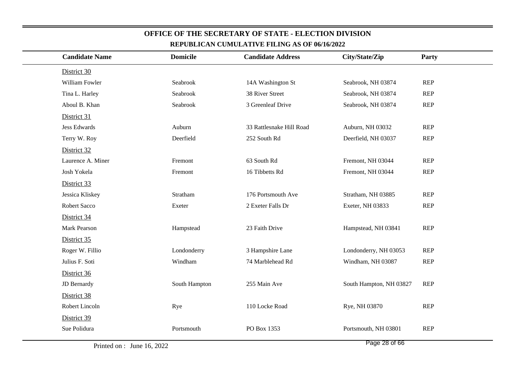| <b>Candidate Name</b> | <b>Domicile</b> | <b>Candidate Address</b> | City/State/Zip          | <b>Party</b> |
|-----------------------|-----------------|--------------------------|-------------------------|--------------|
| District 30           |                 |                          |                         |              |
| William Fowler        | Seabrook        | 14A Washington St        | Seabrook, NH 03874      | <b>REP</b>   |
| Tina L. Harley        | Seabrook        | 38 River Street          | Seabrook, NH 03874      | <b>REP</b>   |
| Aboul B. Khan         | Seabrook        | 3 Greenleaf Drive        | Seabrook, NH 03874      | <b>REP</b>   |
| District 31           |                 |                          |                         |              |
| <b>Jess Edwards</b>   | Auburn          | 33 Rattlesnake Hill Road | Auburn, NH 03032        | <b>REP</b>   |
| Terry W. Roy          | Deerfield       | 252 South Rd             | Deerfield, NH 03037     | <b>REP</b>   |
| District 32           |                 |                          |                         |              |
| Laurence A. Miner     | Fremont         | 63 South Rd              | Fremont, NH 03044       | <b>REP</b>   |
| Josh Yokela           | Fremont         | 16 Tibbetts Rd           | Fremont, NH 03044       | <b>REP</b>   |
| District 33           |                 |                          |                         |              |
| Jessica Kliskey       | Stratham        | 176 Portsmouth Ave       | Stratham, NH 03885      | <b>REP</b>   |
| Robert Sacco          | Exeter          | 2 Exeter Falls Dr        | Exeter, NH 03833        | <b>REP</b>   |
| District 34           |                 |                          |                         |              |
| Mark Pearson          | Hampstead       | 23 Faith Drive           | Hampstead, NH 03841     | <b>REP</b>   |
| District 35           |                 |                          |                         |              |
| Roger W. Fillio       | Londonderry     | 3 Hampshire Lane         | Londonderry, NH 03053   | <b>REP</b>   |
| Julius F. Soti        | Windham         | 74 Marblehead Rd         | Windham, NH 03087       | <b>REP</b>   |
| District 36           |                 |                          |                         |              |
| JD Bernardy           | South Hampton   | 255 Main Ave             | South Hampton, NH 03827 | <b>REP</b>   |
| District 38           |                 |                          |                         |              |
| Robert Lincoln        | Rye             | 110 Locke Road           | Rye, NH 03870           | <b>REP</b>   |
| District 39           |                 |                          |                         |              |
| Sue Polidura          | Portsmouth      | PO Box 1353              | Portsmouth, NH 03801    | <b>REP</b>   |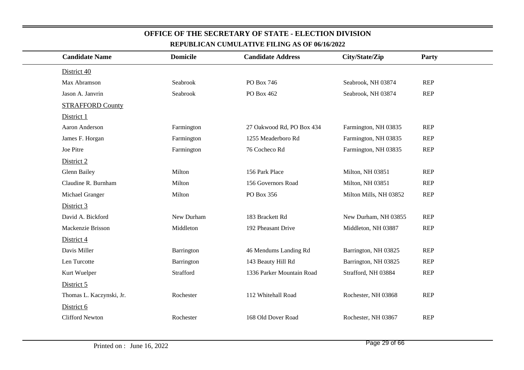| <b>Candidate Name</b>    | <b>Domicile</b> | <b>Candidate Address</b>  | City/State/Zip         | <b>Party</b> |
|--------------------------|-----------------|---------------------------|------------------------|--------------|
| District 40              |                 |                           |                        |              |
| Max Abramson             | Seabrook        | PO Box 746                | Seabrook, NH 03874     | <b>REP</b>   |
| Jason A. Janvrin         | Seabrook        | PO Box 462                | Seabrook, NH 03874     | <b>REP</b>   |
| <b>STRAFFORD County</b>  |                 |                           |                        |              |
| District 1               |                 |                           |                        |              |
| Aaron Anderson           | Farmington      | 27 Oakwood Rd, PO Box 434 | Farmington, NH 03835   | <b>REP</b>   |
| James F. Horgan          | Farmington      | 1255 Meaderboro Rd        | Farmington, NH 03835   | <b>REP</b>   |
| Joe Pitre                | Farmington      | 76 Cocheco Rd             | Farmington, NH 03835   | <b>REP</b>   |
| District 2               |                 |                           |                        |              |
| <b>Glenn Bailey</b>      | Milton          | 156 Park Place            | Milton, NH 03851       | <b>REP</b>   |
| Claudine R. Burnham      | Milton          | 156 Governors Road        | Milton, NH 03851       | <b>REP</b>   |
| Michael Granger          | Milton          | PO Box 356                | Milton Mills, NH 03852 | <b>REP</b>   |
| District 3               |                 |                           |                        |              |
| David A. Bickford        | New Durham      | 183 Brackett Rd           | New Durham, NH 03855   | <b>REP</b>   |
| Mackenzie Brisson        | Middleton       | 192 Pheasant Drive        | Middleton, NH 03887    | <b>REP</b>   |
| District 4               |                 |                           |                        |              |
| Davis Miller             | Barrington      | 46 Mendums Landing Rd     | Barrington, NH 03825   | <b>REP</b>   |
| Len Turcotte             | Barrington      | 143 Beauty Hill Rd        | Barrington, NH 03825   | <b>REP</b>   |
| Kurt Wuelper             | Strafford       | 1336 Parker Mountain Road | Strafford, NH 03884    | <b>REP</b>   |
| District 5               |                 |                           |                        |              |
| Thomas L. Kaczynski, Jr. | Rochester       | 112 Whitehall Road        | Rochester, NH 03868    | <b>REP</b>   |
| District 6               |                 |                           |                        |              |
| <b>Clifford Newton</b>   | Rochester       | 168 Old Dover Road        | Rochester, NH 03867    | <b>REP</b>   |
|                          |                 |                           |                        |              |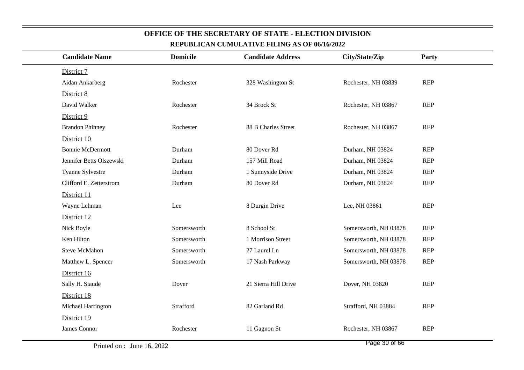| <b>Candidate Name</b>    | <b>Domicile</b> | <b>Candidate Address</b> | City/State/Zip        | Party      |
|--------------------------|-----------------|--------------------------|-----------------------|------------|
| District 7               |                 |                          |                       |            |
| Aidan Ankarberg          | Rochester       | 328 Washington St        | Rochester, NH 03839   | <b>REP</b> |
| District 8               |                 |                          |                       |            |
| David Walker             | Rochester       | 34 Brock St              | Rochester, NH 03867   | <b>REP</b> |
| District 9               |                 |                          |                       |            |
| <b>Brandon Phinney</b>   | Rochester       | 88 B Charles Street      | Rochester, NH 03867   | <b>REP</b> |
| District 10              |                 |                          |                       |            |
| <b>Bonnie McDermott</b>  | Durham          | 80 Dover Rd              | Durham, NH 03824      | <b>REP</b> |
| Jennifer Betts Olszewski | Durham          | 157 Mill Road            | Durham, NH 03824      | <b>REP</b> |
| Tyanne Sylvestre         | Durham          | 1 Sunnyside Drive        | Durham, NH 03824      | <b>REP</b> |
| Clifford E. Zetterstrom  | Durham          | 80 Dover Rd              | Durham, NH 03824      | <b>REP</b> |
| District 11              |                 |                          |                       |            |
| Wayne Lehman             | Lee             | 8 Durgin Drive           | Lee, NH 03861         | <b>REP</b> |
| District 12              |                 |                          |                       |            |
| Nick Boyle               | Somersworth     | 8 School St              | Somersworth, NH 03878 | <b>REP</b> |
| Ken Hilton               | Somersworth     | 1 Morrison Street        | Somersworth, NH 03878 | <b>REP</b> |
| <b>Steve McMahon</b>     | Somersworth     | 27 Laurel Ln             | Somersworth, NH 03878 | <b>REP</b> |
| Matthew L. Spencer       | Somersworth     | 17 Nash Parkway          | Somersworth, NH 03878 | <b>REP</b> |
| District 16              |                 |                          |                       |            |
| Sally H. Staude          | Dover           | 21 Sierra Hill Drive     | Dover, NH 03820       | <b>REP</b> |
| District 18              |                 |                          |                       |            |
| Michael Harrington       | Strafford       | 82 Garland Rd            | Strafford, NH 03884   | <b>REP</b> |
| District 19              |                 |                          |                       |            |
| James Connor             | Rochester       | 11 Gagnon St             | Rochester, NH 03867   | <b>REP</b> |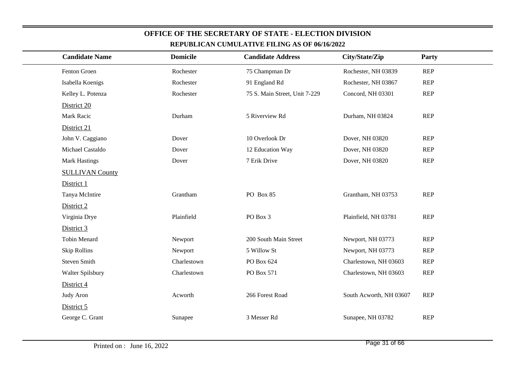| REPUBLICAN CUMULATIVE FILING AS OF 00/10/2022 |                 |                               |                         |            |  |  |
|-----------------------------------------------|-----------------|-------------------------------|-------------------------|------------|--|--|
| <b>Candidate Name</b>                         | <b>Domicile</b> | <b>Candidate Address</b>      | City/State/Zip          | Party      |  |  |
| Fenton Groen                                  | Rochester       | 75 Champman Dr                | Rochester, NH 03839     | <b>REP</b> |  |  |
| Isabella Koenigs                              | Rochester       | 91 England Rd                 | Rochester, NH 03867     | <b>REP</b> |  |  |
| Kelley L. Potenza                             | Rochester       | 75 S. Main Street, Unit 7-229 | Concord, NH 03301       | <b>REP</b> |  |  |
| District 20                                   |                 |                               |                         |            |  |  |
| Mark Racic                                    | Durham          | 5 Riverview Rd                | Durham, NH 03824        | <b>REP</b> |  |  |
| District 21                                   |                 |                               |                         |            |  |  |
| John V. Caggiano                              | Dover           | 10 Overlook Dr                | Dover, NH 03820         | <b>REP</b> |  |  |
| Michael Castaldo                              | Dover           | 12 Education Way              | Dover, NH 03820         | <b>REP</b> |  |  |
| <b>Mark Hastings</b>                          | Dover           | 7 Erik Drive                  | Dover, NH 03820         | <b>REP</b> |  |  |
| <b>SULLIVAN County</b>                        |                 |                               |                         |            |  |  |
| District 1                                    |                 |                               |                         |            |  |  |
| Tanya McIntire                                | Grantham        | PO Box 85                     | Grantham, NH 03753      | <b>REP</b> |  |  |
| District 2                                    |                 |                               |                         |            |  |  |
| Virginia Drye                                 | Plainfield      | PO Box 3                      | Plainfield, NH 03781    | <b>REP</b> |  |  |
| District 3                                    |                 |                               |                         |            |  |  |
| <b>Tobin Menard</b>                           | Newport         | 200 South Main Street         | Newport, NH 03773       | <b>REP</b> |  |  |
| <b>Skip Rollins</b>                           | Newport         | 5 Willow St                   | Newport, NH 03773       | <b>REP</b> |  |  |
| <b>Steven Smith</b>                           | Charlestown     | PO Box 624                    | Charlestown, NH 03603   | <b>REP</b> |  |  |
| Walter Spilsbury                              | Charlestown     | PO Box 571                    | Charlestown, NH 03603   | <b>REP</b> |  |  |
| District 4                                    |                 |                               |                         |            |  |  |
| Judy Aron                                     | Acworth         | 266 Forest Road               | South Acworth, NH 03607 | <b>REP</b> |  |  |
| District 5                                    |                 |                               |                         |            |  |  |
| George C. Grant                               | Sunapee         | 3 Messer Rd                   | Sunapee, NH 03782       | <b>REP</b> |  |  |
|                                               |                 |                               |                         |            |  |  |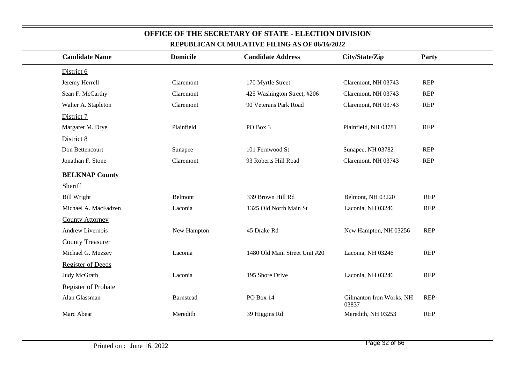| <b>Candidate Name</b>      | <b>Domicile</b> | <b>Candidate Address</b>      | City/State/Zip                    | Party      |
|----------------------------|-----------------|-------------------------------|-----------------------------------|------------|
| District 6                 |                 |                               |                                   |            |
| Jeremy Herrell             | Claremont       | 170 Myrtle Street             | Claremont, NH 03743               | <b>REP</b> |
| Sean F. McCarthy           | Claremont       | 425 Washington Street, #206   | Claremont, NH 03743               | <b>REP</b> |
| Walter A. Stapleton        | Claremont       | 90 Veterans Park Road         | Claremont, NH 03743               | <b>REP</b> |
| District 7                 |                 |                               |                                   |            |
| Margaret M. Drye           | Plainfield      | PO Box 3                      | Plainfield, NH 03781              | <b>REP</b> |
| District 8                 |                 |                               |                                   |            |
| Don Bettencourt            | Sunapee         | 101 Fernwood St               | Sunapee, NH 03782                 | <b>REP</b> |
| Jonathan F. Stone          | Claremont       | 93 Roberts Hill Road          | Claremont, NH 03743               | <b>REP</b> |
| <b>BELKNAP County</b>      |                 |                               |                                   |            |
| <b>Sheriff</b>             |                 |                               |                                   |            |
| <b>Bill Wright</b>         | Belmont         | 339 Brown Hill Rd             | Belmont, NH 03220                 | <b>REP</b> |
| Michael A. MacFadzen       | Laconia         | 1325 Old North Main St        | Laconia, NH 03246                 | <b>REP</b> |
| <b>County Attorney</b>     |                 |                               |                                   |            |
| Andrew Livernois           | New Hampton     | 45 Drake Rd                   | New Hampton, NH 03256             | <b>REP</b> |
| <b>County Treasurer</b>    |                 |                               |                                   |            |
| Michael G. Muzzey          | Laconia         | 1480 Old Main Street Unit #20 | Laconia, NH 03246                 | <b>REP</b> |
| <b>Register of Deeds</b>   |                 |                               |                                   |            |
| Judy McGrath               | Laconia         | 195 Shore Drive               | Laconia, NH 03246                 | <b>REP</b> |
| <b>Register of Probate</b> |                 |                               |                                   |            |
| Alan Glassman              | Barnstead       | PO Box 14                     | Gilmanton Iron Works, NH<br>03837 | <b>REP</b> |
| Marc Abear                 | Meredith        | 39 Higgins Rd                 | Meredith, NH 03253                | <b>REP</b> |
|                            |                 |                               |                                   |            |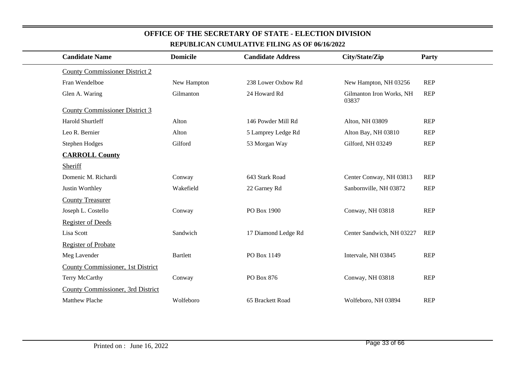| <b>Candidate Name</b>                 | <b>Domicile</b> | <b>Candidate Address</b> | City/State/Zip                    | Party      |
|---------------------------------------|-----------------|--------------------------|-----------------------------------|------------|
| <b>County Commissioner District 2</b> |                 |                          |                                   |            |
| Fran Wendelboe                        | New Hampton     | 238 Lower Oxbow Rd       | New Hampton, NH 03256             | <b>REP</b> |
| Glen A. Waring                        | Gilmanton       | 24 Howard Rd             | Gilmanton Iron Works, NH<br>03837 | <b>REP</b> |
| <b>County Commissioner District 3</b> |                 |                          |                                   |            |
| Harold Shurtleff                      | Alton           | 146 Powder Mill Rd       | Alton, NH 03809                   | <b>REP</b> |
| Leo R. Bernier                        | Alton           | 5 Lamprey Ledge Rd       | Alton Bay, NH 03810               | <b>REP</b> |
| <b>Stephen Hodges</b>                 | Gilford         | 53 Morgan Way            | Gilford, NH 03249                 | <b>REP</b> |
| <b>CARROLL County</b>                 |                 |                          |                                   |            |
| Sheriff                               |                 |                          |                                   |            |
| Domenic M. Richardi                   | Conway          | 643 Stark Road           | Center Conway, NH 03813           | <b>REP</b> |
| Justin Worthley                       | Wakefield       | 22 Garney Rd             | Sanbornville, NH 03872            | <b>REP</b> |
| <b>County Treasurer</b>               |                 |                          |                                   |            |
| Joseph L. Costello                    | Conway          | PO Box 1900              | Conway, NH 03818                  | <b>REP</b> |
| <b>Register of Deeds</b>              |                 |                          |                                   |            |
| Lisa Scott                            | Sandwich        | 17 Diamond Ledge Rd      | Center Sandwich, NH 03227         | <b>REP</b> |
| <b>Register of Probate</b>            |                 |                          |                                   |            |
| Meg Lavender                          | <b>Bartlett</b> | PO Box 1149              | Intervale, NH 03845               | <b>REP</b> |
| County Commissioner, 1st District     |                 |                          |                                   |            |
| Terry McCarthy                        | Conway          | PO Box 876               | Conway, NH 03818                  | <b>REP</b> |
| County Commissioner, 3rd District     |                 |                          |                                   |            |
| Matthew Plache                        | Wolfeboro       | 65 Brackett Road         | Wolfeboro, NH 03894               | <b>REP</b> |
|                                       |                 |                          |                                   |            |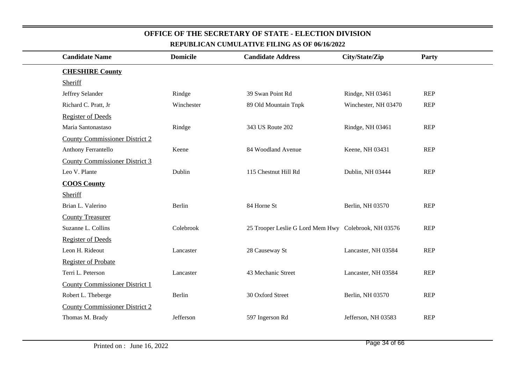| <b>Candidate Name</b>                 | <b>Domicile</b> | <b>Candidate Address</b>                             | City/State/Zip       | <b>Party</b> |
|---------------------------------------|-----------------|------------------------------------------------------|----------------------|--------------|
| <b>CHESHIRE County</b>                |                 |                                                      |                      |              |
| Sheriff                               |                 |                                                      |                      |              |
| Jeffrey Selander                      | Rindge          | 39 Swan Point Rd                                     | Rindge, NH 03461     | <b>REP</b>   |
| Richard C. Pratt, Jr                  | Winchester      | 89 Old Mountain Tnpk                                 | Winchester, NH 03470 | <b>REP</b>   |
| <b>Register of Deeds</b>              |                 |                                                      |                      |              |
| Maria Santonastaso                    | Rindge          | 343 US Route 202                                     | Rindge, NH 03461     | <b>REP</b>   |
| <b>County Commissioner District 2</b> |                 |                                                      |                      |              |
| Anthony Ferrantello                   | Keene           | 84 Woodland Avenue                                   | Keene, NH 03431      | <b>REP</b>   |
| <b>County Commissioner District 3</b> |                 |                                                      |                      |              |
| Leo V. Plante                         | Dublin          | 115 Chestnut Hill Rd                                 | Dublin, NH 03444     | <b>REP</b>   |
| <b>COOS County</b>                    |                 |                                                      |                      |              |
| Sheriff                               |                 |                                                      |                      |              |
| Brian L. Valerino                     | Berlin          | 84 Horne St                                          | Berlin, NH 03570     | <b>REP</b>   |
| <b>County Treasurer</b>               |                 |                                                      |                      |              |
| Suzanne L. Collins                    | Colebrook       | 25 Trooper Leslie G Lord Mem Hwy Colebrook, NH 03576 |                      | <b>REP</b>   |
| <b>Register of Deeds</b>              |                 |                                                      |                      |              |
| Leon H. Rideout                       | Lancaster       | 28 Causeway St                                       | Lancaster, NH 03584  | <b>REP</b>   |
| <b>Register of Probate</b>            |                 |                                                      |                      |              |
| Terri L. Peterson                     | Lancaster       | 43 Mechanic Street                                   | Lancaster, NH 03584  | <b>REP</b>   |
| <b>County Commissioner District 1</b> |                 |                                                      |                      |              |
| Robert L. Theberge                    | Berlin          | 30 Oxford Street                                     | Berlin, NH 03570     | <b>REP</b>   |
| <b>County Commissioner District 2</b> |                 |                                                      |                      |              |
| Thomas M. Brady                       | Jefferson       | 597 Ingerson Rd                                      | Jefferson, NH 03583  | <b>REP</b>   |
|                                       |                 |                                                      |                      |              |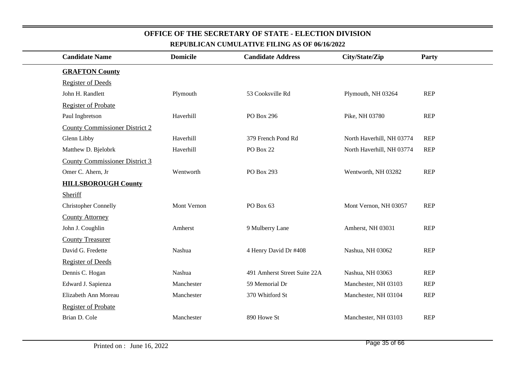|                                       |                 | REPUBLICAN CUMULATIVE FILING AS OF 00/10/2022 |                           |            |
|---------------------------------------|-----------------|-----------------------------------------------|---------------------------|------------|
| <b>Candidate Name</b>                 | <b>Domicile</b> | <b>Candidate Address</b>                      | City/State/Zip            | Party      |
| <b>GRAFTON County</b>                 |                 |                                               |                           |            |
| <b>Register of Deeds</b>              |                 |                                               |                           |            |
| John H. Randlett                      | Plymouth        | 53 Cooksville Rd                              | Plymouth, NH 03264        | <b>REP</b> |
| <b>Register of Probate</b>            |                 |                                               |                           |            |
| Paul Ingbretson                       | Haverhill       | PO Box 296                                    | Pike, NH 03780            | REP        |
| <b>County Commissioner District 2</b> |                 |                                               |                           |            |
| Glenn Libby                           | Haverhill       | 379 French Pond Rd                            | North Haverhill, NH 03774 | <b>REP</b> |
| Matthew D. Bjelobrk                   | Haverhill       | PO Box 22                                     | North Haverhill, NH 03774 | <b>REP</b> |
| <b>County Commissioner District 3</b> |                 |                                               |                           |            |
| Omer C. Ahern, Jr                     | Wentworth       | PO Box 293                                    | Wentworth, NH 03282       | <b>REP</b> |
| <b>HILLSBOROUGH County</b>            |                 |                                               |                           |            |
| Sheriff                               |                 |                                               |                           |            |
| <b>Christopher Connelly</b>           | Mont Vernon     | PO Box 63                                     | Mont Vernon, NH 03057     | <b>REP</b> |
| <b>County Attorney</b>                |                 |                                               |                           |            |
| John J. Coughlin                      | Amherst         | 9 Mulberry Lane                               | Amherst, NH 03031         | <b>REP</b> |
| <b>County Treasurer</b>               |                 |                                               |                           |            |
| David G. Fredette                     | Nashua          | 4 Henry David Dr #408                         | Nashua, NH 03062          | <b>REP</b> |
| <b>Register of Deeds</b>              |                 |                                               |                           |            |
| Dennis C. Hogan                       | Nashua          | 491 Amherst Street Suite 22A                  | Nashua, NH 03063          | <b>REP</b> |
| Edward J. Sapienza                    | Manchester      | 59 Memorial Dr                                | Manchester, NH 03103      | <b>REP</b> |
| Elizabeth Ann Moreau                  | Manchester      | 370 Whitford St                               | Manchester, NH 03104      | <b>REP</b> |
| <b>Register of Probate</b>            |                 |                                               |                           |            |
| Brian D. Cole                         | Manchester      | 890 Howe St                                   | Manchester, NH 03103      | <b>REP</b> |
|                                       |                 |                                               |                           |            |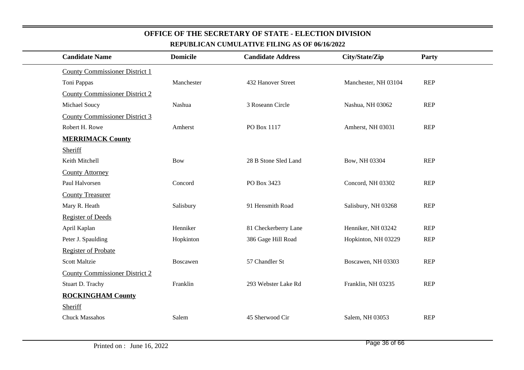|                                       |                 | REPUBLICAN CUMULATIVE FILING AS OF 06/16/2022 |                      |            |  |
|---------------------------------------|-----------------|-----------------------------------------------|----------------------|------------|--|
| <b>Candidate Name</b>                 | <b>Domicile</b> | <b>Candidate Address</b>                      | City/State/Zip       | Party      |  |
| <b>County Commissioner District 1</b> |                 |                                               |                      |            |  |
| Toni Pappas                           | Manchester      | 432 Hanover Street                            | Manchester, NH 03104 | <b>REP</b> |  |
| <b>County Commissioner District 2</b> |                 |                                               |                      |            |  |
| Michael Soucy                         | Nashua          | 3 Roseann Circle                              | Nashua, NH 03062     | <b>REP</b> |  |
| <b>County Commissioner District 3</b> |                 |                                               |                      |            |  |
| Robert H. Rowe                        | Amherst         | PO Box 1117                                   | Amherst, NH 03031    | <b>REP</b> |  |
| <b>MERRIMACK County</b>               |                 |                                               |                      |            |  |
| Sheriff                               |                 |                                               |                      |            |  |
| Keith Mitchell                        | <b>Bow</b>      | 28 B Stone Sled Land                          | Bow, NH 03304        | REP        |  |
| <b>County Attorney</b>                |                 |                                               |                      |            |  |
| Paul Halvorsen                        | Concord         | PO Box 3423                                   | Concord, NH 03302    | <b>REP</b> |  |
| <b>County Treasurer</b>               |                 |                                               |                      |            |  |
| Mary R. Heath                         | Salisbury       | 91 Hensmith Road                              | Salisbury, NH 03268  | REP        |  |
| <b>Register of Deeds</b>              |                 |                                               |                      |            |  |
| April Kaplan                          | Henniker        | 81 Checkerberry Lane                          | Henniker, NH 03242   | <b>REP</b> |  |
| Peter J. Spaulding                    | Hopkinton       | 386 Gage Hill Road                            | Hopkinton, NH 03229  | <b>REP</b> |  |
| <b>Register of Probate</b>            |                 |                                               |                      |            |  |
| <b>Scott Maltzie</b>                  | Boscawen        | 57 Chandler St                                | Boscawen, NH 03303   | <b>REP</b> |  |
| <b>County Commissioner District 2</b> |                 |                                               |                      |            |  |
| Stuart D. Trachy                      | Franklin        | 293 Webster Lake Rd                           | Franklin, NH 03235   | REP        |  |
| <b>ROCKINGHAM County</b>              |                 |                                               |                      |            |  |
| Sheriff                               |                 |                                               |                      |            |  |
| <b>Chuck Massahos</b>                 | Salem           | 45 Sherwood Cir                               | Salem, NH 03053      | <b>REP</b> |  |
|                                       |                 |                                               |                      |            |  |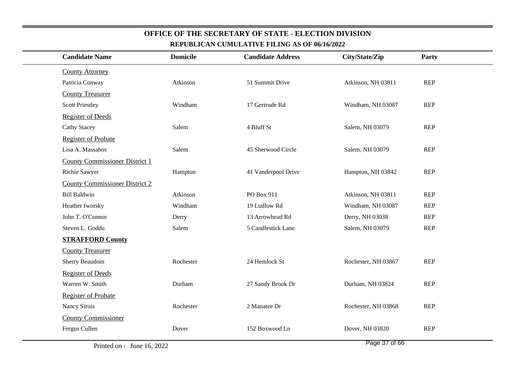| KEI ODLICAN COMOLATI VE FILING AS OF W/IW2022 |                 |                          |                     |            |  |  |
|-----------------------------------------------|-----------------|--------------------------|---------------------|------------|--|--|
| <b>Candidate Name</b>                         | <b>Domicile</b> | <b>Candidate Address</b> | City/State/Zip      | Party      |  |  |
| <b>County Attorney</b>                        |                 |                          |                     |            |  |  |
| Patricia Conway                               | Atkinson        | 51 Summit Drive          | Atkinson, NH 03811  | REP        |  |  |
| <b>County Treasurer</b>                       |                 |                          |                     |            |  |  |
| <b>Scott Priestley</b>                        | Windham         | 17 Gertrude Rd           | Windham, NH 03087   | <b>REP</b> |  |  |
| <b>Register of Deeds</b>                      |                 |                          |                     |            |  |  |
| <b>Cathy Stacey</b>                           | Salem           | 4 Bluff St               | Salem, NH 03079     | REP        |  |  |
| <b>Register of Probate</b>                    |                 |                          |                     |            |  |  |
| Lisa A. Massahos                              | Salem           | 45 Sherwood Circle       | Salem, NH 03079     | <b>REP</b> |  |  |
| <b>County Commissioner District 1</b>         |                 |                          |                     |            |  |  |
| Richie Sawyer                                 | Hampton         | 41 Vanderpool Drive      | Hampton, NH 03842   | <b>REP</b> |  |  |
| <b>County Commissioner District 2</b>         |                 |                          |                     |            |  |  |
| <b>Bill Baldwin</b>                           | Atkinson        | PO Box 911               | Atkinson, NH 03811  | <b>REP</b> |  |  |
| Heather Iworsky                               | Windham         | 19 Ludlow Rd             | Windham, NH 03087   | <b>REP</b> |  |  |
| John T. O'Connor                              | Derry           | 13 Arrowhead Rd          | Derry, NH 03038     | <b>REP</b> |  |  |
| Steven L. Goddu                               | Salem           | 5 Candlestick Lane       | Salem, NH 03079     | <b>REP</b> |  |  |
| <b>STRAFFORD County</b>                       |                 |                          |                     |            |  |  |
| <b>County Treasurer</b>                       |                 |                          |                     |            |  |  |
| Sherry Beaudoin                               | Rochester       | 24 Hemlock St            | Rochester, NH 03867 | <b>REP</b> |  |  |
| <b>Register of Deeds</b>                      |                 |                          |                     |            |  |  |
| Warren W. Smith                               | Durham          | 27 Sandy Brook Dr        | Durham, NH 03824    | <b>REP</b> |  |  |
| <b>Register of Probate</b>                    |                 |                          |                     |            |  |  |
| Nancy Sirois                                  | Rochester       | 2 Manatee Dr             | Rochester, NH 03868 | <b>REP</b> |  |  |
| <b>County Commissioner</b>                    |                 |                          |                     |            |  |  |
| Fergus Cullen                                 | Dover           | 152 Boxwood Ln           | Dover, NH 03820     | <b>REP</b> |  |  |
|                                               |                 |                          |                     |            |  |  |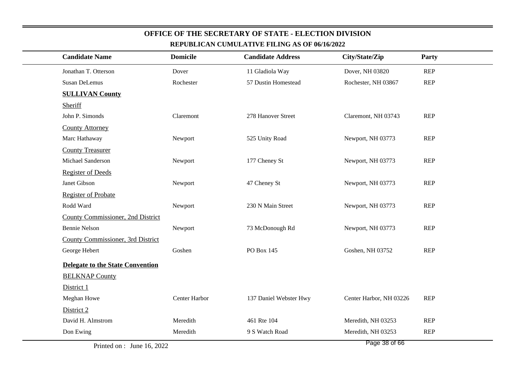| <b>Candidate Name</b>             | <b>Domicile</b> | <b>Candidate Address</b> | City/State/Zip            | Party      |
|-----------------------------------|-----------------|--------------------------|---------------------------|------------|
| Jonathan T. Otterson              | Dover           | 11 Gladiola Way          | Dover, NH 03820           | <b>REP</b> |
| Susan DeLemus                     | Rochester       | 57 Dustin Homestead      | Rochester, NH 03867       | <b>REP</b> |
| <b>SULLIVAN County</b>            |                 |                          |                           |            |
| Sheriff                           |                 |                          |                           |            |
| John P. Simonds                   | Claremont       | 278 Hanover Street       | Claremont, NH 03743       | <b>REP</b> |
| <b>County Attorney</b>            |                 |                          |                           |            |
| Marc Hathaway                     | Newport         | 525 Unity Road           | Newport, NH 03773         | <b>REP</b> |
| <b>County Treasurer</b>           |                 |                          |                           |            |
| Michael Sanderson                 | Newport         | 177 Cheney St            | Newport, NH 03773         | <b>REP</b> |
| <b>Register of Deeds</b>          |                 |                          |                           |            |
| Janet Gibson                      | Newport         | 47 Cheney St             | Newport, NH 03773         | <b>REP</b> |
| <b>Register of Probate</b>        |                 |                          |                           |            |
| Rodd Ward                         | Newport         | 230 N Main Street        | Newport, NH 03773         | <b>REP</b> |
| County Commissioner, 2nd District |                 |                          |                           |            |
| <b>Bennie Nelson</b>              | Newport         | 73 McDonough Rd          | Newport, NH 03773         | <b>REP</b> |
| County Commissioner, 3rd District |                 |                          |                           |            |
| George Hebert                     | Goshen          | PO Box 145               | Goshen, NH 03752          | <b>REP</b> |
| Delegate to the State Convention  |                 |                          |                           |            |
| <b>BELKNAP County</b>             |                 |                          |                           |            |
| District 1                        |                 |                          |                           |            |
| Meghan Howe                       | Center Harbor   | 137 Daniel Webster Hwy   | Center Harbor, NH 03226   | <b>REP</b> |
| District 2                        |                 |                          |                           |            |
| David H. Almstrom                 | Meredith        | 461 Rte 104              | Meredith, NH 03253        | <b>REP</b> |
| Don Ewing                         | Meredith        | 9 S Watch Road           | Meredith, NH 03253        | <b>REP</b> |
|                                   |                 |                          | <b>Dec.</b><br>$20 - 122$ |            |

Page 38 of 66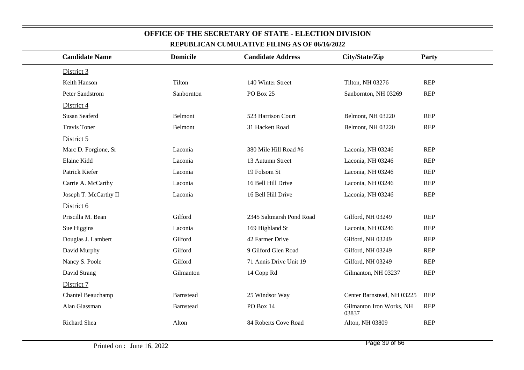| <b>Candidate Name</b> | <b>Domicile</b> | <b>Candidate Address</b> | City/State/Zip                    | Party      |
|-----------------------|-----------------|--------------------------|-----------------------------------|------------|
| District 3            |                 |                          |                                   |            |
| Keith Hanson          | Tilton          | 140 Winter Street        | Tilton, NH 03276                  | <b>REP</b> |
| Peter Sandstrom       | Sanbornton      | PO Box 25                | Sanbornton, NH 03269              | <b>REP</b> |
| District 4            |                 |                          |                                   |            |
| Susan Seaferd         | Belmont         | 523 Harrison Court       | Belmont, NH 03220                 | <b>REP</b> |
| <b>Travis Toner</b>   | Belmont         | 31 Hackett Road          | Belmont, NH 03220                 | <b>REP</b> |
| District 5            |                 |                          |                                   |            |
| Marc D. Forgione, Sr  | Laconia         | 380 Mile Hill Road #6    | Laconia, NH 03246                 | <b>REP</b> |
| Elaine Kidd           | Laconia         | 13 Autumn Street         | Laconia, NH 03246                 | <b>REP</b> |
| Patrick Kiefer        | Laconia         | 19 Folsom St             | Laconia, NH 03246                 | <b>REP</b> |
| Carrie A. McCarthy    | Laconia         | 16 Bell Hill Drive       | Laconia, NH 03246                 | <b>REP</b> |
| Joseph T. McCarthy II | Laconia         | 16 Bell Hill Drive       | Laconia, NH 03246                 | <b>REP</b> |
| District 6            |                 |                          |                                   |            |
| Priscilla M. Bean     | Gilford         | 2345 Saltmarsh Pond Road | Gilford, NH 03249                 | <b>REP</b> |
| Sue Higgins           | Laconia         | 169 Highland St          | Laconia, NH 03246                 | <b>REP</b> |
| Douglas J. Lambert    | Gilford         | 42 Farmer Drive          | Gilford, NH 03249                 | <b>REP</b> |
| David Murphy          | Gilford         | 9 Gilford Glen Road      | Gilford, NH 03249                 | <b>REP</b> |
| Nancy S. Poole        | Gilford         | 71 Annis Drive Unit 19   | Gilford, NH 03249                 | <b>REP</b> |
| David Strang          | Gilmanton       | 14 Copp Rd               | Gilmanton, NH 03237               | <b>REP</b> |
| District 7            |                 |                          |                                   |            |
| Chantel Beauchamp     | Barnstead       | 25 Windsor Way           | Center Barnstead, NH 03225        | <b>REP</b> |
| Alan Glassman         | Barnstead       | PO Box 14                | Gilmanton Iron Works, NH<br>03837 | <b>REP</b> |
| Richard Shea          | Alton           | 84 Roberts Cove Road     | Alton, NH 03809                   | <b>REP</b> |
|                       |                 |                          |                                   |            |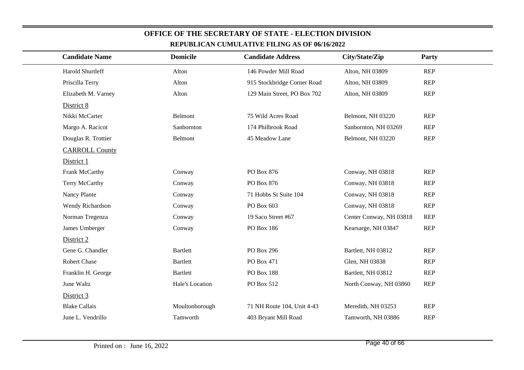| <b>REPUBLICAN CUMULATIVE FILING AS OF 00/10/2022</b> |                 |                             |                         |            |  |  |  |  |
|------------------------------------------------------|-----------------|-----------------------------|-------------------------|------------|--|--|--|--|
| <b>Candidate Name</b>                                | <b>Domicile</b> | <b>Candidate Address</b>    | City/State/Zip          | Party      |  |  |  |  |
| Harold Shurtleff                                     | Alton           | 146 Powder Mill Road        | Alton, NH 03809         | <b>REP</b> |  |  |  |  |
| Priscilla Terry                                      | Alton           | 915 Stockbridge Corner Road | Alton, NH 03809         | <b>REP</b> |  |  |  |  |
| Elizabeth M. Varney                                  | Alton           | 129 Main Street, PO Box 702 | Alton, NH 03809         | <b>REP</b> |  |  |  |  |
| District 8                                           |                 |                             |                         |            |  |  |  |  |
| Nikki McCarter                                       | Belmont         | 75 Wild Acres Road          | Belmont, NH 03220       | <b>REP</b> |  |  |  |  |
| Margo A. Racicot                                     | Sanbornton      | 174 Philbrook Road          | Sanbornton, NH 03269    | <b>REP</b> |  |  |  |  |
| Douglas R. Trottier                                  | Belmont         | 45 Meadow Lane              | Belmont, NH 03220       | <b>REP</b> |  |  |  |  |
| <b>CARROLL County</b>                                |                 |                             |                         |            |  |  |  |  |
| District 1                                           |                 |                             |                         |            |  |  |  |  |
| Frank McCarthy                                       | Conway          | PO Box 876                  | Conway, NH 03818        | <b>REP</b> |  |  |  |  |
| Terry McCarthy                                       | Conway          | PO Box 876                  | Conway, NH 03818        | <b>REP</b> |  |  |  |  |
| Nancy Plante                                         | Conway          | 71 Hobbs St Suite 104       | Conway, NH 03818        | <b>REP</b> |  |  |  |  |
| Wendy Richardson                                     | Conway          | PO Box 603                  | Conway, NH 03818        | <b>REP</b> |  |  |  |  |
| Norman Tregenza                                      | Conway          | 19 Saco Street #67          | Center Conway, NH 03818 | <b>REP</b> |  |  |  |  |
| James Umberger                                       | Conway          | PO Box 186                  | Kearsarge, NH 03847     | <b>REP</b> |  |  |  |  |
| District 2                                           |                 |                             |                         |            |  |  |  |  |
| Gene G. Chandler                                     | <b>Bartlett</b> | PO Box 296                  | Bartlett, NH 03812      | <b>REP</b> |  |  |  |  |
| Robert Chase                                         | <b>Bartlett</b> | PO Box 471                  | Glen, NH 03838          | <b>REP</b> |  |  |  |  |
| Franklin H. George                                   | <b>Bartlett</b> | PO Box 188                  | Bartlett, NH 03812      | <b>REP</b> |  |  |  |  |
| June Waltz                                           | Hale's Location | PO Box 512                  | North Conway, NH 03860  | <b>REP</b> |  |  |  |  |
| District 3                                           |                 |                             |                         |            |  |  |  |  |
| <b>Blake Callais</b>                                 | Moultonborough  | 71 NH Route 104, Unit 4-43  | Meredith, NH 03253      | <b>REP</b> |  |  |  |  |
| June L. Vendrillo                                    | Tamworth        | 403 Bryant Mill Road        | Tamworth, NH 03886      | <b>REP</b> |  |  |  |  |
|                                                      |                 |                             |                         |            |  |  |  |  |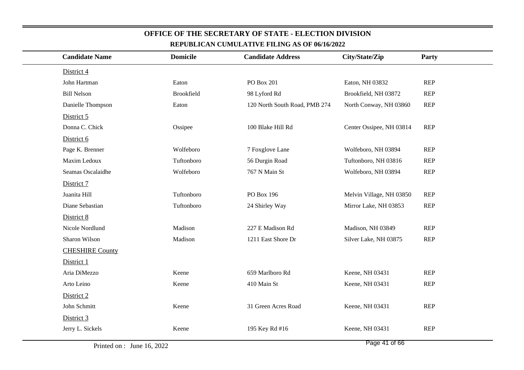| <b>Candidate Name</b>  | <b>Domicile</b>   | <b>Candidate Address</b>      | City/State/Zip           | Party      |
|------------------------|-------------------|-------------------------------|--------------------------|------------|
| District 4             |                   |                               |                          |            |
| John Hartman           | Eaton             | PO Box 201                    | Eaton, NH 03832          | REP        |
| <b>Bill Nelson</b>     | <b>Brookfield</b> | 98 Lyford Rd                  | Brookfield, NH 03872     | <b>REP</b> |
| Danielle Thompson      | Eaton             | 120 North South Road, PMB 274 | North Conway, NH 03860   | <b>REP</b> |
| District 5             |                   |                               |                          |            |
| Donna C. Chick         | Ossipee           | 100 Blake Hill Rd             | Center Ossipee, NH 03814 | REP        |
| District 6             |                   |                               |                          |            |
| Page K. Brenner        | Wolfeboro         | 7 Foxglove Lane               | Wolfeboro, NH 03894      | <b>REP</b> |
| Maxim Ledoux           | Tuftonboro        | 56 Durgin Road                | Tuftonboro, NH 03816     | <b>REP</b> |
| Seamas Oscalaidhe      | Wolfeboro         | 767 N Main St                 | Wolfeboro, NH 03894      | REP        |
| District 7             |                   |                               |                          |            |
| Juanita Hill           | Tuftonboro        | PO Box 196                    | Melvin Village, NH 03850 | <b>REP</b> |
| Diane Sebastian        | Tuftonboro        | 24 Shirley Way                | Mirror Lake, NH 03853    | <b>REP</b> |
| District 8             |                   |                               |                          |            |
| Nicole Nordlund        | Madison           | 227 E Madison Rd              | Madison, NH 03849        | <b>REP</b> |
| Sharon Wilson          | Madison           | 1211 East Shore Dr            | Silver Lake, NH 03875    | <b>REP</b> |
| <b>CHESHIRE County</b> |                   |                               |                          |            |
| District 1             |                   |                               |                          |            |
| Aria DiMezzo           | Keene             | 659 Marlboro Rd               | Keene, NH 03431          | <b>REP</b> |
| Arto Leino             | Keene             | 410 Main St                   | Keene, NH 03431          | <b>REP</b> |
| District 2             |                   |                               |                          |            |
| John Schmitt           | Keene             | 31 Green Acres Road           | Keene, NH 03431          | <b>REP</b> |
| District 3             |                   |                               |                          |            |
| Jerry L. Sickels       | Keene             | 195 Key Rd #16                | Keene, NH 03431          | REP        |
|                        |                   |                               |                          |            |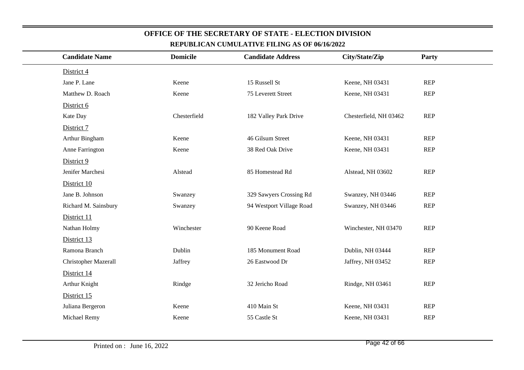| District 4                      |                          |                        |            |
|---------------------------------|--------------------------|------------------------|------------|
| Jane P. Lane<br>Keene           | 15 Russell St            | Keene, NH 03431        | <b>REP</b> |
| Matthew D. Roach<br>Keene       | 75 Leverett Street       | Keene, NH 03431        | <b>REP</b> |
| District 6                      |                          |                        |            |
| Chesterfield<br>Kate Day        | 182 Valley Park Drive    | Chesterfield, NH 03462 | <b>REP</b> |
| District 7                      |                          |                        |            |
| Arthur Bingham<br>Keene         | 46 Gilsum Street         | Keene, NH 03431        | <b>REP</b> |
| Anne Farrington<br>Keene        | 38 Red Oak Drive         | Keene, NH 03431        | REP        |
| District 9                      |                          |                        |            |
| Jenifer Marchesi<br>Alstead     | 85 Homestead Rd          | Alstead, NH 03602      | <b>REP</b> |
| District 10                     |                          |                        |            |
| Jane B. Johnson<br>Swanzey      | 329 Sawyers Crossing Rd  | Swanzey, NH 03446      | REP        |
| Richard M. Sainsbury<br>Swanzey | 94 Westport Village Road | Swanzey, NH 03446      | <b>REP</b> |
| District 11                     |                          |                        |            |
| Winchester<br>Nathan Holmy      | 90 Keene Road            | Winchester, NH 03470   | REP        |
| District 13                     |                          |                        |            |
| Ramona Branch<br>Dublin         | 185 Monument Road        | Dublin, NH 03444       | REP        |
| Christopher Mazerall<br>Jaffrey | 26 Eastwood Dr           | Jaffrey, NH 03452      | <b>REP</b> |
| District 14                     |                          |                        |            |
| Arthur Knight<br>Rindge         | 32 Jericho Road          | Rindge, NH 03461       | <b>REP</b> |
| District 15                     |                          |                        |            |
| Juliana Bergeron<br>Keene       | 410 Main St              | Keene, NH 03431        | <b>REP</b> |
| Michael Remy<br>Keene           | 55 Castle St             | Keene, NH 03431        | <b>REP</b> |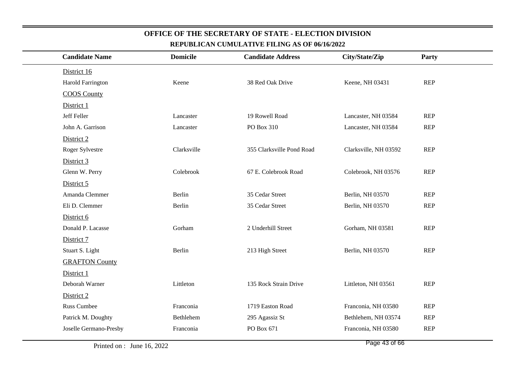| <u>KEI ODEICAN COMOLATI VE FILING AD OF WAW 2022</u> |                 |                           |                       |            |  |
|------------------------------------------------------|-----------------|---------------------------|-----------------------|------------|--|
| <b>Candidate Name</b>                                | <b>Domicile</b> | <b>Candidate Address</b>  | City/State/Zip        | Party      |  |
| District 16                                          |                 |                           |                       |            |  |
| <b>Harold Farrington</b>                             | Keene           | 38 Red Oak Drive          | Keene, NH 03431       | REP        |  |
| <b>COOS County</b>                                   |                 |                           |                       |            |  |
| District 1                                           |                 |                           |                       |            |  |
| Jeff Feller                                          | Lancaster       | 19 Rowell Road            | Lancaster, NH 03584   | <b>REP</b> |  |
| John A. Garrison                                     | Lancaster       | PO Box 310                | Lancaster, NH 03584   | <b>REP</b> |  |
| District 2                                           |                 |                           |                       |            |  |
| Roger Sylvestre                                      | Clarksville     | 355 Clarksville Pond Road | Clarksville, NH 03592 | <b>REP</b> |  |
| District 3                                           |                 |                           |                       |            |  |
| Glenn W. Perry                                       | Colebrook       | 67 E. Colebrook Road      | Colebrook, NH 03576   | REP        |  |
| District 5                                           |                 |                           |                       |            |  |
| Amanda Clemmer                                       | Berlin          | 35 Cedar Street           | Berlin, NH 03570      | <b>REP</b> |  |
| Eli D. Clemmer                                       | Berlin          | 35 Cedar Street           | Berlin, NH 03570      | <b>REP</b> |  |
| District 6                                           |                 |                           |                       |            |  |
| Donald P. Lacasse                                    | Gorham          | 2 Underhill Street        | Gorham, NH 03581      | <b>REP</b> |  |
| District 7                                           |                 |                           |                       |            |  |
| Stuart S. Light                                      | Berlin          | 213 High Street           | Berlin, NH 03570      | <b>REP</b> |  |
| <b>GRAFTON County</b>                                |                 |                           |                       |            |  |
| District 1                                           |                 |                           |                       |            |  |
| Deborah Warner                                       | Littleton       | 135 Rock Strain Drive     | Littleton, NH 03561   | <b>REP</b> |  |
| District 2                                           |                 |                           |                       |            |  |
| <b>Russ Cumbee</b>                                   | Franconia       | 1719 Easton Road          | Franconia, NH 03580   | <b>REP</b> |  |
| Patrick M. Doughty                                   | Bethlehem       | 295 Agassiz St            | Bethlehem, NH 03574   | <b>REP</b> |  |
| Joselle Germano-Presby                               | Franconia       | PO Box 671                | Franconia, NH 03580   | <b>REP</b> |  |
|                                                      |                 |                           |                       |            |  |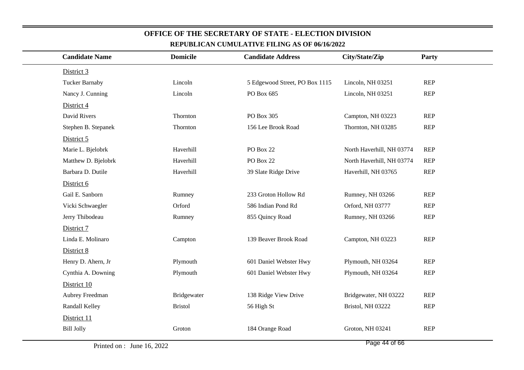| <b>Candidate Name</b> | <b>Domicile</b> | <b>Candidate Address</b>       | City/State/Zip            | Party      |  |
|-----------------------|-----------------|--------------------------------|---------------------------|------------|--|
| District 3            |                 |                                |                           |            |  |
| <b>Tucker Barnaby</b> | Lincoln         | 5 Edgewood Street, PO Box 1115 | Lincoln, NH 03251         | <b>REP</b> |  |
| Nancy J. Cunning      | Lincoln         | PO Box 685                     | Lincoln, NH 03251         | <b>REP</b> |  |
| District 4            |                 |                                |                           |            |  |
| David Rivers          | Thornton        | PO Box 305                     | Campton, NH 03223         | <b>REP</b> |  |
| Stephen B. Stepanek   | Thornton        | 156 Lee Brook Road             | Thornton, NH 03285        | <b>REP</b> |  |
| District 5            |                 |                                |                           |            |  |
| Marie L. Bjelobrk     | Haverhill       | <b>PO Box 22</b>               | North Haverhill, NH 03774 | <b>REP</b> |  |
| Matthew D. Bjelobrk   | Haverhill       | PO Box 22                      | North Haverhill, NH 03774 | <b>REP</b> |  |
| Barbara D. Dutile     | Haverhill       | 39 Slate Ridge Drive           | Haverhill, NH 03765       | <b>REP</b> |  |
| District 6            |                 |                                |                           |            |  |
| Gail E. Sanborn       | Rumney          | 233 Groton Hollow Rd           | Rumney, NH 03266          | <b>REP</b> |  |
| Vicki Schwaegler      | Orford          | 586 Indian Pond Rd             | Orford, NH 03777          | <b>REP</b> |  |
| Jerry Thibodeau       | Rumney          | 855 Quincy Road                | Rumney, NH 03266          | <b>REP</b> |  |
| District 7            |                 |                                |                           |            |  |
| Linda E. Molinaro     | Campton         | 139 Beaver Brook Road          | Campton, NH 03223         | <b>REP</b> |  |
| District 8            |                 |                                |                           |            |  |
| Henry D. Ahern, Jr    | Plymouth        | 601 Daniel Webster Hwy         | Plymouth, NH 03264        | <b>REP</b> |  |
| Cynthia A. Downing    | Plymouth        | 601 Daniel Webster Hwy         | Plymouth, NH 03264        | <b>REP</b> |  |
| District 10           |                 |                                |                           |            |  |
| Aubrey Freedman       | Bridgewater     | 138 Ridge View Drive           | Bridgewater, NH 03222     | <b>REP</b> |  |
| Randall Kelley        | <b>Bristol</b>  | 56 High St                     | Bristol, NH 03222         | <b>REP</b> |  |
| District 11           |                 |                                |                           |            |  |
| <b>Bill Jolly</b>     | Groton          | 184 Orange Road                | Groton, NH 03241          | <b>REP</b> |  |
|                       |                 |                                |                           |            |  |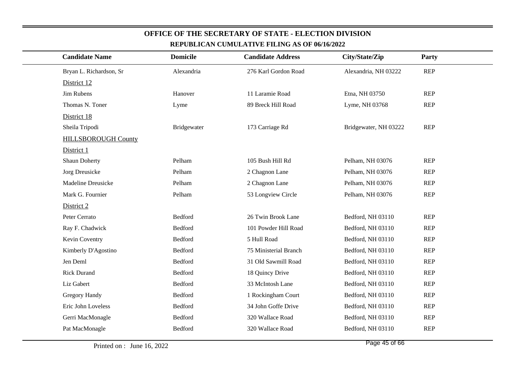| <b>Candidate Name</b>      | <b>Domicile</b> | <b>Candidate Address</b> | City/State/Zip        | Party      |
|----------------------------|-----------------|--------------------------|-----------------------|------------|
| Bryan L. Richardson, Sr    | Alexandria      | 276 Karl Gordon Road     | Alexandria, NH 03222  | <b>REP</b> |
| District 12                |                 |                          |                       |            |
| Jim Rubens                 | Hanover         | 11 Laramie Road          | Etna, NH 03750        | <b>REP</b> |
| Thomas N. Toner            | Lyme            | 89 Breck Hill Road       | Lyme, NH 03768        | <b>REP</b> |
| District 18                |                 |                          |                       |            |
| Sheila Tripodi             | Bridgewater     | 173 Carriage Rd          | Bridgewater, NH 03222 | <b>REP</b> |
| <b>HILLSBOROUGH County</b> |                 |                          |                       |            |
| District 1                 |                 |                          |                       |            |
| <b>Shaun Doherty</b>       | Pelham          | 105 Bush Hill Rd         | Pelham, NH 03076      | <b>REP</b> |
| Jorg Dreusicke             | Pelham          | 2 Chagnon Lane           | Pelham, NH 03076      | <b>REP</b> |
| <b>Madeline Dreusicke</b>  | Pelham          | 2 Chagnon Lane           | Pelham, NH 03076      | <b>REP</b> |
| Mark G. Fournier           | Pelham          | 53 Longview Circle       | Pelham, NH 03076      | <b>REP</b> |
| District 2                 |                 |                          |                       |            |
| Peter Cerrato              | Bedford         | 26 Twin Brook Lane       | Bedford, NH 03110     | <b>REP</b> |
| Ray F. Chadwick            | Bedford         | 101 Powder Hill Road     | Bedford, NH 03110     | <b>REP</b> |
| Kevin Coventry             | Bedford         | 5 Hull Road              | Bedford, NH 03110     | <b>REP</b> |
| Kimberly D'Agostino        | Bedford         | 75 Ministerial Branch    | Bedford, NH 03110     | <b>REP</b> |
| Jen Deml                   | Bedford         | 31 Old Sawmill Road      | Bedford, NH 03110     | <b>REP</b> |
| <b>Rick Durand</b>         | Bedford         | 18 Quincy Drive          | Bedford, NH 03110     | <b>REP</b> |
| Liz Gabert                 | Bedford         | 33 McIntosh Lane         | Bedford, NH 03110     | <b>REP</b> |
| Gregory Handy              | Bedford         | 1 Rockingham Court       | Bedford, NH 03110     | <b>REP</b> |
| Eric John Loveless         | Bedford         | 34 John Goffe Drive      | Bedford, NH 03110     | <b>REP</b> |
| Gerri MacMonagle           | Bedford         | 320 Wallace Road         | Bedford, NH 03110     | <b>REP</b> |
| Pat MacMonagle             | Bedford         | 320 Wallace Road         | Bedford, NH 03110     | <b>REP</b> |
|                            |                 |                          |                       |            |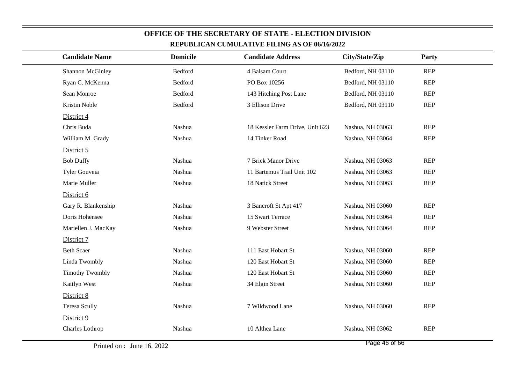| <b>Candidate Name</b>  | <b>Domicile</b> | <b>Candidate Address</b>        | City/State/Zip    | Party      |  |  |
|------------------------|-----------------|---------------------------------|-------------------|------------|--|--|
| Shannon McGinley       | Bedford         | 4 Balsam Court                  | Bedford, NH 03110 | <b>REP</b> |  |  |
| Ryan C. McKenna        | Bedford         | PO Box 10256                    | Bedford, NH 03110 | <b>REP</b> |  |  |
| Sean Monroe            | Bedford         | 143 Hitching Post Lane          | Bedford, NH 03110 | <b>REP</b> |  |  |
| Kristin Noble          | Bedford         | 3 Ellison Drive                 | Bedford, NH 03110 | <b>REP</b> |  |  |
| District 4             |                 |                                 |                   |            |  |  |
| Chris Buda             | Nashua          | 18 Kessler Farm Drive, Unit 623 | Nashua, NH 03063  | <b>REP</b> |  |  |
| William M. Grady       | Nashua          | 14 Tinker Road                  | Nashua, NH 03064  | <b>REP</b> |  |  |
| District 5             |                 |                                 |                   |            |  |  |
| <b>Bob Duffy</b>       | Nashua          | 7 Brick Manor Drive             | Nashua, NH 03063  | <b>REP</b> |  |  |
| Tyler Gouveia          | Nashua          | 11 Bartemus Trail Unit 102      | Nashua, NH 03063  | <b>REP</b> |  |  |
| Marie Muller           | Nashua          | 18 Natick Street                | Nashua, NH 03063  | <b>REP</b> |  |  |
| District 6             |                 |                                 |                   |            |  |  |
| Gary R. Blankenship    | Nashua          | 3 Bancroft St Apt 417           | Nashua, NH 03060  | <b>REP</b> |  |  |
| Doris Hohensee         | Nashua          | 15 Swart Terrace                | Nashua, NH 03064  | <b>REP</b> |  |  |
| Mariellen J. MacKay    | Nashua          | 9 Webster Street                | Nashua, NH 03064  | <b>REP</b> |  |  |
| District 7             |                 |                                 |                   |            |  |  |
| <b>Beth Scaer</b>      | Nashua          | 111 East Hobart St              | Nashua, NH 03060  | <b>REP</b> |  |  |
| Linda Twombly          | Nashua          | 120 East Hobart St              | Nashua, NH 03060  | <b>REP</b> |  |  |
| <b>Timothy Twombly</b> | Nashua          | 120 East Hobart St              | Nashua, NH 03060  | <b>REP</b> |  |  |
| Kaitlyn West           | Nashua          | 34 Elgin Street                 | Nashua, NH 03060  | <b>REP</b> |  |  |
| District 8             |                 |                                 |                   |            |  |  |
| <b>Teresa Scully</b>   | Nashua          | 7 Wildwood Lane                 | Nashua, NH 03060  | <b>REP</b> |  |  |
| District 9             |                 |                                 |                   |            |  |  |
| Charles Lothrop        | Nashua          | 10 Althea Lane                  | Nashua, NH 03062  | <b>REP</b> |  |  |
|                        |                 |                                 |                   |            |  |  |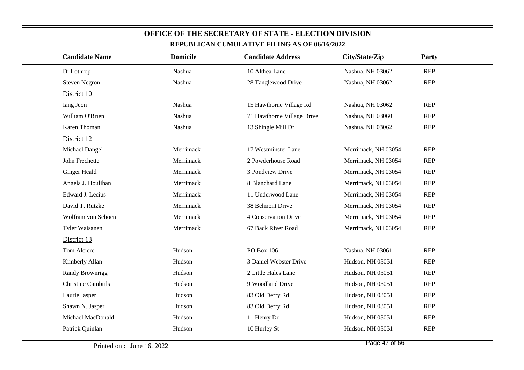| <b>Candidate Name</b>     | <b>Domicile</b> | <b>Candidate Address</b>   | City/State/Zip      | <b>Party</b> |  |
|---------------------------|-----------------|----------------------------|---------------------|--------------|--|
| Di Lothrop                | Nashua          | 10 Althea Lane             | Nashua, NH 03062    | <b>REP</b>   |  |
| <b>Steven Negron</b>      | Nashua          | 28 Tanglewood Drive        | Nashua, NH 03062    | <b>REP</b>   |  |
| District 10               |                 |                            |                     |              |  |
| Iang Jeon                 | Nashua          | 15 Hawthorne Village Rd    | Nashua, NH 03062    | <b>REP</b>   |  |
| William O'Brien           | Nashua          | 71 Hawthorne Village Drive | Nashua, NH 03060    | <b>REP</b>   |  |
| Karen Thoman              | Nashua          | 13 Shingle Mill Dr         | Nashua, NH 03062    | <b>REP</b>   |  |
| District 12               |                 |                            |                     |              |  |
| Michael Dangel            | Merrimack       | 17 Westminster Lane        | Merrimack, NH 03054 | <b>REP</b>   |  |
| John Frechette            | Merrimack       | 2 Powderhouse Road         | Merrimack, NH 03054 | <b>REP</b>   |  |
| <b>Ginger Heald</b>       | Merrimack       | 3 Pondview Drive           | Merrimack, NH 03054 | <b>REP</b>   |  |
| Angela J. Houlihan        | Merrimack       | 8 Blanchard Lane           | Merrimack, NH 03054 | <b>REP</b>   |  |
| Edward J. Lecius          | Merrimack       | 11 Underwood Lane          | Merrimack, NH 03054 | <b>REP</b>   |  |
| David T. Rutzke           | Merrimack       | 38 Belmont Drive           | Merrimack, NH 03054 | <b>REP</b>   |  |
| Wolfram von Schoen        | Merrimack       | 4 Conservation Drive       | Merrimack, NH 03054 | <b>REP</b>   |  |
| Tyler Waisanen            | Merrimack       | 67 Back River Road         | Merrimack, NH 03054 | <b>REP</b>   |  |
| District 13               |                 |                            |                     |              |  |
| Tom Alciere               | Hudson          | PO Box 106                 | Nashua, NH 03061    | <b>REP</b>   |  |
| Kimberly Allan            | Hudson          | 3 Daniel Webster Drive     | Hudson, NH 03051    | <b>REP</b>   |  |
| Randy Brownrigg           | Hudson          | 2 Little Hales Lane        | Hudson, NH 03051    | <b>REP</b>   |  |
| <b>Christine Cambrils</b> | Hudson          | 9 Woodland Drive           | Hudson, NH 03051    | <b>REP</b>   |  |
| Laurie Jasper             | Hudson          | 83 Old Derry Rd            | Hudson, NH 03051    | <b>REP</b>   |  |
| Shawn N. Jasper           | Hudson          | 83 Old Derry Rd            | Hudson, NH 03051    | <b>REP</b>   |  |
| Michael MacDonald         | Hudson          | 11 Henry Dr                | Hudson, NH 03051    | <b>REP</b>   |  |
| Patrick Quinlan           | Hudson          | 10 Hurley St               | Hudson, NH 03051    | <b>REP</b>   |  |
|                           |                 |                            |                     |              |  |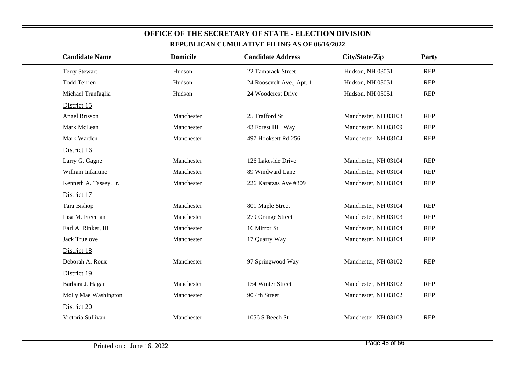| <b>Candidate Name</b>  | <b>Domicile</b> | <b>Candidate Address</b>  | City/State/Zip       | Party      |  |  |
|------------------------|-----------------|---------------------------|----------------------|------------|--|--|
| <b>Terry Stewart</b>   | Hudson          | 22 Tamarack Street        | Hudson, NH 03051     | <b>REP</b> |  |  |
| <b>Todd Terrien</b>    | Hudson          | 24 Roosevelt Ave., Apt. 1 | Hudson, NH 03051     | <b>REP</b> |  |  |
| Michael Tranfaglia     | Hudson          | 24 Woodcrest Drive        | Hudson, NH 03051     | <b>REP</b> |  |  |
| District 15            |                 |                           |                      |            |  |  |
| Angel Brisson          | Manchester      | 25 Trafford St            | Manchester, NH 03103 | <b>REP</b> |  |  |
| Mark McLean            | Manchester      | 43 Forest Hill Way        | Manchester, NH 03109 | <b>REP</b> |  |  |
| Mark Warden            | Manchester      | 497 Hooksett Rd 256       | Manchester, NH 03104 | <b>REP</b> |  |  |
| District 16            |                 |                           |                      |            |  |  |
| Larry G. Gagne         | Manchester      | 126 Lakeside Drive        | Manchester, NH 03104 | <b>REP</b> |  |  |
| William Infantine      | Manchester      | 89 Windward Lane          | Manchester, NH 03104 | <b>REP</b> |  |  |
| Kenneth A. Tassey, Jr. | Manchester      | 226 Karatzas Ave #309     | Manchester, NH 03104 | <b>REP</b> |  |  |
| District 17            |                 |                           |                      |            |  |  |
| Tara Bishop            | Manchester      | 801 Maple Street          | Manchester, NH 03104 | <b>REP</b> |  |  |
| Lisa M. Freeman        | Manchester      | 279 Orange Street         | Manchester, NH 03103 | <b>REP</b> |  |  |
| Earl A. Rinker, III    | Manchester      | 16 Mirror St              | Manchester, NH 03104 | <b>REP</b> |  |  |
| <b>Jack Truelove</b>   | Manchester      | 17 Quarry Way             | Manchester, NH 03104 | <b>REP</b> |  |  |
| District 18            |                 |                           |                      |            |  |  |
| Deborah A. Roux        | Manchester      | 97 Springwood Way         | Manchester, NH 03102 | <b>REP</b> |  |  |
| District 19            |                 |                           |                      |            |  |  |
| Barbara J. Hagan       | Manchester      | 154 Winter Street         | Manchester, NH 03102 | <b>REP</b> |  |  |
| Molly Mae Washington   | Manchester      | 90 4th Street             | Manchester, NH 03102 | <b>REP</b> |  |  |
| District 20            |                 |                           |                      |            |  |  |
| Victoria Sullivan      | Manchester      | 1056 S Beech St           | Manchester, NH 03103 | <b>REP</b> |  |  |
|                        |                 |                           |                      |            |  |  |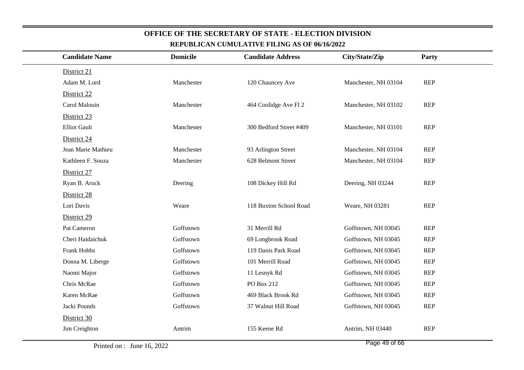| <b>Candidate Name</b> | <b>Domicile</b> | <b>Candidate Address</b> | City/State/Zip       | <b>Party</b> |  |
|-----------------------|-----------------|--------------------------|----------------------|--------------|--|
| District 21           |                 |                          |                      |              |  |
| Adam M. Lord          | Manchester      | 120 Chauncey Ave         | Manchester, NH 03104 | <b>REP</b>   |  |
| District 22           |                 |                          |                      |              |  |
| Carol Malouin         | Manchester      | 464 Coolidge Ave Fl 2    | Manchester, NH 03102 | <b>REP</b>   |  |
| District 23           |                 |                          |                      |              |  |
| <b>Elliot Gault</b>   | Manchester      | 300 Bedford Street #409  | Manchester, NH 03101 | <b>REP</b>   |  |
| District 24           |                 |                          |                      |              |  |
| Jean Marie Mathieu    | Manchester      | 93 Arlington Street      | Manchester, NH 03104 | <b>REP</b>   |  |
| Kathleen F. Souza     | Manchester      | 628 Belmont Street       | Manchester, NH 03104 | <b>REP</b>   |  |
| District 27           |                 |                          |                      |              |  |
| Ryan B. Aruck         | Deering         | 108 Dickey Hill Rd       | Deering, NH 03244    | <b>REP</b>   |  |
| District 28           |                 |                          |                      |              |  |
| Lori Davis            | Weare           | 118 Buxton School Road   | Weare, NH 03281      | <b>REP</b>   |  |
| District 29           |                 |                          |                      |              |  |
| Pat Cameron           | Goffstown       | 31 Merrill Rd            | Goffstown, NH 03045  | <b>REP</b>   |  |
| Cheri Haidaichuk      | Goffstown       | 69 Longbrook Road        | Goffstown, NH 03045  | <b>REP</b>   |  |
| Frank Hobbs           | Goffstown       | 119 Danis Park Road      | Goffstown, NH 03045  | <b>REP</b>   |  |
| Donna M. Liberge      | Goffstown       | 101 Merrill Road         | Goffstown, NH 03045  | <b>REP</b>   |  |
| Naomi Major           | Goffstown       | 11 Lesnyk Rd             | Goffstown, NH 03045  | <b>REP</b>   |  |
| Chris McRae           | Goffstown       | PO Box 212               | Goffstown, NH 03045  | <b>REP</b>   |  |
| Karen McRae           | Goffstown       | 469 Black Brook Rd       | Goffstown, NH 03045  | <b>REP</b>   |  |
| Jacki Pounds          | Goffstown       | 37 Walnut Hill Road      | Goffstown, NH 03045  | <b>REP</b>   |  |
| District 30           |                 |                          |                      |              |  |
| Jim Creighton         | Antrim          | 155 Keene Rd             | Antrim, NH 03440     | <b>REP</b>   |  |
|                       |                 |                          |                      |              |  |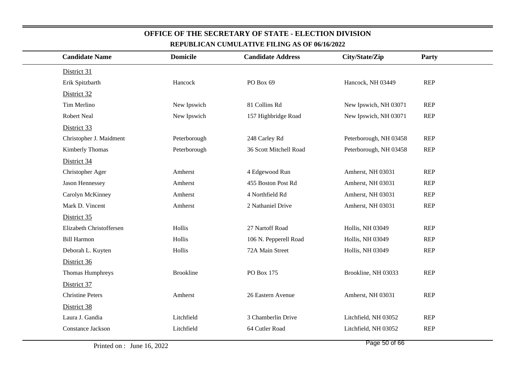| <b>Candidate Name</b>    | <b>Domicile</b>  | <b>Candidate Address</b> | City/State/Zip         | Party      |  |
|--------------------------|------------------|--------------------------|------------------------|------------|--|
| District 31              |                  |                          |                        |            |  |
| Erik Spitzbarth          | Hancock          | PO Box 69                | Hancock, NH 03449      | <b>REP</b> |  |
| District 32              |                  |                          |                        |            |  |
| Tim Merlino              | New Ipswich      | 81 Collins Rd            | New Ipswich, NH 03071  | <b>REP</b> |  |
| <b>Robert Neal</b>       | New Ipswich      | 157 Highbridge Road      | New Ipswich, NH 03071  | <b>REP</b> |  |
| District 33              |                  |                          |                        |            |  |
| Christopher J. Maidment  | Peterborough     | 248 Carley Rd            | Peterborough, NH 03458 | <b>REP</b> |  |
| Kimberly Thomas          | Peterborough     | 36 Scott Mitchell Road   | Peterborough, NH 03458 | <b>REP</b> |  |
| District 34              |                  |                          |                        |            |  |
| Christopher Ager         | Amherst          | 4 Edgewood Run           | Amherst, NH 03031      | <b>REP</b> |  |
| Jason Hennessey          | Amherst          | 455 Boston Post Rd       | Amherst, NH 03031      | <b>REP</b> |  |
| Carolyn McKinney         | Amherst          | 4 Northfield Rd          | Amherst, NH 03031      | <b>REP</b> |  |
| Mark D. Vincent          | Amherst          | 2 Nathaniel Drive        | Amherst, NH 03031      | <b>REP</b> |  |
| District 35              |                  |                          |                        |            |  |
| Elizabeth Christoffersen | Hollis           | 27 Nartoff Road          | Hollis, NH 03049       | <b>REP</b> |  |
| <b>Bill Harmon</b>       | Hollis           | 106 N. Pepperell Road    | Hollis, NH 03049       | <b>REP</b> |  |
| Deborah L. Kuyten        | Hollis           | 72A Main Street          | Hollis, NH 03049       | <b>REP</b> |  |
| District 36              |                  |                          |                        |            |  |
| Thomas Humphreys         | <b>Brookline</b> | PO Box 175               | Brookline, NH 03033    | REP        |  |
| District 37              |                  |                          |                        |            |  |
| <b>Christine Peters</b>  | Amherst          | 26 Eastern Avenue        | Amherst, NH 03031      | <b>REP</b> |  |
| District 38              |                  |                          |                        |            |  |
| Laura J. Gandia          | Litchfield       | 3 Chamberlin Drive       | Litchfield, NH 03052   | <b>REP</b> |  |
| Constance Jackson        | Litchfield       | 64 Cutler Road           | Litchfield, NH 03052   | <b>REP</b> |  |
|                          |                  |                          |                        |            |  |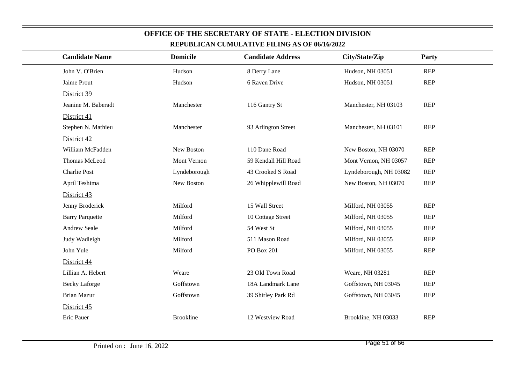| <b>Candidate Name</b>  | <b>Domicile</b>  | <b>Candidate Address</b> | City/State/Zip         | Party      |
|------------------------|------------------|--------------------------|------------------------|------------|
| John V. O'Brien        | Hudson           | 8 Derry Lane             | Hudson, NH 03051       | <b>REP</b> |
| Jaime Prout            | Hudson           | 6 Raven Drive            | Hudson, NH 03051       | <b>REP</b> |
| District 39            |                  |                          |                        |            |
| Jeanine M. Baberadt    | Manchester       | 116 Gantry St            | Manchester, NH 03103   | <b>REP</b> |
| District 41            |                  |                          |                        |            |
| Stephen N. Mathieu     | Manchester       | 93 Arlington Street      | Manchester, NH 03101   | <b>REP</b> |
| District 42            |                  |                          |                        |            |
| William McFadden       | New Boston       | 110 Dane Road            | New Boston, NH 03070   | <b>REP</b> |
| Thomas McLeod          | Mont Vernon      | 59 Kendall Hill Road     | Mont Vernon, NH 03057  | <b>REP</b> |
| Charlie Post           | Lyndeborough     | 43 Crooked S Road        | Lyndeborough, NH 03082 | <b>REP</b> |
| April Teshima          | New Boston       | 26 Whipplewill Road      | New Boston, NH 03070   | <b>REP</b> |
| District 43            |                  |                          |                        |            |
| Jenny Broderick        | Milford          | 15 Wall Street           | Milford, NH 03055      | <b>REP</b> |
| <b>Barry Parquette</b> | Milford          | 10 Cottage Street        | Milford, NH 03055      | <b>REP</b> |
| Andrew Seale           | Milford          | 54 West St               | Milford, NH 03055      | <b>REP</b> |
| Judy Wadleigh          | Milford          | 511 Mason Road           | Milford, NH 03055      | <b>REP</b> |
| John Yule              | Milford          | PO Box 201               | Milford, NH 03055      | <b>REP</b> |
| District 44            |                  |                          |                        |            |
| Lillian A. Hebert      | Weare            | 23 Old Town Road         | Weare, NH 03281        | <b>REP</b> |
| <b>Becky Laforge</b>   | Goffstown        | 18A Landmark Lane        | Goffstown, NH 03045    | <b>REP</b> |
| <b>Brian Mazur</b>     | Goffstown        | 39 Shirley Park Rd       | Goffstown, NH 03045    | <b>REP</b> |
| District 45            |                  |                          |                        |            |
| Eric Pauer             | <b>Brookline</b> | 12 Westview Road         | Brookline, NH 03033    | <b>REP</b> |
|                        |                  |                          |                        |            |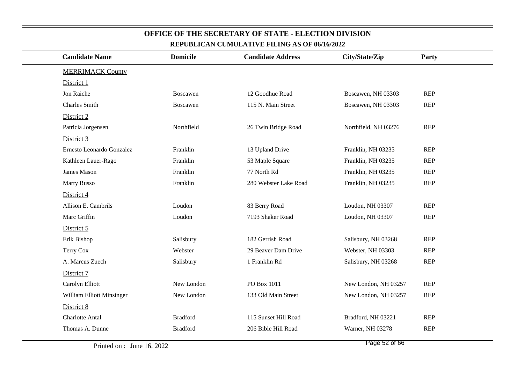| <b>Candidate Name</b>     | <b>Domicile</b> | <b>Candidate Address</b> | City/State/Zip       | Party      |  |
|---------------------------|-----------------|--------------------------|----------------------|------------|--|
| <b>MERRIMACK County</b>   |                 |                          |                      |            |  |
| District 1                |                 |                          |                      |            |  |
| Jon Raiche                | Boscawen        | 12 Goodhue Road          | Boscawen, NH 03303   | <b>REP</b> |  |
| <b>Charles Smith</b>      | Boscawen        | 115 N. Main Street       | Boscawen, NH 03303   | <b>REP</b> |  |
| District 2                |                 |                          |                      |            |  |
| Patricia Jorgensen        | Northfield      | 26 Twin Bridge Road      | Northfield, NH 03276 | <b>REP</b> |  |
| District 3                |                 |                          |                      |            |  |
| Ernesto Leonardo Gonzalez | Franklin        | 13 Upland Drive          | Franklin, NH 03235   | <b>REP</b> |  |
| Kathleen Lauer-Rago       | Franklin        | 53 Maple Square          | Franklin, NH 03235   | <b>REP</b> |  |
| James Mason               | Franklin        | 77 North Rd              | Franklin, NH 03235   | <b>REP</b> |  |
| <b>Marty Russo</b>        | Franklin        | 280 Webster Lake Road    | Franklin, NH 03235   | <b>REP</b> |  |
| District 4                |                 |                          |                      |            |  |
| Allison E. Cambrils       | Loudon          | 83 Berry Road            | Loudon, NH 03307     | <b>REP</b> |  |
| Marc Griffin              | Loudon          | 7193 Shaker Road         | Loudon, NH 03307     | <b>REP</b> |  |
| District 5                |                 |                          |                      |            |  |
| Erik Bishop               | Salisbury       | 182 Gerrish Road         | Salisbury, NH 03268  | <b>REP</b> |  |
| Terry Cox                 | Webster         | 29 Beaver Dam Drive      | Webster, NH 03303    | <b>REP</b> |  |
| A. Marcus Zuech           | Salisbury       | 1 Franklin Rd            | Salisbury, NH 03268  | <b>REP</b> |  |
| District 7                |                 |                          |                      |            |  |
| Carolyn Elliott           | New London      | PO Box 1011              | New London, NH 03257 | <b>REP</b> |  |
| William Elliott Minsinger | New London      | 133 Old Main Street      | New London, NH 03257 | <b>REP</b> |  |
| District 8                |                 |                          |                      |            |  |
| Charlotte Antal           | <b>Bradford</b> | 115 Sunset Hill Road     | Bradford, NH 03221   | <b>REP</b> |  |
| Thomas A. Dunne           | <b>Bradford</b> | 206 Bible Hill Road      | Warner, NH 03278     | <b>REP</b> |  |
|                           |                 |                          |                      |            |  |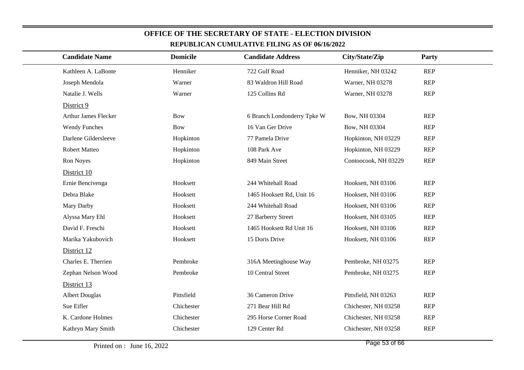| <b>Candidate Name</b> | <b>Domicile</b> | <b>Candidate Address</b>    | City/State/Zip       | Party      |
|-----------------------|-----------------|-----------------------------|----------------------|------------|
| Kathleen A. LaBonte   | Henniker        | 722 Gulf Road               | Henniker, NH 03242   | <b>REP</b> |
| Joseph Mendola        | Warner          | 83 Waldron Hill Road        | Warner, NH 03278     | <b>REP</b> |
| Natalie J. Wells      | Warner          | 125 Collins Rd              | Warner, NH 03278     | <b>REP</b> |
| District 9            |                 |                             |                      |            |
| Arthur James Flecker  | <b>Bow</b>      | 6 Branch Londonderry Tpke W | Bow, NH 03304        | <b>REP</b> |
| <b>Wendy Funches</b>  | <b>Bow</b>      | 16 Van Ger Drive            | Bow, NH 03304        | <b>REP</b> |
| Darlene Gildersleeve  | Hopkinton       | 77 Pamela Drive             | Hopkinton, NH 03229  | <b>REP</b> |
| <b>Robert Matteo</b>  | Hopkinton       | 108 Park Ave                | Hopkinton, NH 03229  | <b>REP</b> |
| Ron Noyes             | Hopkinton       | 849 Main Street             | Contoocook, NH 03229 | <b>REP</b> |
| District 10           |                 |                             |                      |            |
| Ernie Bencivenga      | Hooksett        | 244 Whitehall Road          | Hooksett, NH 03106   | <b>REP</b> |
| Debra Blake           | Hooksett        | 1465 Hooksett Rd, Unit 16   | Hooksett, NH 03106   | <b>REP</b> |
| Mary Darby            | Hooksett        | 244 Whitehall Road          | Hooksett, NH 03106   | <b>REP</b> |
| Alyssa Mary Ehl       | Hooksett        | 27 Barberry Street          | Hooksett, NH 03105   | <b>REP</b> |
| David F. Freschi      | Hooksett        | 1465 Hooksett Rd Unit 16    | Hooksett, NH 03106   | <b>REP</b> |
| Marika Yakubovich     | Hooksett        | 15 Doris Drive              | Hooksett, NH 03106   | <b>REP</b> |
| District 12           |                 |                             |                      |            |
| Charles E. Therrien   | Pembroke        | 316A Meetinghouse Way       | Pembroke, NH 03275   | <b>REP</b> |
| Zephan Nelson Wood    | Pembroke        | 10 Central Street           | Pembroke, NH 03275   | <b>REP</b> |
| District 13           |                 |                             |                      |            |
| <b>Albert Douglas</b> | Pittsfield      | 36 Cameron Drive            | Pittsfield, NH 03263 | <b>REP</b> |
| Sue Eifler            | Chichester      | 271 Bear Hill Rd            | Chichester, NH 03258 | <b>REP</b> |
| K. Cardone Holmes     | Chichester      | 295 Horse Corner Road       | Chichester, NH 03258 | <b>REP</b> |
| Kathryn Mary Smith    | Chichester      | 129 Center Rd               | Chichester, NH 03258 | <b>REP</b> |
|                       |                 |                             |                      |            |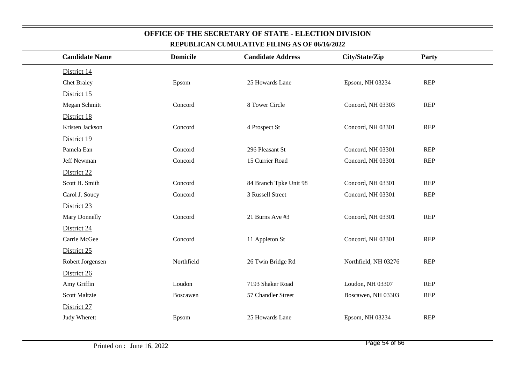| <b>Candidate Name</b> | <b>Domicile</b> | <b>Candidate Address</b> | City/State/Zip       | Party      |
|-----------------------|-----------------|--------------------------|----------------------|------------|
| District 14           |                 |                          |                      |            |
| <b>Chet Braley</b>    | Epsom           | 25 Howards Lane          | Epsom, NH 03234      | <b>REP</b> |
| District 15           |                 |                          |                      |            |
| Megan Schmitt         | Concord         | 8 Tower Circle           | Concord, NH 03303    | <b>REP</b> |
| District 18           |                 |                          |                      |            |
| Kristen Jackson       | Concord         | 4 Prospect St            | Concord, NH 03301    | <b>REP</b> |
| District 19           |                 |                          |                      |            |
| Pamela Ean            | Concord         | 296 Pleasant St          | Concord, NH 03301    | <b>REP</b> |
| Jeff Newman           | Concord         | 15 Currier Road          | Concord, NH 03301    | <b>REP</b> |
| District 22           |                 |                          |                      |            |
| Scott H. Smith        | Concord         | 84 Branch Tpke Unit 98   | Concord, NH 03301    | <b>REP</b> |
| Carol J. Soucy        | Concord         | 3 Russell Street         | Concord, NH 03301    | <b>REP</b> |
| District 23           |                 |                          |                      |            |
| Mary Donnelly         | Concord         | 21 Burns Ave #3          | Concord, NH 03301    | <b>REP</b> |
| District 24           |                 |                          |                      |            |
| Carrie McGee          | Concord         | 11 Appleton St           | Concord, NH 03301    | <b>REP</b> |
| District 25           |                 |                          |                      |            |
| Robert Jorgensen      | Northfield      | 26 Twin Bridge Rd        | Northfield, NH 03276 | <b>REP</b> |
| District 26           |                 |                          |                      |            |
| Amy Griffin           | Loudon          | 7193 Shaker Road         | Loudon, NH 03307     | <b>REP</b> |
| <b>Scott Maltzie</b>  | Boscawen        | 57 Chandler Street       | Boscawen, NH 03303   | <b>REP</b> |
| District 27           |                 |                          |                      |            |
| Judy Wherett          | Epsom           | 25 Howards Lane          | Epsom, NH 03234      | <b>REP</b> |
|                       |                 |                          |                      |            |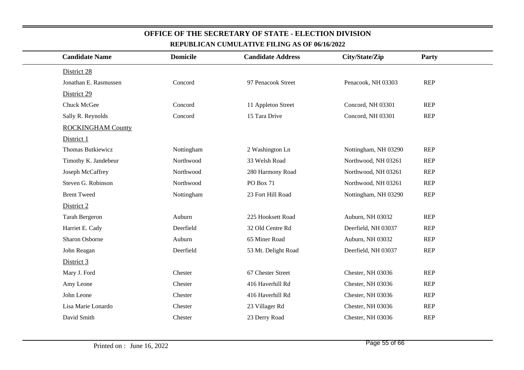| <b>Candidate Name</b>    | <b>Domicile</b> | <b>Candidate Address</b> | City/State/Zip       | Party      |
|--------------------------|-----------------|--------------------------|----------------------|------------|
| District 28              |                 |                          |                      |            |
| Jonathan E. Rasmussen    | Concord         | 97 Penacook Street       | Penacook, NH 03303   | REP        |
| District 29              |                 |                          |                      |            |
| Chuck McGee              | Concord         | 11 Appleton Street       | Concord, NH 03301    | <b>REP</b> |
| Sally R. Reynolds        | Concord         | 15 Tara Drive            | Concord, NH 03301    | <b>REP</b> |
| <b>ROCKINGHAM County</b> |                 |                          |                      |            |
| District 1               |                 |                          |                      |            |
| Thomas Butkiewicz        | Nottingham      | 2 Washington Ln          | Nottingham, NH 03290 | <b>REP</b> |
| Timothy K. Jandebeur     | Northwood       | 33 Welsh Road            | Northwood, NH 03261  | <b>REP</b> |
| Joseph McCaffrey         | Northwood       | 280 Harmony Road         | Northwood, NH 03261  | <b>REP</b> |
| Steven G. Robinson       | Northwood       | <b>PO Box 71</b>         | Northwood, NH 03261  | <b>REP</b> |
| <b>Brent Tweed</b>       | Nottingham      | 23 Fort Hill Road        | Nottingham, NH 03290 | <b>REP</b> |
| District 2               |                 |                          |                      |            |
| <b>Tarah Bergeron</b>    | Auburn          | 225 Hooksett Road        | Auburn, NH 03032     | <b>REP</b> |
| Harriet E. Cady          | Deerfield       | 32 Old Centre Rd         | Deerfield, NH 03037  | <b>REP</b> |
| Sharon Osborne           | Auburn          | 65 Miner Road            | Auburn, NH 03032     | <b>REP</b> |
| John Reagan              | Deerfield       | 53 Mt. Delight Road      | Deerfield, NH 03037  | <b>REP</b> |
| District 3               |                 |                          |                      |            |
| Mary J. Ford             | Chester         | 67 Chester Street        | Chester, NH 03036    | <b>REP</b> |
| Amy Leone                | Chester         | 416 Haverhill Rd         | Chester, NH 03036    | <b>REP</b> |
| John Leone               | Chester         | 416 Haverhill Rd         | Chester, NH 03036    | <b>REP</b> |
| Lisa Marie Lonardo       | Chester         | 23 Villager Rd           | Chester, NH 03036    | <b>REP</b> |
| David Smith              | Chester         | 23 Derry Road            | Chester, NH 03036    | <b>REP</b> |
|                          |                 |                          |                      |            |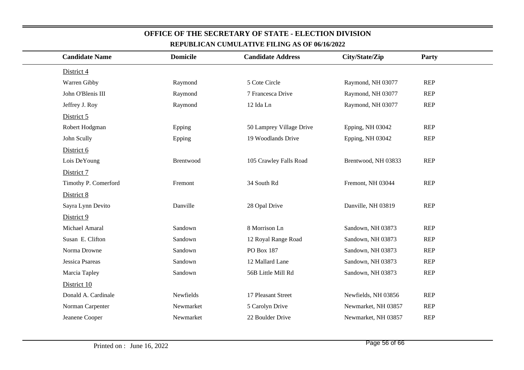| <b>Candidate Name</b> | <b>Domicile</b> | <b>Candidate Address</b> | City/State/Zip      | Party      |
|-----------------------|-----------------|--------------------------|---------------------|------------|
| District 4            |                 |                          |                     |            |
| Warren Gibby          | Raymond         | 5 Cote Circle            | Raymond, NH 03077   | <b>REP</b> |
| John O'Blenis III     | Raymond         | 7 Francesca Drive        | Raymond, NH 03077   | <b>REP</b> |
| Jeffrey J. Roy        | Raymond         | 12 Ida Ln                | Raymond, NH 03077   | REP        |
| District 5            |                 |                          |                     |            |
| Robert Hodgman        | Epping          | 50 Lamprey Village Drive | Epping, NH 03042    | <b>REP</b> |
| John Scully           | Epping          | 19 Woodlands Drive       | Epping, NH 03042    | <b>REP</b> |
| District 6            |                 |                          |                     |            |
| Lois DeYoung          | Brentwood       | 105 Crawley Falls Road   | Brentwood, NH 03833 | <b>REP</b> |
| District 7            |                 |                          |                     |            |
| Timothy P. Comerford  | Fremont         | 34 South Rd              | Fremont, NH 03044   | <b>REP</b> |
| District 8            |                 |                          |                     |            |
| Sayra Lynn Devito     | Danville        | 28 Opal Drive            | Danville, NH 03819  | <b>REP</b> |
| District 9            |                 |                          |                     |            |
| Michael Amaral        | Sandown         | 8 Morrison Ln            | Sandown, NH 03873   | <b>REP</b> |
| Susan E. Clifton      | Sandown         | 12 Royal Range Road      | Sandown, NH 03873   | <b>REP</b> |
| Norma Drowne          | Sandown         | PO Box 187               | Sandown, NH 03873   | REP        |
| Jessica Psareas       | Sandown         | 12 Mallard Lane          | Sandown, NH 03873   | <b>REP</b> |
| Marcia Tapley         | Sandown         | 56B Little Mill Rd       | Sandown, NH 03873   | <b>REP</b> |
| District 10           |                 |                          |                     |            |
| Donald A. Cardinale   | Newfields       | 17 Pleasant Street       | Newfields, NH 03856 | REP        |
| Norman Carpenter      | Newmarket       | 5 Carolyn Drive          | Newmarket, NH 03857 | <b>REP</b> |
| Jeanene Cooper        | Newmarket       | 22 Boulder Drive         | Newmarket, NH 03857 | <b>REP</b> |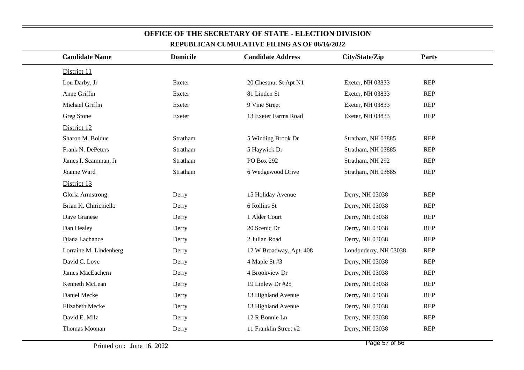| <b>Candidate Name</b>  | <b>Domicile</b> | <b>Candidate Address</b> | City/State/Zip        | Party      |
|------------------------|-----------------|--------------------------|-----------------------|------------|
|                        |                 |                          |                       |            |
| District 11            |                 |                          |                       |            |
| Lou Darby, Jr          | Exeter          | 20 Chestnut St Apt N1    | Exeter, NH 03833      | <b>REP</b> |
| Anne Griffin           | Exeter          | 81 Linden St             | Exeter, NH 03833      | <b>REP</b> |
| Michael Griffin        | Exeter          | 9 Vine Street            | Exeter, NH 03833      | REP        |
| Greg Stone             | Exeter          | 13 Exeter Farms Road     | Exeter, NH 03833      | <b>REP</b> |
| District 12            |                 |                          |                       |            |
| Sharon M. Bolduc       | Stratham        | 5 Winding Brook Dr       | Stratham, NH 03885    | <b>REP</b> |
| Frank N. DePeters      | Stratham        | 5 Haywick Dr             | Stratham, NH 03885    | REP        |
| James I. Scamman, Jr   | Stratham        | PO Box 292               | Stratham, NH 292      | <b>REP</b> |
| Joanne Ward            | Stratham        | 6 Wedgewood Drive        | Stratham, NH 03885    | <b>REP</b> |
| District 13            |                 |                          |                       |            |
| Gloria Armstrong       | Derry           | 15 Holiday Avenue        | Derry, NH 03038       | REP        |
| Brian K. Chirichiello  | Derry           | 6 Rollins St             | Derry, NH 03038       | <b>REP</b> |
| Dave Granese           | Derry           | 1 Alder Court            | Derry, NH 03038       | REP        |
| Dan Healey             | Derry           | 20 Scenic Dr             | Derry, NH 03038       | <b>REP</b> |
| Diana Lachance         | Derry           | 2 Julian Road            | Derry, NH 03038       | REP        |
| Lorraine M. Lindenberg | Derry           | 12 W Broadway, Apt. 408  | Londonderry, NH 03038 | <b>REP</b> |
| David C. Love          | Derry           | 4 Maple St #3            | Derry, NH 03038       | REP        |
| James MacEachern       | Derry           | 4 Brookview Dr           | Derry, NH 03038       | <b>REP</b> |
| Kenneth McLean         | Derry           | 19 Linlew Dr #25         | Derry, NH 03038       | REP        |
| Daniel Mecke           | Derry           | 13 Highland Avenue       | Derry, NH 03038       | <b>REP</b> |
| Elizabeth Mecke        | Derry           | 13 Highland Avenue       | Derry, NH 03038       | <b>REP</b> |
| David E. Milz          | Derry           | 12 R Bonnie Ln           | Derry, NH 03038       | <b>REP</b> |
| Thomas Moonan          | Derry           | 11 Franklin Street #2    | Derry, NH 03038       | REP        |
|                        |                 |                          |                       |            |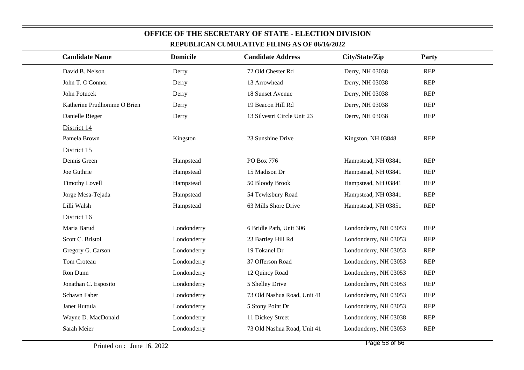| <b>Candidate Name</b>       | <b>Domicile</b> | REPUBLICAN CUMULATIVE FILING AS OF 06/16/2022<br><b>Candidate Address</b> | City/State/Zip        | Party      |  |
|-----------------------------|-----------------|---------------------------------------------------------------------------|-----------------------|------------|--|
|                             |                 |                                                                           |                       |            |  |
| David B. Nelson             | Derry           | 72 Old Chester Rd                                                         | Derry, NH 03038       | <b>REP</b> |  |
| John T. O'Connor            | Derry           | 13 Arrowhead                                                              | Derry, NH 03038       | <b>REP</b> |  |
| John Potucek                | Derry           | 18 Sunset Avenue                                                          | Derry, NH 03038       | <b>REP</b> |  |
| Katherine Prudhomme O'Brien | Derry           | 19 Beacon Hill Rd                                                         | Derry, NH 03038       | <b>REP</b> |  |
| Danielle Rieger             | Derry           | 13 Silvestri Circle Unit 23                                               | Derry, NH 03038       | <b>REP</b> |  |
| District 14                 |                 |                                                                           |                       |            |  |
| Pamela Brown                | Kingston        | 23 Sunshine Drive                                                         | Kingston, NH 03848    | <b>REP</b> |  |
| District 15                 |                 |                                                                           |                       |            |  |
| Dennis Green                | Hampstead       | PO Box 776                                                                | Hampstead, NH 03841   | <b>REP</b> |  |
| Joe Guthrie                 | Hampstead       | 15 Madison Dr                                                             | Hampstead, NH 03841   | <b>REP</b> |  |
| <b>Timothy Lovell</b>       | Hampstead       | 50 Bloody Brook                                                           | Hampstead, NH 03841   | <b>REP</b> |  |
| Jorge Mesa-Tejada           | Hampstead       | 54 Tewksbury Road                                                         | Hampstead, NH 03841   | <b>REP</b> |  |
| Lilli Walsh                 | Hampstead       | 63 Mills Shore Drive                                                      | Hampstead, NH 03851   | <b>REP</b> |  |
| District 16                 |                 |                                                                           |                       |            |  |
| Maria Barud                 | Londonderry     | 6 Bridle Path, Unit 306                                                   | Londonderry, NH 03053 | <b>REP</b> |  |
| Scott C. Bristol            | Londonderry     | 23 Bartley Hill Rd                                                        | Londonderry, NH 03053 | <b>REP</b> |  |
| Gregory G. Carson           | Londonderry     | 19 Tokanel Dr                                                             | Londonderry, NH 03053 | <b>REP</b> |  |
| Tom Croteau                 | Londonderry     | 37 Offerson Road                                                          | Londonderry, NH 03053 | <b>REP</b> |  |
| Ron Dunn                    | Londonderry     | 12 Quincy Road                                                            | Londonderry, NH 03053 | <b>REP</b> |  |
| Jonathan C. Esposito        | Londonderry     | 5 Shelley Drive                                                           | Londonderry, NH 03053 | <b>REP</b> |  |
| Schawn Faber                | Londonderry     | 73 Old Nashua Road, Unit 41                                               | Londonderry, NH 03053 | <b>REP</b> |  |
| Janet Huttula               | Londonderry     | 5 Stony Point Dr                                                          | Londonderry, NH 03053 | <b>REP</b> |  |
| Wayne D. MacDonald          | Londonderry     | 11 Dickey Street                                                          | Londonderry, NH 03038 | <b>REP</b> |  |
| Sarah Meier                 | Londonderry     | 73 Old Nashua Road, Unit 41                                               | Londonderry, NH 03053 | <b>REP</b> |  |
|                             |                 |                                                                           |                       |            |  |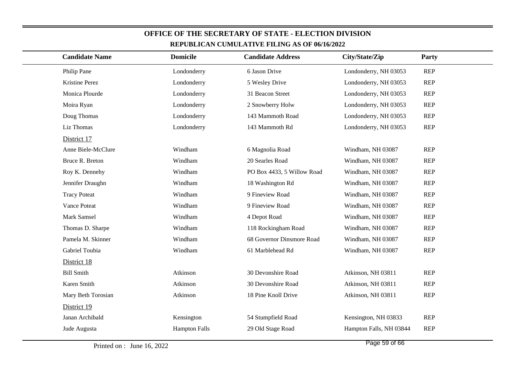| <u>KEFUDLIUAN UUMULATIVE FILING AS OF 00/10/2022</u> |                      |                            |                         |            |  |  |
|------------------------------------------------------|----------------------|----------------------------|-------------------------|------------|--|--|
| <b>Candidate Name</b>                                | <b>Domicile</b>      | <b>Candidate Address</b>   | City/State/Zip          | Party      |  |  |
| Philip Pane                                          | Londonderry          | 6 Jason Drive              | Londonderry, NH 03053   | <b>REP</b> |  |  |
| Kristine Perez                                       | Londonderry          | 5 Wesley Drive             | Londonderry, NH 03053   | <b>REP</b> |  |  |
| Monica Plourde                                       | Londonderry          | 31 Beacon Street           | Londonderry, NH 03053   | <b>REP</b> |  |  |
| Moira Ryan                                           | Londonderry          | 2 Snowberry Holw           | Londonderry, NH 03053   | <b>REP</b> |  |  |
| Doug Thomas                                          | Londonderry          | 143 Mammoth Road           | Londonderry, NH 03053   | <b>REP</b> |  |  |
| Liz Thomas                                           | Londonderry          | 143 Mammoth Rd             | Londonderry, NH 03053   | <b>REP</b> |  |  |
| District 17                                          |                      |                            |                         |            |  |  |
| Anne Biele-McClure                                   | Windham              | 6 Magnolia Road            | Windham, NH 03087       | <b>REP</b> |  |  |
| Bruce R. Breton                                      | Windham              | 20 Searles Road            | Windham, NH 03087       | <b>REP</b> |  |  |
| Roy K. Dennehy                                       | Windham              | PO Box 4433, 5 Willow Road | Windham, NH 03087       | <b>REP</b> |  |  |
| Jennifer Draughn                                     | Windham              | 18 Washington Rd           | Windham, NH 03087       | <b>REP</b> |  |  |
| <b>Tracy Poteat</b>                                  | Windham              | 9 Fineview Road            | Windham, NH 03087       | <b>REP</b> |  |  |
| Vance Poteat                                         | Windham              | 9 Fineview Road            | Windham, NH 03087       | <b>REP</b> |  |  |
| Mark Samsel                                          | Windham              | 4 Depot Road               | Windham, NH 03087       | <b>REP</b> |  |  |
| Thomas D. Sharpe                                     | Windham              | 118 Rockingham Road        | Windham, NH 03087       | <b>REP</b> |  |  |
| Pamela M. Skinner                                    | Windham              | 68 Governor Dinsmore Road  | Windham, NH 03087       | <b>REP</b> |  |  |
| Gabriel Toubia                                       | Windham              | 61 Marblehead Rd           | Windham, NH 03087       | <b>REP</b> |  |  |
| District 18                                          |                      |                            |                         |            |  |  |
| <b>Bill Smith</b>                                    | Atkinson             | 30 Devonshire Road         | Atkinson, NH 03811      | <b>REP</b> |  |  |
| Karen Smith                                          | Atkinson             | 30 Devonshire Road         | Atkinson, NH 03811      | <b>REP</b> |  |  |
| Mary Beth Torosian                                   | Atkinson             | 18 Pine Knoll Drive        | Atkinson, NH 03811      | <b>REP</b> |  |  |
| District 19                                          |                      |                            |                         |            |  |  |
| Janan Archibald                                      | Kensington           | 54 Stumpfield Road         | Kensington, NH 03833    | <b>REP</b> |  |  |
| Jude Augusta                                         | <b>Hampton Falls</b> | 29 Old Stage Road          | Hampton Falls, NH 03844 | <b>REP</b> |  |  |
|                                                      |                      |                            |                         |            |  |  |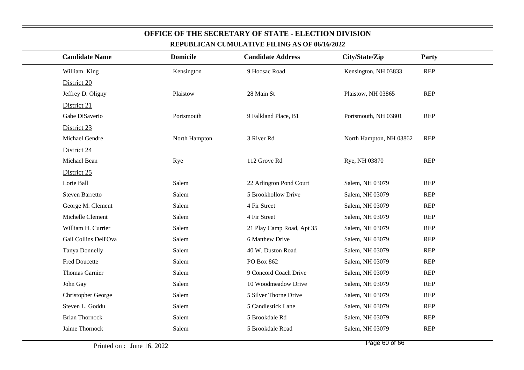| <b>Candidate Name</b>  | <b>Domicile</b> | <b>Candidate Address</b>  | City/State/Zip          | Party      |
|------------------------|-----------------|---------------------------|-------------------------|------------|
| William King           | Kensington      | 9 Hoosac Road             | Kensington, NH 03833    | <b>REP</b> |
| District 20            |                 |                           |                         |            |
| Jeffrey D. Oligny      | Plaistow        | 28 Main St                | Plaistow, NH 03865      | <b>REP</b> |
| District 21            |                 |                           |                         |            |
| Gabe DiSaverio         | Portsmouth      | 9 Falkland Place, B1      | Portsmouth, NH 03801    | <b>REP</b> |
| District 23            |                 |                           |                         |            |
| Michael Gendre         | North Hampton   | 3 River Rd                | North Hampton, NH 03862 | <b>REP</b> |
| District 24            |                 |                           |                         |            |
| Michael Bean           | Rye             | 112 Grove Rd              | Rye, NH 03870           | <b>REP</b> |
| District 25            |                 |                           |                         |            |
| Lorie Ball             | Salem           | 22 Arlington Pond Court   | Salem, NH 03079         | <b>REP</b> |
| <b>Steven Barretto</b> | Salem           | 5 Brookhollow Drive       | Salem, NH 03079         | <b>REP</b> |
| George M. Clement      | Salem           | 4 Fir Street              | Salem, NH 03079         | <b>REP</b> |
| Michelle Clement       | Salem           | 4 Fir Street              | Salem, NH 03079         | <b>REP</b> |
| William H. Currier     | Salem           | 21 Play Camp Road, Apt 35 | Salem, NH 03079         | <b>REP</b> |
| Gail Collins Dell'Ova  | Salem           | 6 Matthew Drive           | Salem, NH 03079         | <b>REP</b> |
| Tanya Donnelly         | Salem           | 40 W. Duston Road         | Salem, NH 03079         | <b>REP</b> |
| <b>Fred Doucette</b>   | Salem           | PO Box 862                | Salem, NH 03079         | <b>REP</b> |
| <b>Thomas Garnier</b>  | Salem           | 9 Concord Coach Drive     | Salem, NH 03079         | <b>REP</b> |
| John Gay               | Salem           | 10 Woodmeadow Drive       | Salem, NH 03079         | <b>REP</b> |
| Christopher George     | Salem           | 5 Silver Thorne Drive     | Salem, NH 03079         | <b>REP</b> |
| Steven L. Goddu        | Salem           | 5 Candlestick Lane        | Salem, NH 03079         | <b>REP</b> |
| <b>Brian Thornock</b>  | Salem           | 5 Brookdale Rd            | Salem, NH 03079         | <b>REP</b> |
| Jaime Thornock         | Salem           | 5 Brookdale Road          | Salem, NH 03079         | <b>REP</b> |
|                        |                 |                           |                         |            |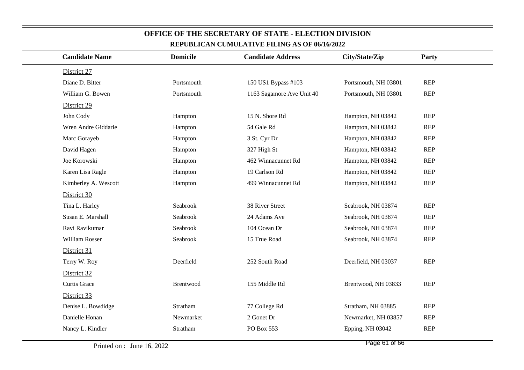| <b>Candidate Name</b> | <b>Domicile</b> | <b>Candidate Address</b>  | City/State/Zip       | <b>Party</b> |
|-----------------------|-----------------|---------------------------|----------------------|--------------|
| District 27           |                 |                           |                      |              |
| Diane D. Bitter       | Portsmouth      | 150 US1 Bypass #103       | Portsmouth, NH 03801 | REP          |
| William G. Bowen      | Portsmouth      | 1163 Sagamore Ave Unit 40 | Portsmouth, NH 03801 | <b>REP</b>   |
| District 29           |                 |                           |                      |              |
| John Cody             | Hampton         | 15 N. Shore Rd            | Hampton, NH 03842    | <b>REP</b>   |
| Wren Andre Giddarie   | Hampton         | 54 Gale Rd                | Hampton, NH 03842    | REP          |
| Marc Gorayeb          | Hampton         | 3 St. Cyr Dr              | Hampton, NH 03842    | <b>REP</b>   |
| David Hagen           | Hampton         | 327 High St               | Hampton, NH 03842    | REP          |
| Joe Korowski          | Hampton         | 462 Winnacunnet Rd        | Hampton, NH 03842    | <b>REP</b>   |
| Karen Lisa Ragle      | Hampton         | 19 Carlson Rd             | Hampton, NH 03842    | <b>REP</b>   |
| Kimberley A. Wescott  | Hampton         | 499 Winnacunnet Rd        | Hampton, NH 03842    | <b>REP</b>   |
| District 30           |                 |                           |                      |              |
| Tina L. Harley        | Seabrook        | 38 River Street           | Seabrook, NH 03874   | <b>REP</b>   |
| Susan E. Marshall     | Seabrook        | 24 Adams Ave              | Seabrook, NH 03874   | <b>REP</b>   |
| Ravi Ravikumar        | Seabrook        | 104 Ocean Dr              | Seabrook, NH 03874   | <b>REP</b>   |
| William Rosser        | Seabrook        | 15 True Road              | Seabrook, NH 03874   | REP          |
| District 31           |                 |                           |                      |              |
| Terry W. Roy          | Deerfield       | 252 South Road            | Deerfield, NH 03037  | <b>REP</b>   |
| District 32           |                 |                           |                      |              |
| Curtis Grace          | Brentwood       | 155 Middle Rd             | Brentwood, NH 03833  | <b>REP</b>   |
| District 33           |                 |                           |                      |              |
| Denise L. Bowdidge    | Stratham        | 77 College Rd             | Stratham, NH 03885   | <b>REP</b>   |
| Danielle Honan        | Newmarket       | 2 Gonet Dr                | Newmarket, NH 03857  | REP          |
| Nancy L. Kindler      | Stratham        | PO Box 553                | Epping, NH 03042     | <b>REP</b>   |
|                       |                 |                           |                      |              |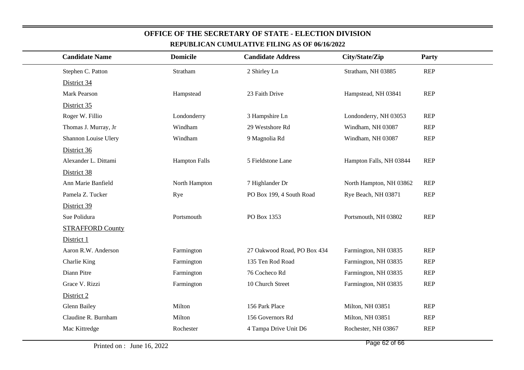| <b>Candidate Name</b>   | <b>Domicile</b>      | <b>Candidate Address</b>    | City/State/Zip          | Party      |
|-------------------------|----------------------|-----------------------------|-------------------------|------------|
| Stephen C. Patton       | Stratham             | 2 Shirley Ln                | Stratham, NH 03885      | <b>REP</b> |
| District 34             |                      |                             |                         |            |
| Mark Pearson            | Hampstead            | 23 Faith Drive              | Hampstead, NH 03841     | REP        |
| District 35             |                      |                             |                         |            |
| Roger W. Fillio         | Londonderry          | 3 Hampshire Ln              | Londonderry, NH 03053   | <b>REP</b> |
| Thomas J. Murray, Jr    | Windham              | 29 Westshore Rd             | Windham, NH 03087       | <b>REP</b> |
| Shannon Louise Ulery    | Windham              | 9 Magnolia Rd               | Windham, NH 03087       | <b>REP</b> |
| District 36             |                      |                             |                         |            |
| Alexander L. Dittami    | <b>Hampton Falls</b> | 5 Fieldstone Lane           | Hampton Falls, NH 03844 | <b>REP</b> |
| District 38             |                      |                             |                         |            |
| Ann Marie Banfield      | North Hampton        | 7 Highlander Dr             | North Hampton, NH 03862 | <b>REP</b> |
| Pamela Z. Tucker        | Rye                  | PO Box 199, 4 South Road    | Rye Beach, NH 03871     | <b>REP</b> |
| District 39             |                      |                             |                         |            |
| Sue Polidura            | Portsmouth           | PO Box 1353                 | Portsmouth, NH 03802    | <b>REP</b> |
| <b>STRAFFORD County</b> |                      |                             |                         |            |
| District 1              |                      |                             |                         |            |
| Aaron R.W. Anderson     | Farmington           | 27 Oakwood Road, PO Box 434 | Farmington, NH 03835    | <b>REP</b> |
| Charlie King            | Farmington           | 135 Ten Rod Road            | Farmington, NH 03835    | <b>REP</b> |
| Diann Pitre             | Farmington           | 76 Cocheco Rd               | Farmington, NH 03835    | <b>REP</b> |
| Grace V. Rizzi          | Farmington           | 10 Church Street            | Farmington, NH 03835    | <b>REP</b> |
| District 2              |                      |                             |                         |            |
| <b>Glenn Bailey</b>     | Milton               | 156 Park Place              | Milton, NH 03851        | REP        |
| Claudine R. Burnham     | Milton               | 156 Governors Rd            | Milton, NH 03851        | <b>REP</b> |
| Mac Kittredge           | Rochester            | 4 Tampa Drive Unit D6       | Rochester, NH 03867     | <b>REP</b> |
|                         |                      |                             |                         |            |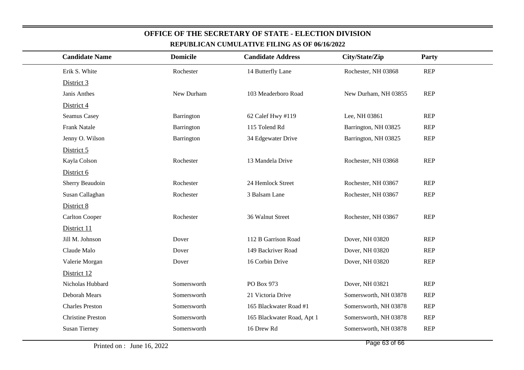| <b>Candidate Name</b>    | <b>Domicile</b> | <b>Candidate Address</b>   | City/State/Zip        | Party      |
|--------------------------|-----------------|----------------------------|-----------------------|------------|
| Erik S. White            | Rochester       | 14 Butterfly Lane          | Rochester, NH 03868   | <b>REP</b> |
| District 3               |                 |                            |                       |            |
| Janis Anthes             | New Durham      | 103 Meaderboro Road        | New Durham, NH 03855  | <b>REP</b> |
| District 4               |                 |                            |                       |            |
| Seamus Casey             | Barrington      | 62 Calef Hwy #119          | Lee, NH 03861         | <b>REP</b> |
| <b>Frank Natale</b>      | Barrington      | 115 Tolend Rd              | Barrington, NH 03825  | <b>REP</b> |
| Jenny O. Wilson          | Barrington      | 34 Edgewater Drive         | Barrington, NH 03825  | <b>REP</b> |
| District 5               |                 |                            |                       |            |
| Kayla Colson             | Rochester       | 13 Mandela Drive           | Rochester, NH 03868   | <b>REP</b> |
| District 6               |                 |                            |                       |            |
| Sherry Beaudoin          | Rochester       | 24 Hemlock Street          | Rochester, NH 03867   | <b>REP</b> |
| Susan Callaghan          | Rochester       | 3 Balsam Lane              | Rochester, NH 03867   | <b>REP</b> |
| District 8               |                 |                            |                       |            |
| <b>Carlton Cooper</b>    | Rochester       | 36 Walnut Street           | Rochester, NH 03867   | <b>REP</b> |
| District 11              |                 |                            |                       |            |
| Jill M. Johnson          | Dover           | 112 B Garrison Road        | Dover, NH 03820       | <b>REP</b> |
| Claude Malo              | Dover           | 149 Backriver Road         | Dover, NH 03820       | <b>REP</b> |
| Valerie Morgan           | Dover           | 16 Corbin Drive            | Dover, NH 03820       | <b>REP</b> |
| District 12              |                 |                            |                       |            |
| Nicholas Hubbard         | Somersworth     | PO Box 973                 | Dover, NH 03821       | <b>REP</b> |
| Deborah Mears            | Somersworth     | 21 Victoria Drive          | Somersworth, NH 03878 | <b>REP</b> |
| <b>Charles Preston</b>   | Somersworth     | 165 Blackwater Road #1     | Somersworth, NH 03878 | <b>REP</b> |
| <b>Christine Preston</b> | Somersworth     | 165 Blackwater Road, Apt 1 | Somersworth, NH 03878 | <b>REP</b> |
| <b>Susan Tierney</b>     | Somersworth     | 16 Drew Rd                 | Somersworth, NH 03878 | <b>REP</b> |
|                          |                 |                            |                       |            |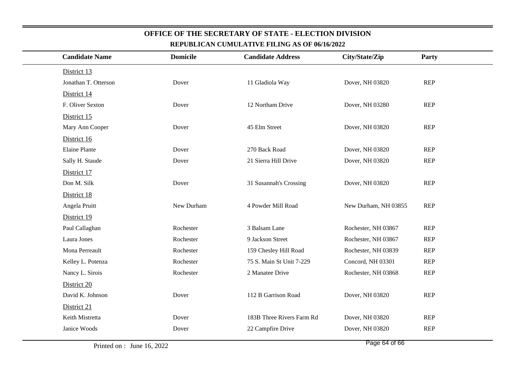| <b>Candidate Name</b> | <b>Domicile</b> | <b>Candidate Address</b>  | City/State/Zip       | Party      |
|-----------------------|-----------------|---------------------------|----------------------|------------|
| District 13           |                 |                           |                      |            |
| Jonathan T. Otterson  | Dover           | 11 Gladiola Way           | Dover, NH 03820      | <b>REP</b> |
| District 14           |                 |                           |                      |            |
| F. Oliver Sexton      | Dover           | 12 Northam Drive          | Dover, NH 03280      | <b>REP</b> |
| District 15           |                 |                           |                      |            |
| Mary Ann Cooper       | Dover           | 45 Elm Street             | Dover, NH 03820      | <b>REP</b> |
| District 16           |                 |                           |                      |            |
| <b>Elaine Plante</b>  | Dover           | 270 Back Road             | Dover, NH 03820      | <b>REP</b> |
| Sally H. Staude       | Dover           | 21 Sierra Hill Drive      | Dover, NH 03820      | <b>REP</b> |
| District 17           |                 |                           |                      |            |
| Don M. Silk           | Dover           | 31 Susannah's Crossing    | Dover, NH 03820      | <b>REP</b> |
| District 18           |                 |                           |                      |            |
| Angela Pruitt         | New Durham      | 4 Powder Mill Road        | New Durham, NH 03855 | <b>REP</b> |
| District 19           |                 |                           |                      |            |
| Paul Callaghan        | Rochester       | 3 Balsam Lane             | Rochester, NH 03867  | <b>REP</b> |
| Laura Jones           | Rochester       | 9 Jackson Street          | Rochester, NH 03867  | <b>REP</b> |
| Mona Perreault        | Rochester       | 159 Chesley Hill Road     | Rochester, NH 03839  | <b>REP</b> |
| Kelley L. Potenza     | Rochester       | 75 S. Main St Unit 7-229  | Concord, NH 03301    | <b>REP</b> |
| Nancy L. Sirois       | Rochester       | 2 Manatee Drive           | Rochester, NH 03868  | <b>REP</b> |
| District 20           |                 |                           |                      |            |
| David K. Johnson      | Dover           | 112 B Garrison Road       | Dover, NH 03820      | <b>REP</b> |
| District 21           |                 |                           |                      |            |
| Keith Mistretta       | Dover           | 183B Three Rivers Farm Rd | Dover, NH 03820      | <b>REP</b> |
| Janice Woods          | Dover           | 22 Campfire Drive         | Dover, NH 03820      | <b>REP</b> |
|                       |                 |                           |                      |            |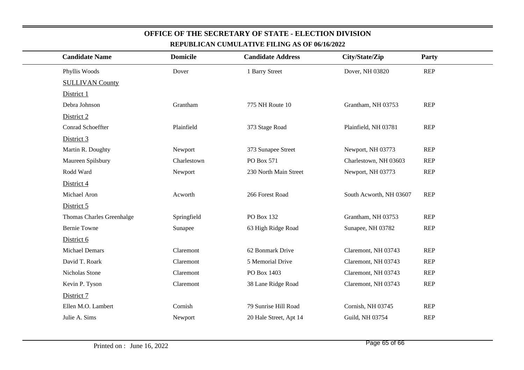| <b>Candidate Name</b>     | <b>Domicile</b> | <b>Candidate Address</b> | City/State/Zip          | Party      |
|---------------------------|-----------------|--------------------------|-------------------------|------------|
| Phyllis Woods             | Dover           | 1 Barry Street           | Dover, NH 03820         | <b>REP</b> |
| <b>SULLIVAN County</b>    |                 |                          |                         |            |
| District 1                |                 |                          |                         |            |
| Debra Johnson             | Grantham        | 775 NH Route 10          | Grantham, NH 03753      | REP        |
| District 2                |                 |                          |                         |            |
| Conrad Schoeffter         | Plainfield      | 373 Stage Road           | Plainfield, NH 03781    | REP        |
| District 3                |                 |                          |                         |            |
| Martin R. Doughty         | Newport         | 373 Sunapee Street       | Newport, NH 03773       | <b>REP</b> |
| Maureen Spilsbury         | Charlestown     | PO Box 571               | Charlestown, NH 03603   | <b>REP</b> |
| Rodd Ward                 | Newport         | 230 North Main Street    | Newport, NH 03773       | <b>REP</b> |
| District 4                |                 |                          |                         |            |
| Michael Aron              | Acworth         | 266 Forest Road          | South Acworth, NH 03607 | <b>REP</b> |
| District 5                |                 |                          |                         |            |
| Thomas Charles Greenhalge | Springfield     | PO Box 132               | Grantham, NH 03753      | <b>REP</b> |
| <b>Bernie Towne</b>       | Sunapee         | 63 High Ridge Road       | Sunapee, NH 03782       | <b>REP</b> |
| District 6                |                 |                          |                         |            |
| <b>Michael Demars</b>     | Claremont       | 62 Bonmark Drive         | Claremont, NH 03743     | <b>REP</b> |
| David T. Roark            | Claremont       | 5 Memorial Drive         | Claremont, NH 03743     | <b>REP</b> |
| Nicholas Stone            | Claremont       | PO Box 1403              | Claremont, NH 03743     | <b>REP</b> |
| Kevin P. Tyson            | Claremont       | 38 Lane Ridge Road       | Claremont, NH 03743     | <b>REP</b> |
| District 7                |                 |                          |                         |            |
| Ellen M.O. Lambert        | Cornish         | 79 Sunrise Hill Road     | Cornish, NH 03745       | <b>REP</b> |
| Julie A. Sims             | Newport         | 20 Hale Street, Apt 14   | Guild, NH 03754         | <b>REP</b> |
|                           |                 |                          |                         |            |